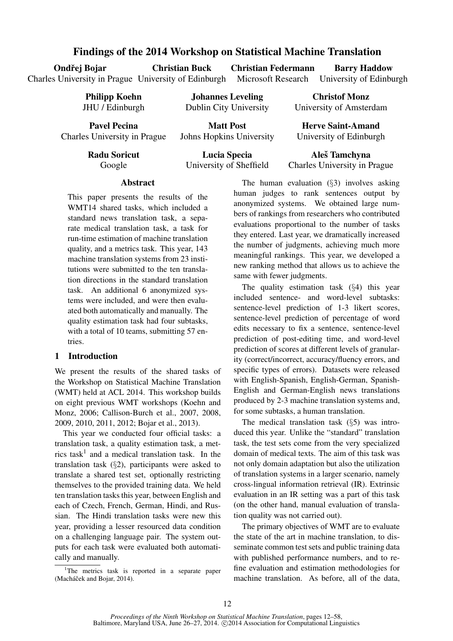# Findings of the 2014 Workshop on Statistical Machine Translation

Ondřej Bojar

Christian Buck

Charles University in Prague University of Edinburgh Christian Federmann Microsoft Research

Barry Haddow University of Edinburgh

Philipp Koehn JHU / Edinburgh

Pavel Pecina Charles University in Prague

Matt Post Johns Hopkins University

Johannes Leveling Dublin City University

University of Amsterdam Herve Saint-Amand

Christof Monz

University of Edinburgh

Radu Soricut Google

Lucia Specia University of Sheffield

Aleš Tamchyna Charles University in Prague

# Abstract

This paper presents the results of the WMT14 shared tasks, which included a standard news translation task, a separate medical translation task, a task for run-time estimation of machine translation quality, and a metrics task. This year, 143 machine translation systems from 23 institutions were submitted to the ten translation directions in the standard translation task. An additional 6 anonymized systems were included, and were then evaluated both automatically and manually. The quality estimation task had four subtasks, with a total of 10 teams, submitting 57 entries.

## 1 Introduction

We present the results of the shared tasks of the Workshop on Statistical Machine Translation (WMT) held at ACL 2014. This workshop builds on eight previous WMT workshops (Koehn and Monz, 2006; Callison-Burch et al., 2007, 2008, 2009, 2010, 2011, 2012; Bojar et al., 2013).

This year we conducted four official tasks: a translation task, a quality estimation task, a metrics task<sup>1</sup> and a medical translation task. In the translation task (§2), participants were asked to translate a shared test set, optionally restricting themselves to the provided training data. We held ten translation tasks this year, between English and each of Czech, French, German, Hindi, and Russian. The Hindi translation tasks were new this year, providing a lesser resourced data condition on a challenging language pair. The system outputs for each task were evaluated both automatically and manually.

<sup>1</sup>The metrics task is reported in a separate paper (Macháček and Bojar, 2014).

The human evaluation (§3) involves asking human judges to rank sentences output by anonymized systems. We obtained large numbers of rankings from researchers who contributed evaluations proportional to the number of tasks they entered. Last year, we dramatically increased the number of judgments, achieving much more meaningful rankings. This year, we developed a new ranking method that allows us to achieve the same with fewer judgments.

The quality estimation task (§4) this year included sentence- and word-level subtasks: sentence-level prediction of 1-3 likert scores, sentence-level prediction of percentage of word edits necessary to fix a sentence, sentence-level prediction of post-editing time, and word-level prediction of scores at different levels of granularity (correct/incorrect, accuracy/fluency errors, and specific types of errors). Datasets were released with English-Spanish, English-German, Spanish-English and German-English news translations produced by 2-3 machine translation systems and, for some subtasks, a human translation.

The medical translation task (§5) was introduced this year. Unlike the "standard" translation task, the test sets come from the very specialized domain of medical texts. The aim of this task was not only domain adaptation but also the utilization of translation systems in a larger scenario, namely cross-lingual information retrieval (IR). Extrinsic evaluation in an IR setting was a part of this task (on the other hand, manual evaluation of translation quality was not carried out).

The primary objectives of WMT are to evaluate the state of the art in machine translation, to disseminate common test sets and public training data with published performance numbers, and to refine evaluation and estimation methodologies for machine translation. As before, all of the data,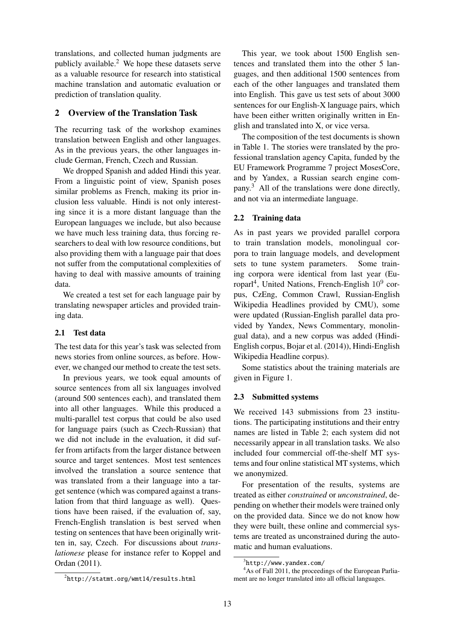translations, and collected human judgments are publicly available.<sup>2</sup> We hope these datasets serve as a valuable resource for research into statistical machine translation and automatic evaluation or prediction of translation quality.

## 2 Overview of the Translation Task

The recurring task of the workshop examines translation between English and other languages. As in the previous years, the other languages include German, French, Czech and Russian.

We dropped Spanish and added Hindi this year. From a linguistic point of view, Spanish poses similar problems as French, making its prior inclusion less valuable. Hindi is not only interesting since it is a more distant language than the European languages we include, but also because we have much less training data, thus forcing researchers to deal with low resource conditions, but also providing them with a language pair that does not suffer from the computational complexities of having to deal with massive amounts of training data.

We created a test set for each language pair by translating newspaper articles and provided training data.

### 2.1 Test data

The test data for this year's task was selected from news stories from online sources, as before. However, we changed our method to create the test sets.

In previous years, we took equal amounts of source sentences from all six languages involved (around 500 sentences each), and translated them into all other languages. While this produced a multi-parallel test corpus that could be also used for language pairs (such as Czech-Russian) that we did not include in the evaluation, it did suffer from artifacts from the larger distance between source and target sentences. Most test sentences involved the translation a source sentence that was translated from a their language into a target sentence (which was compared against a translation from that third language as well). Questions have been raised, if the evaluation of, say, French-English translation is best served when testing on sentences that have been originally written in, say, Czech. For discussions about *translationese* please for instance refer to Koppel and Ordan (2011).

 $^{2}$ http://statmt.org/wmt14/results.html

This year, we took about 1500 English sentences and translated them into the other 5 languages, and then additional 1500 sentences from each of the other languages and translated them into English. This gave us test sets of about 3000 sentences for our English-X language pairs, which have been either written originally written in English and translated into X, or vice versa.

The composition of the test documents is shown in Table 1. The stories were translated by the professional translation agency Capita, funded by the EU Framework Programme 7 project MosesCore, and by Yandex, a Russian search engine company.<sup>3</sup> All of the translations were done directly, and not via an intermediate language.

### 2.2 Training data

As in past years we provided parallel corpora to train translation models, monolingual corpora to train language models, and development sets to tune system parameters. Some training corpora were identical from last year (Europarl<sup>4</sup>, United Nations, French-English 10<sup>9</sup> corpus, CzEng, Common Crawl, Russian-English Wikipedia Headlines provided by CMU), some were updated (Russian-English parallel data provided by Yandex, News Commentary, monolingual data), and a new corpus was added (Hindi-English corpus, Bojar et al. (2014)), Hindi-English Wikipedia Headline corpus).

Some statistics about the training materials are given in Figure 1.

### 2.3 Submitted systems

We received 143 submissions from 23 institutions. The participating institutions and their entry names are listed in Table 2; each system did not necessarily appear in all translation tasks. We also included four commercial off-the-shelf MT systems and four online statistical MT systems, which we anonymized.

For presentation of the results, systems are treated as either *constrained* or *unconstrained*, depending on whether their models were trained only on the provided data. Since we do not know how they were built, these online and commercial systems are treated as unconstrained during the automatic and human evaluations.

<sup>3</sup> http://www.yandex.com/

<sup>4</sup>As of Fall 2011, the proceedings of the European Parliament are no longer translated into all official languages.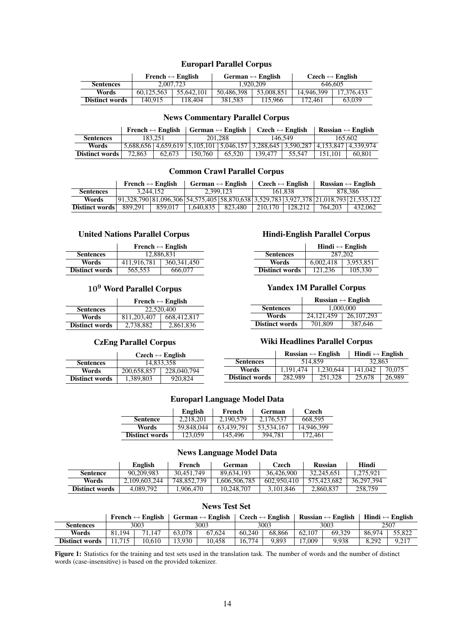# Europarl Parallel Corpus

|                       |            | French $\leftrightarrow$ English |            | German $\leftrightarrow$ English | $Czech \leftrightarrow English$ |            |  |
|-----------------------|------------|----------------------------------|------------|----------------------------------|---------------------------------|------------|--|
| <b>Sentences</b>      | 2.007.723  |                                  |            | 1.920.209                        | 646.605                         |            |  |
| Words                 | 60.125.563 | 55.642.101                       | 50.486.398 | 53,008,851                       | 14.946.399                      | 17.376.433 |  |
| <b>Distinct words</b> | 140.915    | 118.404                          | 381.583    | 115,966                          | 172.461                         | 63,039     |  |

## News Commentary Parallel Corpus

|                  | French $\leftrightarrow$ English |                                                                                               | German $\leftrightarrow$ English |        | $C$ zech $\leftrightarrow$ English |        | Russian $\leftrightarrow$ English |        |  |
|------------------|----------------------------------|-----------------------------------------------------------------------------------------------|----------------------------------|--------|------------------------------------|--------|-----------------------------------|--------|--|
| <b>Sentences</b> | 183.251                          |                                                                                               | 201.288                          |        | 146.549                            |        | 165.602                           |        |  |
| Words            |                                  | 5,688,656   4,659,619   5,105,101   5,046,157   3,288,645   3,590,287   4,153,847   4,339,974 |                                  |        |                                    |        |                                   |        |  |
| Distinct words   | 72,863                           | 62.673                                                                                        | 150.760                          | 65.520 | 139.477                            | 55.547 | 151.101                           | 60.801 |  |

## Common Crawl Parallel Corpus

|                  | French $\leftrightarrow$ English                                                            |         | German $\leftrightarrow$ English |         | $C$ zech $\leftrightarrow$ English |                               | Russian $\leftrightarrow$ English |         |
|------------------|---------------------------------------------------------------------------------------------|---------|----------------------------------|---------|------------------------------------|-------------------------------|-----------------------------------|---------|
| <b>Sentences</b> | 3.244.152                                                                                   |         | 2.399.123                        |         | 161.838                            |                               | 878.386                           |         |
| Words            | $(91,328,790)81,096,306)54,575,405)58,870,638)3,529,783)3,927,378$ $(21,018,793)21,535,122$ |         |                                  |         |                                    |                               |                                   |         |
| Distinct words   | 889.291                                                                                     | 859.017 | 1.640.835                        | 823.480 |                                    | $\frac{1}{210.170}$   128.212 | 764,203                           | 432,062 |

# United Nations Parallel Corpus

|                       | French $\leftrightarrow$ English |               |  |  |  |  |
|-----------------------|----------------------------------|---------------|--|--|--|--|
| <b>Sentences</b>      | 12,886,831                       |               |  |  |  |  |
| Words                 | 411,916,781                      | 360, 341, 450 |  |  |  |  |
| <b>Distinct words</b> | 565,553                          | 666,077       |  |  |  |  |

# 10<sup>9</sup> Word Parallel Corpus

|                       | French $\leftrightarrow$ English |             |  |  |  |  |
|-----------------------|----------------------------------|-------------|--|--|--|--|
| <b>Sentences</b>      | 22,520,400                       |             |  |  |  |  |
| Words                 | 811,203,407                      | 668,412,817 |  |  |  |  |
| <b>Distinct words</b> | 2,738,882                        | 2,861,836   |  |  |  |  |

## CzEng Parallel Corpus

|                       | Czech $\leftrightarrow$ English |             |  |  |  |  |
|-----------------------|---------------------------------|-------------|--|--|--|--|
| <b>Sentences</b>      | 14,833,358                      |             |  |  |  |  |
| Words                 | 200,658,857                     | 228,040,794 |  |  |  |  |
| <b>Distinct words</b> | 1,389,803                       | 920,824     |  |  |  |  |

# Hindi-English Parallel Corpus

|                       | Hindi $\leftrightarrow$ English |           |  |  |  |
|-----------------------|---------------------------------|-----------|--|--|--|
| <b>Sentences</b>      | 287,202                         |           |  |  |  |
| Words                 | 6,002,418                       | 3,953,851 |  |  |  |
| <b>Distinct words</b> | 121.236                         | 105,330   |  |  |  |

### Yandex 1M Parallel Corpus

|                       | Russian $\leftrightarrow$ English |              |  |  |  |
|-----------------------|-----------------------------------|--------------|--|--|--|
| <b>Sentences</b>      | 1,000,000                         |              |  |  |  |
| Words                 | 24,121,459                        | 26, 107, 293 |  |  |  |
| <b>Distinct words</b> | 701,809                           | 387,646      |  |  |  |

## Wiki Headlines Parallel Corpus

|                       |           | Russian $\leftrightarrow$ English | Hindi $\leftrightarrow$ English |        |  |
|-----------------------|-----------|-----------------------------------|---------------------------------|--------|--|
| <b>Sentences</b>      |           | 514.859                           | 32,863                          |        |  |
| Words                 | 1.191.474 | 1.230.644                         | 141,042                         | 70,075 |  |
| <b>Distinct words</b> | 282,989   | 251,328                           | 25,678                          | 26,989 |  |

## Europarl Language Model Data

|                       | English    | French     | German     | Czech      |
|-----------------------|------------|------------|------------|------------|
| <b>Sentence</b>       | 2.218.201  | 2.190.579  | 2.176.537  | 668.595    |
| Words                 | 59.848,044 | 63.439.791 | 53.534.167 | 14,946,399 |
| <b>Distinct words</b> | 123,059    | 145.496    | 394,781    | 172.461    |

### News Language Model Data

|                | English       |             | German       | Czech       | <b>Russian</b> | Hindi      |
|----------------|---------------|-------------|--------------|-------------|----------------|------------|
| Sentence       | 90.209.983    | 30.451.749  | 89.634.193   | 36,426,900  | 32,245,651     | 1.275.921  |
| Words          | 2.109.603.244 | 748.852.739 | .606.506.785 | 602,950,410 | 575.423.682    | 36.297.394 |
| Distinct words | 4.089.792     | .906.470    | 10.248.707   | 3.101.846   | 2,860,837      | 258,759    |

## News Test Set

|                       | German $\leftrightarrow$ English<br>French $\leftrightarrow$ English |        |        | $\mathcal{C}$ zech $\leftrightarrow$ English |        | Russian $\leftrightarrow$ English   Hindi $\leftrightarrow$ English |        |        |        |        |  |
|-----------------------|----------------------------------------------------------------------|--------|--------|----------------------------------------------|--------|---------------------------------------------------------------------|--------|--------|--------|--------|--|
| Sentences             |                                                                      | 3003   |        | 3003                                         |        | 3003                                                                |        | 3003   |        | 2507   |  |
| Words                 | 81.194                                                               | 71.147 | 63.078 | 67.624                                       | 60.240 | 68.866                                                              | 62.107 | 69.329 | 86.974 | 55,822 |  |
| <b>Distinct words</b> | 11.715                                                               | 10.610 | 13.930 | 10.458                                       | 16.774 | 9.893                                                               | 17.009 | 9.938  | 8.292  | 9.217  |  |

Figure 1: Statistics for the training and test sets used in the translation task. The number of words and the number of distinct words (case-insensitive) is based on the provided tokenizer.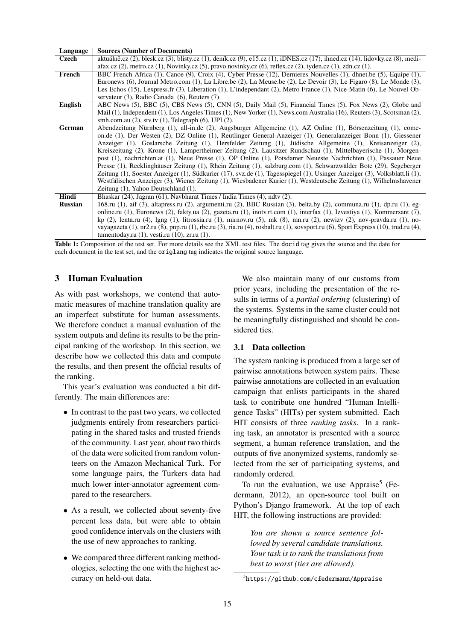| Language       | <b>Sources (Number of Documents)</b>                                                                                                                         |
|----------------|--------------------------------------------------------------------------------------------------------------------------------------------------------------|
| Czech          | aktuálně.cz (2), blesk.cz (3), blisty.cz (1), deník.cz (9), e15.cz (1), iDNES.cz (17), ihned.cz (14), lidovky.cz (8), medi-                                  |
|                | afax.cz $(2)$ , metro.cz $(1)$ , Novinky.cz $(5)$ , pravo.novinky.cz $(6)$ , reflex.cz $(2)$ , tyden.cz $(1)$ , zdn.cz $(1)$ .                               |
| French         | BBC French Africa (1), Canoe (9), Croix (4), Cyber Presse (12), Dernieres Nouvelles (1), dhnet.be (5), Equipe (1),                                           |
|                | Euronews (6), Journal Metro.com (1), La Libre.be (2), La Meuse.be (2), Le Devoir (3), Le Figaro (8), Le Monde (3),                                           |
|                | Les Echos (15), Lexpress.fr (3), Liberation (1), L'independant (2), Metro France (1), Nice-Matin (6), Le Nouvel Ob-                                          |
|                | servateur (3), Radio Canada (6), Reuters (7).                                                                                                                |
| English        | ABC News (5), BBC (5), CBS News (5), CNN (5), Daily Mail (5), Financial Times (5), Fox News (2), Globe and                                                   |
|                | Mail (1), Independent (1), Los Angeles Times (1), New Yorker (1), News.com Australia (16), Reuters (3), Scotsman (2),                                        |
|                | smh.com.au $(2)$ , stv.tv $(1)$ , Telegraph $(6)$ , UPI $(2)$ .                                                                                              |
| <b>German</b>  | Abendzeitung Nürnberg (1), all-in.de (2), Augsburger Allgemeine (1), AZ Online (1), Börsenzeitung (1), come-                                                 |
|                | on.de (1), Der Westen (2), DZ Online (1), Reutlinger General-Anzeiger (1), Generalanzeiger Bonn (1), Giessener                                               |
|                | Anzeiger (1), Goslarsche Zeitung (1), Hersfelder Zeitung (1), Jüdische Allgemeine (1), Kreisanzeiger (2),                                                    |
|                | Kreiszeitung (2), Krone (1), Lampertheimer Zeitung (2), Lausitzer Rundschau (1), Mittelbayerische (1), Morgen-                                               |
|                | post (1), nachrichten.at (1), Neue Presse (1), OP Online (1), Potsdamer Neueste Nachrichten (1), Passauer Neue                                               |
|                | Presse (1), Recklinghäuser Zeitung (1), Rhein Zeitung (1), salzburg.com (1), Schwarzwälder Bote (29), Segeberger                                             |
|                | Zeitung (1), Soester Anzeiger (1), Südkurier (17), svz.de (1), Tagesspiegel (1), Usinger Anzeiger (3), Volksblatt.li (1),                                    |
|                | Westfälischen Anzeiger (3), Wiener Zeitung (1), Wiesbadener Kurier (1), Westdeutsche Zeitung (1), Wilhelmshavener                                            |
|                | Zeitung (1), Yahoo Deutschland (1).                                                                                                                          |
| Hindi          | Bhaskar (24), Jagran (61), Navbharat Times / India Times (4), ndtv (2).                                                                                      |
| <b>Russian</b> | 168.ru (1), aif (3), altapress.ru (2), argumenti.ru (2), BBC Russian (3), belta.by (2), communa.ru (1), dp.ru (1), eg-                                       |
|                | online.ru (1), Euronews (2), fakty.ua (2), gazeta.ru (1), inoty.rt.com (1), interfax (1), Izvestiya (1), Kommersant (7),                                     |
|                | kp (2), lenta.ru (4), lgng (1), litrossia.ru (1), mirnov.ru (5), mk (8), mn.ru (2), newizv (2), nov-pravda.ru (1), no-                                       |
|                | vayagazeta $(1)$ , nr2.ru $(8)$ , pnp.ru $(1)$ , rbc.ru $(3)$ , ria.ru $(4)$ , rosbalt.ru $(1)$ , sovsport.ru $(6)$ , Sport Express $(10)$ , trud.ru $(4)$ , |
|                | tumentoday.ru $(1)$ , vesti.ru $(10)$ , zr.ru $(1)$ .                                                                                                        |

Table 1: Composition of the test set. For more details see the XML test files. The docid tag gives the source and the date for each document in the test set, and the origlang tag indicates the original source language.

## 3 Human Evaluation

As with past workshops, we contend that automatic measures of machine translation quality are an imperfect substitute for human assessments. We therefore conduct a manual evaluation of the system outputs and define its results to be the principal ranking of the workshop. In this section, we describe how we collected this data and compute the results, and then present the official results of the ranking.

This year's evaluation was conducted a bit differently. The main differences are:

- In contrast to the past two years, we collected judgments entirely from researchers participating in the shared tasks and trusted friends of the community. Last year, about two thirds of the data were solicited from random volunteers on the Amazon Mechanical Turk. For some language pairs, the Turkers data had much lower inter-annotator agreement compared to the researchers.
- As a result, we collected about seventy-five percent less data, but were able to obtain good confidence intervals on the clusters with the use of new approaches to ranking.
- We compared three different ranking methodologies, selecting the one with the highest accuracy on held-out data.

We also maintain many of our customs from prior years, including the presentation of the results in terms of a *partial ordering* (clustering) of the systems. Systems in the same cluster could not be meaningfully distinguished and should be considered ties.

## 3.1 Data collection

The system ranking is produced from a large set of pairwise annotations between system pairs. These pairwise annotations are collected in an evaluation campaign that enlists participants in the shared task to contribute one hundred "Human Intelligence Tasks" (HITs) per system submitted. Each HIT consists of three *ranking tasks*. In a ranking task, an annotator is presented with a source segment, a human reference translation, and the outputs of five anonymized systems, randomly selected from the set of participating systems, and randomly ordered.

To run the evaluation, we use Appraise<sup>5</sup> (Federmann, 2012), an open-source tool built on Python's Django framework. At the top of each HIT, the following instructions are provided:

*You are shown a source sentence followed by several candidate translations. Your task is to rank the translations from best to worst (ties are allowed).*

<sup>5</sup> https://github.com/cfedermann/Appraise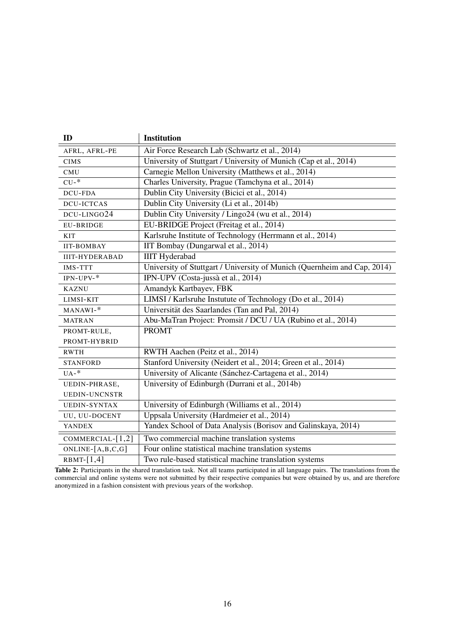| ID                    | <b>Institution</b>                                                       |
|-----------------------|--------------------------------------------------------------------------|
| AFRL, AFRL-PE         | Air Force Research Lab (Schwartz et al., 2014)                           |
| <b>CIMS</b>           | University of Stuttgart / University of Munich (Cap et al., 2014)        |
| CMU                   | Carnegie Mellon University (Matthews et al., 2014)                       |
| $CU-$ *               | Charles University, Prague (Tamchyna et al., 2014)                       |
| <b>DCU-FDA</b>        | Dublin City University (Bicici et al., 2014)                             |
| <b>DCU-ICTCAS</b>     | Dublin City University (Li et al., 2014b)                                |
| DCU-LINGO24           | Dublin City University / Lingo24 (wu et al., 2014)                       |
| <b>EU-BRIDGE</b>      | EU-BRIDGE Project (Freitag et al., 2014)                                 |
| <b>KIT</b>            | Karlsruhe Institute of Technology (Herrmann et al., 2014)                |
| <b>IIT-BOMBAY</b>     | IIT Bombay (Dungarwal et al., 2014)                                      |
| <b>IIIT-HYDERABAD</b> | <b>IIIT</b> Hyderabad                                                    |
| <b>IMS-TTT</b>        | University of Stuttgart / University of Munich (Quernheim and Cap, 2014) |
| $IPN-UPV-$ *          | IPN-UPV (Costa-jussà et al., 2014)                                       |
| <b>KAZNU</b>          | Amandyk Kartbayev, FBK                                                   |
| LIMSI-KIT             | LIMSI / Karlsruhe Instutute of Technology (Do et al., 2014)              |
| MANAWI-*              | Universität des Saarlandes (Tan and Pal, 2014)                           |
| <b>MATRAN</b>         | Abu-MaTran Project: Promsit / DCU / UA (Rubino et al., 2014)             |
| PROMT-RULE,           | <b>PROMT</b>                                                             |
| PROMT-HYBRID          |                                                                          |
| <b>RWTH</b>           | RWTH Aachen (Peitz et al., 2014)                                         |
| <b>STANFORD</b>       | Stanford University (Neidert et al., 2014; Green et al., 2014)           |
| $UA-$ *               | University of Alicante (Sánchez-Cartagena et al., 2014)                  |
| UEDIN-PHRASE,         | University of Edinburgh (Durrani et al., 2014b)                          |
| <b>UEDIN-UNCNSTR</b>  |                                                                          |
| <b>UEDIN-SYNTAX</b>   | University of Edinburgh (Williams et al., 2014)                          |
| UU, UU-DOCENT         | Uppsala University (Hardmeier et al., 2014)                              |
| <b>YANDEX</b>         | Yandex School of Data Analysis (Borisov and Galinskaya, 2014)            |
| COMMERCIAL- $[1,2]$   | Two commercial machine translation systems                               |
| $ONLINE-[A,B,C,G]$    | Four online statistical machine translation systems                      |
| $RBMT-[1,4]$          | Two rule-based statistical machine translation systems                   |

Table 2: Participants in the shared translation task. Not all teams participated in all language pairs. The translations from the commercial and online systems were not submitted by their respective companies but were obtained by us, and are therefore anonymized in a fashion consistent with previous years of the workshop.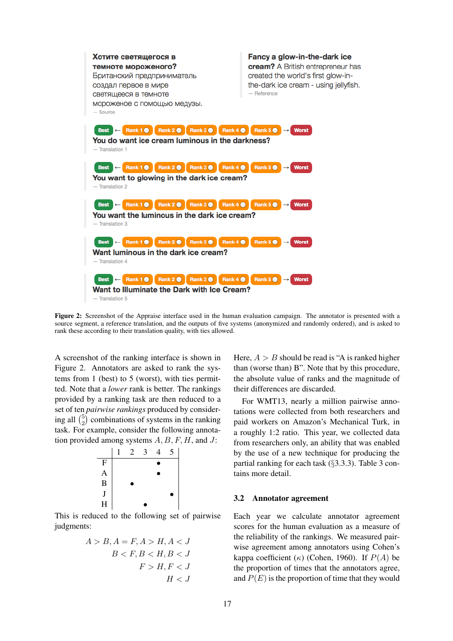

Figure 2: Screenshot of the Appraise interface used in the human evaluation campaign. The annotator is presented with a source segment, a reference translation, and the outputs of five systems (anonymized and randomly ordered), and is asked to rank these according to their translation quality, with ties allowed.

A screenshot of the ranking interface is shown in Figure 2. Annotators are asked to rank the systems from 1 (best) to 5 (worst), with ties permitted. Note that a *lower* rank is better. The rankings provided by a ranking task are then reduced to a set of ten *pairwise rankings* produced by considering all  $\binom{5}{2}$  $_{2}^{5}$ ) combinations of systems in the ranking task. For example, consider the following annotation provided among systems  $A, B, F, H$ , and J:



This is reduced to the following set of pairwise judgments:

$$
A > B, A = F, A > H, A < J
$$
  

$$
B < F, B < H, B < J
$$
  

$$
F > H, F < J
$$
  

$$
H < J
$$

Here,  $A > B$  should be read is "A is ranked higher than (worse than) B". Note that by this procedure, the absolute value of ranks and the magnitude of their differences are discarded.

For WMT13, nearly a million pairwise annotations were collected from both researchers and paid workers on Amazon's Mechanical Turk, in a roughly 1:2 ratio. This year, we collected data from researchers only, an ability that was enabled by the use of a new technique for producing the partial ranking for each task (§3.3.3). Table 3 contains more detail.

### 3.2 Annotator agreement

Each year we calculate annotator agreement scores for the human evaluation as a measure of the reliability of the rankings. We measured pairwise agreement among annotators using Cohen's kappa coefficient ( $\kappa$ ) (Cohen, 1960). If  $P(A)$  be the proportion of times that the annotators agree, and  $P(E)$  is the proportion of time that they would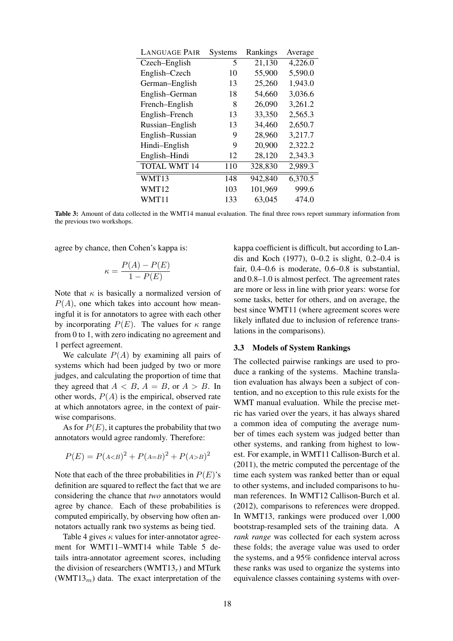| <b>LANGUAGE PAIR</b> | Systems | Rankings | Average |
|----------------------|---------|----------|---------|
| Czech–English        | 5       | 21,130   | 4,226.0 |
| English-Czech        | 10      | 55,900   | 5,590.0 |
| German-English       | 13      | 25,260   | 1,943.0 |
| English-German       | 18      | 54,660   | 3,036.6 |
| French-English       | 8       | 26,090   | 3,261.2 |
| English-French       | 13      | 33,350   | 2,565.3 |
| Russian-English      | 13      | 34,460   | 2,650.7 |
| English-Russian      | 9       | 28,960   | 3,217.7 |
| Hindi-English        | 9       | 20,900   | 2,322.2 |
| English-Hindi        | 12      | 28,120   | 2,343.3 |
| <b>TOTAL WMT 14</b>  | 110     | 328,830  | 2,989.3 |
| WMT13                | 148     | 942,840  | 6,370.5 |
| WMT12                | 103     | 101,969  | 999.6   |
| WMT11                | 133     | 63,045   | 474.0   |

Table 3: Amount of data collected in the WMT14 manual evaluation. The final three rows report summary information from the previous two workshops.

agree by chance, then Cohen's kappa is:

$$
\kappa = \frac{P(A) - P(E)}{1 - P(E)}
$$

Note that  $\kappa$  is basically a normalized version of  $P(A)$ , one which takes into account how meaningful it is for annotators to agree with each other by incorporating  $P(E)$ . The values for  $\kappa$  range from 0 to 1, with zero indicating no agreement and 1 perfect agreement.

We calculate  $P(A)$  by examining all pairs of systems which had been judged by two or more judges, and calculating the proportion of time that they agreed that  $A < B$ ,  $A = B$ , or  $A > B$ . In other words,  $P(A)$  is the empirical, observed rate at which annotators agree, in the context of pairwise comparisons.

As for  $P(E)$ , it captures the probability that two annotators would agree randomly. Therefore:

$$
P(E) = P(A < B)^2 + P(A = B)^2 + P(A > B)^2
$$

Note that each of the three probabilities in  $P(E)$ 's definition are squared to reflect the fact that we are considering the chance that *two* annotators would agree by chance. Each of these probabilities is computed empirically, by observing how often annotators actually rank two systems as being tied.

Table 4 gives  $\kappa$  values for inter-annotator agreement for WMT11–WMT14 while Table 5 details intra-annotator agreement scores, including the division of researchers (WMT13 $<sub>r</sub>$ ) and MTurk</sub> (WMT13 $<sub>m</sub>$ ) data. The exact interpretation of the</sub>

kappa coefficient is difficult, but according to Landis and Koch (1977), 0–0.2 is slight, 0.2–0.4 is fair, 0.4–0.6 is moderate, 0.6–0.8 is substantial, and 0.8–1.0 is almost perfect. The agreement rates are more or less in line with prior years: worse for some tasks, better for others, and on average, the best since WMT11 (where agreement scores were likely inflated due to inclusion of reference translations in the comparisons).

### 3.3 Models of System Rankings

The collected pairwise rankings are used to produce a ranking of the systems. Machine translation evaluation has always been a subject of contention, and no exception to this rule exists for the WMT manual evaluation. While the precise metric has varied over the years, it has always shared a common idea of computing the average number of times each system was judged better than other systems, and ranking from highest to lowest. For example, in WMT11 Callison-Burch et al. (2011), the metric computed the percentage of the time each system was ranked better than or equal to other systems, and included comparisons to human references. In WMT12 Callison-Burch et al. (2012), comparisons to references were dropped. In WMT13, rankings were produced over 1,000 bootstrap-resampled sets of the training data. A *rank range* was collected for each system across these folds; the average value was used to order the systems, and a 95% confidence interval across these ranks was used to organize the systems into equivalence classes containing systems with over-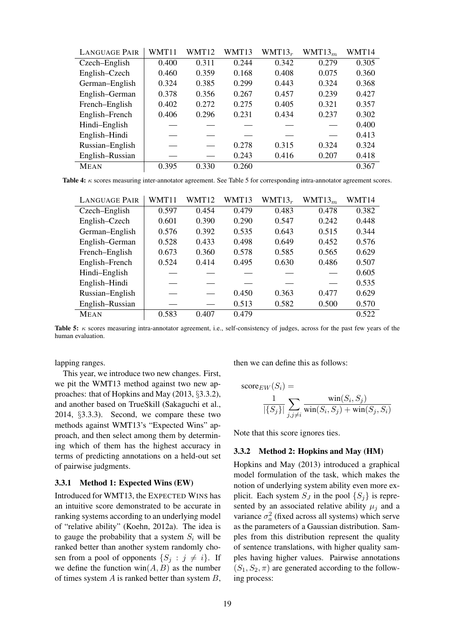| <b>LANGUAGE PAIR</b> | WMT11 | WMT12 | WMT13 | $WMT13_r$ | WMT13 <sub>m</sub> | WMT14 |
|----------------------|-------|-------|-------|-----------|--------------------|-------|
| Czech–English        | 0.400 | 0.311 | 0.244 | 0.342     | 0.279              | 0.305 |
| English-Czech        | 0.460 | 0.359 | 0.168 | 0.408     | 0.075              | 0.360 |
| German-English       | 0.324 | 0.385 | 0.299 | 0.443     | 0.324              | 0.368 |
| English-German       | 0.378 | 0.356 | 0.267 | 0.457     | 0.239              | 0.427 |
| French-English       | 0.402 | 0.272 | 0.275 | 0.405     | 0.321              | 0.357 |
| English-French       | 0.406 | 0.296 | 0.231 | 0.434     | 0.237              | 0.302 |
| Hindi-English        |       |       |       |           |                    | 0.400 |
| English-Hindi        |       |       |       |           |                    | 0.413 |
| Russian-English      |       |       | 0.278 | 0.315     | 0.324              | 0.324 |
| English-Russian      |       |       | 0.243 | 0.416     | 0.207              | 0.418 |
| <b>MEAN</b>          | 0.395 | 0.330 | 0.260 |           |                    | 0.367 |

Table 4: κ scores measuring inter-annotator agreement. See Table 5 for corresponding intra-annotator agreement scores.

| <b>LANGUAGE PAIR</b> | WMT11 | WMT12 | WMT13 | $WMT13_r$ | WMT13 <sub>m</sub> | WMT14 |
|----------------------|-------|-------|-------|-----------|--------------------|-------|
| Czech-English        | 0.597 | 0.454 | 0.479 | 0.483     | 0.478              | 0.382 |
| English-Czech        | 0.601 | 0.390 | 0.290 | 0.547     | 0.242              | 0.448 |
| German-English       | 0.576 | 0.392 | 0.535 | 0.643     | 0.515              | 0.344 |
| English-German       | 0.528 | 0.433 | 0.498 | 0.649     | 0.452              | 0.576 |
| French-English       | 0.673 | 0.360 | 0.578 | 0.585     | 0.565              | 0.629 |
| English-French       | 0.524 | 0.414 | 0.495 | 0.630     | 0.486              | 0.507 |
| Hindi-English        |       |       |       |           |                    | 0.605 |
| English-Hindi        |       |       |       |           |                    | 0.535 |
| Russian-English      |       |       | 0.450 | 0.363     | 0.477              | 0.629 |
| English-Russian      |       |       | 0.513 | 0.582     | 0.500              | 0.570 |
| <b>MEAN</b>          | 0.583 | 0.407 | 0.479 |           |                    | 0.522 |

Table 5:  $\kappa$  scores measuring intra-annotator agreement, i.e., self-consistency of judges, across for the past few years of the human evaluation.

lapping ranges.

This year, we introduce two new changes. First, we pit the WMT13 method against two new approaches: that of Hopkins and May (2013, §3.3.2), and another based on TrueSkill (Sakaguchi et al., 2014, §3.3.3). Second, we compare these two methods against WMT13's "Expected Wins" approach, and then select among them by determining which of them has the highest accuracy in terms of predicting annotations on a held-out set of pairwise judgments.

### 3.3.1 Method 1: Expected Wins (EW)

Introduced for WMT13, the EXPECTED WINS has an intuitive score demonstrated to be accurate in ranking systems according to an underlying model of "relative ability" (Koehn, 2012a). The idea is to gauge the probability that a system  $S_i$  will be ranked better than another system randomly chosen from a pool of opponents  $\{S_j : j \neq i\}$ . If we define the function  $win(A, B)$  as the number of times system  $A$  is ranked better than system  $B$ ,

then we can define this as follows:

$$
score_{EW}(S_i) = \frac{1}{|\{S_j\}|} \sum_{j,j \neq i} \frac{\text{win}(S_i, S_j)}{\text{win}(S_i, S_j) + \text{win}(S_j, S_i)}
$$

Note that this score ignores ties.

### 3.3.2 Method 2: Hopkins and May (HM)

Hopkins and May (2013) introduced a graphical model formulation of the task, which makes the notion of underlying system ability even more explicit. Each system  $S_J$  in the pool  $\{S_i\}$  is represented by an associated relative ability  $\mu_j$  and a variance  $\sigma_a^2$  (fixed across all systems) which serve as the parameters of a Gaussian distribution. Samples from this distribution represent the quality of sentence translations, with higher quality samples having higher values. Pairwise annotations  $(S_1, S_2, \pi)$  are generated according to the following process: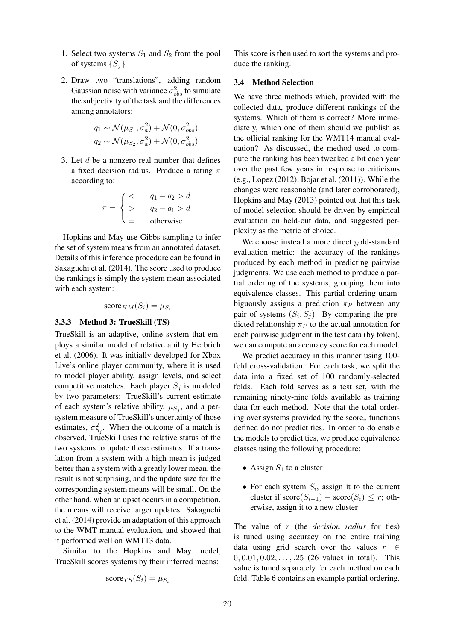- 1. Select two systems  $S_1$  and  $S_2$  from the pool of systems  $\{S_i\}$
- 2. Draw two "translations", adding random Gaussian noise with variance  $\sigma_{obs}^2$  to simulate the subjectivity of the task and the differences among annotators:

$$
q_1 \sim \mathcal{N}(\mu_{S_1}, \sigma_a^2) + \mathcal{N}(0, \sigma_{obs}^2)
$$
  

$$
q_2 \sim \mathcal{N}(\mu_{S_2}, \sigma_a^2) + \mathcal{N}(0, \sigma_{obs}^2)
$$

3. Let d be a nonzero real number that defines a fixed decision radius. Produce a rating  $\pi$ according to:

$$
\pi = \begin{cases}\n< & q_1 - q_2 > d \\
> & q_2 - q_1 > d \\
= & \text{otherwise}\n\end{cases}
$$

Hopkins and May use Gibbs sampling to infer the set of system means from an annotated dataset. Details of this inference procedure can be found in Sakaguchi et al. (2014). The score used to produce the rankings is simply the system mean associated with each system:

$$
score_{HM}(S_i) = \mu_{S_i}
$$

### 3.3.3 Method 3: TrueSkill (TS)

TrueSkill is an adaptive, online system that employs a similar model of relative ability Herbrich et al. (2006). It was initially developed for Xbox Live's online player community, where it is used to model player ability, assign levels, and select competitive matches. Each player  $S_j$  is modeled by two parameters: TrueSkill's current estimate of each system's relative ability,  $\mu_{S_j}$ , and a persystem measure of TrueSkill's uncertainty of those estimates,  $\sigma_{S_j}^2$ . When the outcome of a match is observed, TrueSkill uses the relative status of the two systems to update these estimates. If a translation from a system with a high mean is judged better than a system with a greatly lower mean, the result is not surprising, and the update size for the corresponding system means will be small. On the other hand, when an upset occurs in a competition, the means will receive larger updates. Sakaguchi et al. (2014) provide an adaptation of this approach to the WMT manual evaluation, and showed that it performed well on WMT13 data.

Similar to the Hopkins and May model, TrueSkill scores systems by their inferred means:

$$
\text{score}_{TS}(S_i) = \mu_{S_i}
$$

This score is then used to sort the systems and produce the ranking.

### 3.4 Method Selection

We have three methods which, provided with the collected data, produce different rankings of the systems. Which of them is correct? More immediately, which one of them should we publish as the official ranking for the WMT14 manual evaluation? As discussed, the method used to compute the ranking has been tweaked a bit each year over the past few years in response to criticisms (e.g., Lopez (2012); Bojar et al. (2011)). While the changes were reasonable (and later corroborated), Hopkins and May (2013) pointed out that this task of model selection should be driven by empirical evaluation on held-out data, and suggested perplexity as the metric of choice.

We choose instead a more direct gold-standard evaluation metric: the accuracy of the rankings produced by each method in predicting pairwise judgments. We use each method to produce a partial ordering of the systems, grouping them into equivalence classes. This partial ordering unambiguously assigns a prediction  $\pi_P$  between any pair of systems  $(S_i, S_j)$ . By comparing the predicted relationship  $\pi_P$  to the actual annotation for each pairwise judgment in the test data (by token), we can compute an accuracy score for each model.

We predict accuracy in this manner using 100fold cross-validation. For each task, we split the data into a fixed set of 100 randomly-selected folds. Each fold serves as a test set, with the remaining ninety-nine folds available as training data for each method. Note that the total ordering over systems provided by the score<sup>∗</sup> functions defined do not predict ties. In order to do enable the models to predict ties, we produce equivalence classes using the following procedure:

- Assign  $S_1$  to a cluster
- For each system  $S_i$ , assign it to the current cluster if  $score(S_{i-1}) - score(S_i) \leq r$ ; otherwise, assign it to a new cluster

The value of r (the *decision radius* for ties) is tuned using accuracy on the entire training data using grid search over the values  $r \in$  $0, 0.01, 0.02, \ldots, .25$  (26 values in total). This value is tuned separately for each method on each fold. Table 6 contains an example partial ordering.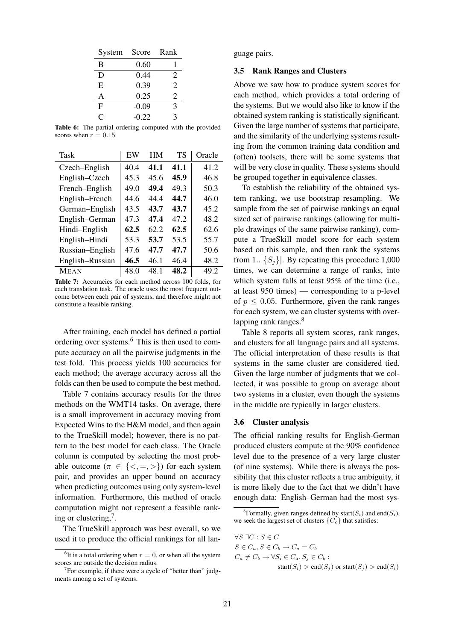| System            | Score   | Rank           |
|-------------------|---------|----------------|
| B                 | 0.60    |                |
| D                 | 0.44    | 2              |
| E                 | 0.39    | 2              |
| A                 | 0.25    | $\mathfrak{D}$ |
| F                 | $-0.09$ | 3              |
| $\mathsf{\Gamma}$ | $-0.22$ | 3              |

Table 6: The partial ordering computed with the provided scores when  $r = 0.15$ .

| Task            | EW   | HM   | TS   | Oracle |
|-----------------|------|------|------|--------|
| Czech–English   | 40.4 | 41.1 | 41.1 | 41.2   |
| English-Czech   | 45.3 | 45.6 | 45.9 | 46.8   |
| French-English  | 49.0 | 49.4 | 49.3 | 50.3   |
| English-French  | 44.6 | 44.4 | 44.7 | 46.0   |
| German-English  | 43.5 | 43.7 | 43.7 | 45.2   |
| English-German  | 47.3 | 47.4 | 47.2 | 48.2   |
| Hindi-English   | 62.5 | 62.2 | 62.5 | 62.6   |
| English-Hindi   | 53.3 | 53.7 | 53.5 | 55.7   |
| Russian-English | 47.6 | 47.7 | 47.7 | 50.6   |
| English-Russian | 46.5 | 46.1 | 46.4 | 48.2   |
| <b>MEAN</b>     | 48.0 | 48.1 | 48.2 | 49.2   |

Table 7: Accuracies for each method across 100 folds, for each translation task. The oracle uses the most frequent outcome between each pair of systems, and therefore might not constitute a feasible ranking.

After training, each model has defined a partial ordering over systems.<sup>6</sup> This is then used to compute accuracy on all the pairwise judgments in the test fold. This process yields 100 accuracies for each method; the average accuracy across all the folds can then be used to compute the best method.

Table 7 contains accuracy results for the three methods on the WMT14 tasks. On average, there is a small improvement in accuracy moving from Expected Wins to the H&M model, and then again to the TrueSkill model; however, there is no pattern to the best model for each class. The Oracle column is computed by selecting the most probable outcome  $(\pi \in \{<, =, >\})$  for each system pair, and provides an upper bound on accuracy when predicting outcomes using only system-level information. Furthermore, this method of oracle computation might not represent a feasible ranking or clustering,<sup>7</sup>.

The TrueSkill approach was best overall, so we used it to produce the official rankings for all language pairs.

### 3.5 Rank Ranges and Clusters

Above we saw how to produce system scores for each method, which provides a total ordering of the systems. But we would also like to know if the obtained system ranking is statistically significant. Given the large number of systems that participate, and the similarity of the underlying systems resulting from the common training data condition and (often) toolsets, there will be some systems that will be very close in quality. These systems should be grouped together in equivalence classes.

To establish the reliability of the obtained system ranking, we use bootstrap resampling. We sample from the set of pairwise rankings an equal sized set of pairwise rankings (allowing for multiple drawings of the same pairwise ranking), compute a TrueSkill model score for each system based on this sample, and then rank the systems from 1.. $|\{S_i\}|$ . By repeating this procedure 1,000 times, we can determine a range of ranks, into which system falls at least 95% of the time (i.e., at least 950 times) — corresponding to a p-level of  $p \leq 0.05$ . Furthermore, given the rank ranges for each system, we can cluster systems with overlapping rank ranges.<sup>8</sup>

Table 8 reports all system scores, rank ranges, and clusters for all language pairs and all systems. The official interpretation of these results is that systems in the same cluster are considered tied. Given the large number of judgments that we collected, it was possible to group on average about two systems in a cluster, even though the systems in the middle are typically in larger clusters.

### 3.6 Cluster analysis

The official ranking results for English-German produced clusters compute at the 90% confidence level due to the presence of a very large cluster (of nine systems). While there is always the possibility that this cluster reflects a true ambiguity, it is more likely due to the fact that we didn't have enough data: English–German had the most sys-

$$
\forall S \ \exists C : S \in C
$$
  
\n
$$
S \in C_a, S \in C_b \to C_a = C_b
$$
  
\n
$$
C_a \neq C_b \to \forall S_i \in C_a, S_j \in C_b :
$$

start( $S_i$ ) > end( $S_j$ ) or start( $S_j$ ) > end( $S_i$ )

<sup>&</sup>lt;sup>6</sup>It is a total ordering when  $r = 0$ , or when all the system scores are outside the decision radius.

 $7$ For example, if there were a cycle of "better than" judgments among a set of systems.

<sup>&</sup>lt;sup>8</sup> Formally, given ranges defined by start( $S_i$ ) and end( $S_i$ ), we seek the largest set of clusters  $\{C_c\}$  that satisfies: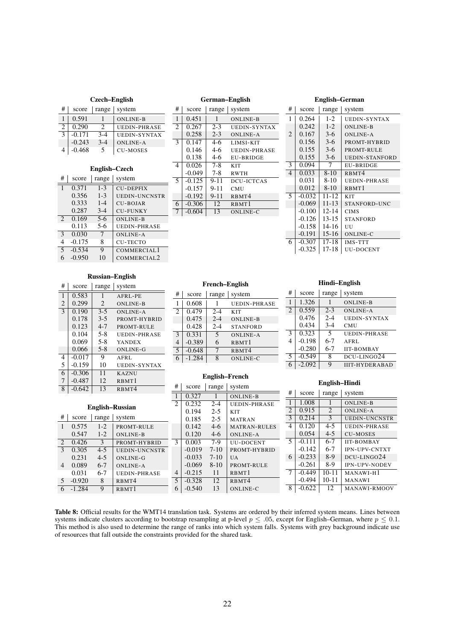| # | score    | range   | system              |
|---|----------|---------|---------------------|
|   | 0.591    |         | <b>ONLINE-B</b>     |
| 2 | 0.290    | 2       | <b>UEDIN-PHRASE</b> |
| 3 | $-0.171$ | $3 - 4$ | <b>UEDIN-SYNTAX</b> |
|   | $-0.243$ | $3-4$   | ONLINE-A            |
|   | $-0.468$ | 5       | <b>CU-MOSES</b>     |

#### English–Czech  $\#$  score | range | system 1 0.371 1-3 CU-DEPFIX<br>0.356 1-3 UEDIN-UNC  $0.356$  1-3 UEDIN-UNCNSTR<br>0.333 1-4 CU-BOJAR  $0.333$  1-4 CU-BOJAR<br>0.287 3-4 CU-FUNKY  $\begin{array}{c|c}\n3-4 & \text{CU-FUNKY}\n\hline\n5-6 & \text{ONLINE-B}\n\end{array}$ 2 0.169 5-6 ONLINE-B<br>0.113 5-6 UEDIN-PH UEDIN-PHRASE 3 0.030 7 ONLINE-A<br>4 -0.175 8 CU-TECTO 4 -0.175 8 CU-TECTO<br>5 -0.534 9 COMMERC COMMERCIAL1 6 -0.950 10 COMMERCIAL2

#### German–English

| #              | score    | range    | system            |
|----------------|----------|----------|-------------------|
| $\mathbf{1}$   | 0.451    | 1        | <b>ONLINE-B</b>   |
| 2              | 0.267    | $2 - 3$  | UEDIN-SYNTAX      |
|                | 0.258    | $2 - 3$  | <b>ONLINE-A</b>   |
| 3              | 0.147    | $4-6$    | LIMSI-KIT         |
|                | 0.146    | $4-6$    | UEDIN-PHRASE      |
|                | 0.138    | $4-6$    | <b>EU-BRIDGE</b>  |
| $\overline{4}$ | 0.026    | $7 - 8$  | KIT               |
|                | $-0.049$ | $7-8$    | <b>RWTH</b>       |
| $\sim$         | $-0.125$ | $9 - 11$ | DCU-ICTCAS        |
|                | $-0.157$ | $9 - 11$ | <b>CMU</b>        |
|                | $-0.192$ | $9 - 11$ | RBMT4             |
| 6              | $-0.306$ | 12       | RBMT <sub>1</sub> |
| 7              | $-0.604$ | 13       | <b>ONLINE-C</b>   |
|                |          |          |                   |

#### English–German

|                | Luguon<br>ouman |           |                       |  |  |  |
|----------------|-----------------|-----------|-----------------------|--|--|--|
| #              | score           | range     | system                |  |  |  |
| 1              | 0.264           | $1-2$     | <b>UEDIN-SYNTAX</b>   |  |  |  |
|                | 0.242           | $1 - 2$   | <b>ONLINE-B</b>       |  |  |  |
| $\overline{2}$ | 0.167           | $3-6$     | ONLINE-A              |  |  |  |
|                | 0.156           | $3-6$     | PROMT-HYBRID          |  |  |  |
|                | 0.155           | $3-6$     | PROMT-RULE            |  |  |  |
|                | 0.155           | $3-6$     | <b>UEDIN-STANFORD</b> |  |  |  |
| 3              | 0.094           | 7         | <b>EU-BRIDGE</b>      |  |  |  |
| $\overline{4}$ | 0.033           | $8 - 10$  | R <sub>BMT4</sub>     |  |  |  |
|                | 0.031           | $8-10$    | <b>UEDIN-PHRASE</b>   |  |  |  |
|                | 0.012           | $8-10$    | RBMT1                 |  |  |  |
| 5              | $-0.032$        | $11 - 12$ | <b>KIT</b>            |  |  |  |
|                | $-0.069$        | $11 - 13$ | STANFORD-UNC          |  |  |  |
|                | $-0.100$        | $12 - 14$ | <b>CIMS</b>           |  |  |  |
|                | $-0.126$        | 13-15     | <b>STANFORD</b>       |  |  |  |
|                | $-0.158$        | 14-16     | UU                    |  |  |  |
|                | $-0.191$        | 15-16     | <b>ONLINE-C</b>       |  |  |  |
| 6              | $-0.307$        | 17-18     | <b>IMS-TTT</b>        |  |  |  |
|                | $-0.325$        | 17-18     | <b>UU-DOCENT</b>      |  |  |  |

### Russian–English

| #                        | score    | range          | system                         |
|--------------------------|----------|----------------|--------------------------------|
| 1                        | 0.583    | 1              | AFRL-PE                        |
| $\overline{2}$           | 0.299    | $\mathfrak{D}$ | <b>ONLINE-B</b>                |
| $\overline{\mathcal{E}}$ | 0.190    | $3-5$          | <b>ONLINE-A</b>                |
|                          | 0.178    | $3-5$          | PROMT-HYBRID                   |
|                          | 0.123    | $4 - 7$        | PROMT-RULE                     |
|                          | 0.104    | $5 - 8$        | UEDIN-PHRASE                   |
|                          | 0.069    | $5 - 8$        | <b>YANDEX</b>                  |
|                          | 0.066    | $5 - 8$        | <b>ONLINE-G</b>                |
| 4                        | $-0.017$ | 9              | AFRL                           |
| 5                        | $-0.159$ | 10             | <b>UEDIN-SYNTAX</b>            |
| 6                        | $-0.306$ | 11             | <b>KAZNU</b>                   |
| 7                        | $-0.487$ | 12             | RBMT1                          |
| 8                        | $-0.642$ | 13             | R <sub>BM</sub> T <sub>4</sub> |

English–Russian

ONLINE-B

1 0.575 1-2 PROMT-RULE<br>0.547 1-2 ONLINE-B

2 0.426 3 PROMT-HYBRID<br>3 0.305 4-5 UEDIN-UNCNSTI 0.305 4-5 UEDIN-UNCNSTR<br>0.231 4-5 ONLINE-G  $0.231$  4-5 ONLINE-G  $\begin{array}{|c|c|c|c|c|} \hline 4 & 0.089 & 6-7 & \text{ONLINE-A} \\ \hline 0.031 & 6-7 & \text{UEDIN-PH} \end{array}$ 0.031 6-7 UEDIN-PHRASE<br>-0.920 8 RBMT4

# | score | range | system

5 -0.920 8 RBMT4 6 -1.284 9 RBMT1

#### French–English

| #                        | score    | range   | system              |
|--------------------------|----------|---------|---------------------|
|                          | 0.608    |         | <b>UEDIN-PHRASE</b> |
| $\overline{c}$           | 0.479    | $2 - 4$ | <b>KIT</b>          |
|                          | 0.475    | $2 - 4$ | <b>ONLINE-B</b>     |
|                          | 0.428    | $2 - 4$ | <b>STANFORD</b>     |
| 3                        | 0.331    | 5       | <b>ONLINE-A</b>     |
|                          | $-0.389$ | 6       | RBMT1               |
| $\overline{\phantom{0}}$ | $-0.648$ |         | RBMT4               |
|                          | $-1.284$ | 8       | <b>ONLINE-C</b>     |

#### English–French

 $2-5$  MATRAN  $0.142$  4-6 MATRAN-RULES<br>0.120 4-6 ONLINE-A ONLINE-A

 $-0.019$  7-10 PROMT-HYBRID<br> $-0.033$  7-10 UA

ONLINE-C

 $-0.069$  8-10 PROMT-RULE<br> $-0.215$  11 RBMT1

# | score | range | system 1 0.327 1 ONLINE-B<br>2 0.232 2-4 UEDIN-PH 2 0.232 2-4 UEDIN-PHRASE

 $\begin{array}{|c|c|c|c|c|c|c|} \hline 0.194 & 2-5 & \text{KIT} \\ \hline 0.185 & 2-5 & \text{MAI} \\\hline \end{array}$ 

 $-0.033$  7-10 UA

5 -0.328 12 RBMT4<br>6 -0.540 13 ONLINE

 $\begin{array}{|c|c|c|}\n\hline\n4 & -0.215 \\
\hline\n5 & -0.328\n\end{array}$ 

3 0.003 7-9 UU-DOCENT

#### Hindi–English  $\#$  score | range | system 1 1.326 1 ONLINE-B 2 0.559 2-3 ONLINE-A  $0.476$   $2-4$  UEDIN-SYNTAX<br>0.434 3-4 CMU  $\begin{array}{|c|c|c|c|c|}\n 0.434 & 3-4 & \text{CMU} \\
 \hline\n 0.323 & 5 & \text{UEDI}\n \end{array}$ 3 0.323 5 UEDIN-PHRASE 4 -0.198 6-7 AFRL<br>-0.280 6-7 IIT-BO -0.280 6-7 IIT-BOMBAY<br>5 -0.549 8 DCU-LINGO DCU-LINGO24

| 6 |  | <b>IIIT-HYDERABAD</b> |
|---|--|-----------------------|
|   |  |                       |

#### English–Hindi

| #              | score    | range          | system                |
|----------------|----------|----------------|-----------------------|
| 1              | 1.008    | 1              | <b>ONLINE-B</b>       |
| $\overline{2}$ | 0.915    | $\overline{c}$ | <b>ONLINE-A</b>       |
| 3              | 0.214    | 3              | <b>UEDIN-UNCNSTR</b>  |
| 4              | 0.120    | $4 - 5$        | UEDIN-PHRASE          |
|                | 0.054    | $4 - 5$        | <b>CU-MOSES</b>       |
| 5              | $-0.111$ | $6 - 7$        | <b>IIT-BOMBAY</b>     |
|                | $-0.142$ | 6-7            | <b>IPN-UPV-CNTXT</b>  |
| 6              | $-0.233$ | $8-9$          | DCU-LINGO24           |
|                | $-0.261$ | $8-9$          | <b>IPN-UPV-NODEV</b>  |
| 7              | $-0.449$ | $10 - 11$      | MANAWI-H <sub>1</sub> |
|                | $-0.494$ | $10 - 11$      | <b>MANAWI</b>         |
| 8              | $-0.622$ | 12             | <b>MANAWI-RMOOV</b>   |

#### Table 8: Official results for the WMT14 translation task. Systems are ordered by their inferred system means. Lines between systems indicate clusters according to bootstrap resampling at p-level  $p \le 0.05$ , except for English–German, where  $p \le 0.1$ . This method is also used to determine the range of ranks into which system falls. Systems with grey background indicate use of resources that fall outside the constraints provided for the shared task.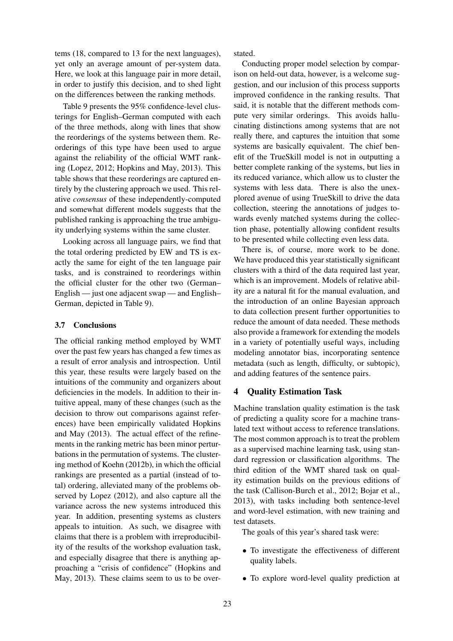tems (18, compared to 13 for the next languages), yet only an average amount of per-system data. Here, we look at this language pair in more detail, in order to justify this decision, and to shed light on the differences between the ranking methods.

Table 9 presents the 95% confidence-level clusterings for English–German computed with each of the three methods, along with lines that show the reorderings of the systems between them. Reorderings of this type have been used to argue against the reliability of the official WMT ranking (Lopez, 2012; Hopkins and May, 2013). This table shows that these reorderings are captured entirely by the clustering approach we used. This relative *consensus* of these independently-computed and somewhat different models suggests that the published ranking is approaching the true ambiguity underlying systems within the same cluster.

Looking across all language pairs, we find that the total ordering predicted by EW and TS is exactly the same for eight of the ten language pair tasks, and is constrained to reorderings within the official cluster for the other two (German– English — just one adjacent swap — and English– German, depicted in Table 9).

### 3.7 Conclusions

The official ranking method employed by WMT over the past few years has changed a few times as a result of error analysis and introspection. Until this year, these results were largely based on the intuitions of the community and organizers about deficiencies in the models. In addition to their intuitive appeal, many of these changes (such as the decision to throw out comparisons against references) have been empirically validated Hopkins and May (2013). The actual effect of the refinements in the ranking metric has been minor perturbations in the permutation of systems. The clustering method of Koehn (2012b), in which the official rankings are presented as a partial (instead of total) ordering, alleviated many of the problems observed by Lopez (2012), and also capture all the variance across the new systems introduced this year. In addition, presenting systems as clusters appeals to intuition. As such, we disagree with claims that there is a problem with irreproducibility of the results of the workshop evaluation task, and especially disagree that there is anything approaching a "crisis of confidence" (Hopkins and May, 2013). These claims seem to us to be overstated.

Conducting proper model selection by comparison on held-out data, however, is a welcome suggestion, and our inclusion of this process supports improved confidence in the ranking results. That said, it is notable that the different methods compute very similar orderings. This avoids hallucinating distinctions among systems that are not really there, and captures the intuition that some systems are basically equivalent. The chief benefit of the TrueSkill model is not in outputting a better complete ranking of the systems, but lies in its reduced variance, which allow us to cluster the systems with less data. There is also the unexplored avenue of using TrueSkill to drive the data collection, steering the annotations of judges towards evenly matched systems during the collection phase, potentially allowing confident results to be presented while collecting even less data.

There is, of course, more work to be done. We have produced this year statistically significant clusters with a third of the data required last year, which is an improvement. Models of relative ability are a natural fit for the manual evaluation, and the introduction of an online Bayesian approach to data collection present further opportunities to reduce the amount of data needed. These methods also provide a framework for extending the models in a variety of potentially useful ways, including modeling annotator bias, incorporating sentence metadata (such as length, difficulty, or subtopic), and adding features of the sentence pairs.

## 4 Quality Estimation Task

Machine translation quality estimation is the task of predicting a quality score for a machine translated text without access to reference translations. The most common approach is to treat the problem as a supervised machine learning task, using standard regression or classification algorithms. The third edition of the WMT shared task on quality estimation builds on the previous editions of the task (Callison-Burch et al., 2012; Bojar et al., 2013), with tasks including both sentence-level and word-level estimation, with new training and test datasets.

The goals of this year's shared task were:

- To investigate the effectiveness of different quality labels.
- To explore word-level quality prediction at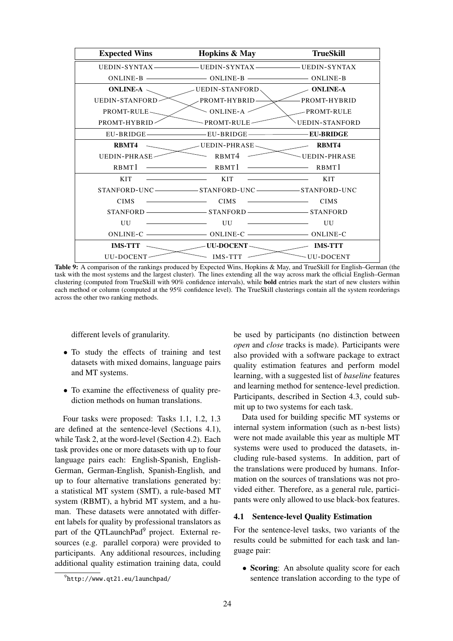

Table 9: A comparison of the rankings produced by Expected Wins, Hopkins & May, and TrueSkill for English–German (the task with the most systems and the largest cluster). The lines extending all the way across mark the official English–German clustering (computed from TrueSkill with 90% confidence intervals), while bold entries mark the start of new clusters within each method or column (computed at the 95% confidence level). The TrueSkill clusterings contain all the system reorderings across the other two ranking methods.

different levels of granularity.

- To study the effects of training and test datasets with mixed domains, language pairs and MT systems.
- To examine the effectiveness of quality prediction methods on human translations.

Four tasks were proposed: Tasks 1.1, 1.2, 1.3 are defined at the sentence-level (Sections 4.1), while Task 2, at the word-level (Section 4.2). Each task provides one or more datasets with up to four language pairs each: English-Spanish, English-German, German-English, Spanish-English, and up to four alternative translations generated by: a statistical MT system (SMT), a rule-based MT system (RBMT), a hybrid MT system, and a human. These datasets were annotated with different labels for quality by professional translators as part of the OTLaunchPad<sup>9</sup> project. External resources (e.g. parallel corpora) were provided to participants. Any additional resources, including additional quality estimation training data, could be used by participants (no distinction between *open* and *close* tracks is made). Participants were also provided with a software package to extract quality estimation features and perform model learning, with a suggested list of *baseline* features and learning method for sentence-level prediction. Participants, described in Section 4.3, could submit up to two systems for each task.

Data used for building specific MT systems or internal system information (such as n-best lists) were not made available this year as multiple MT systems were used to produced the datasets, including rule-based systems. In addition, part of the translations were produced by humans. Information on the sources of translations was not provided either. Therefore, as a general rule, participants were only allowed to use black-box features.

### 4.1 Sentence-level Quality Estimation

For the sentence-level tasks, two variants of the results could be submitted for each task and language pair:

• Scoring: An absolute quality score for each sentence translation according to the type of

 $^{9}$ http://www.qt21.eu/launchpad/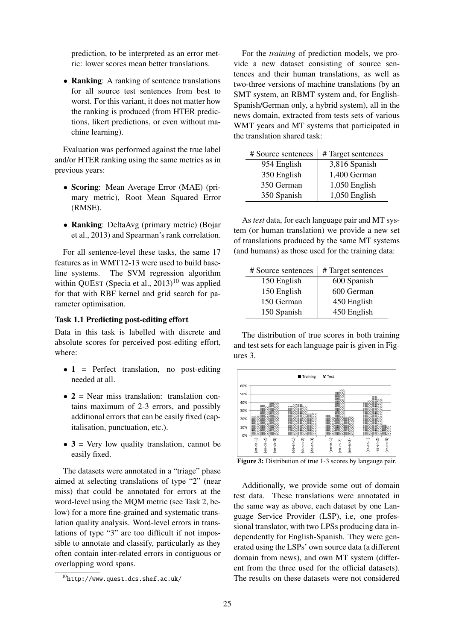prediction, to be interpreted as an error metric: lower scores mean better translations.

• Ranking: A ranking of sentence translations for all source test sentences from best to worst. For this variant, it does not matter how the ranking is produced (from HTER predictions, likert predictions, or even without machine learning).

Evaluation was performed against the true label and/or HTER ranking using the same metrics as in previous years:

- Scoring: Mean Average Error (MAE) (primary metric), Root Mean Squared Error (RMSE).
- Ranking: DeltaAvg (primary metric) (Bojar et al., 2013) and Spearman's rank correlation.

For all sentence-level these tasks, the same 17 features as in WMT12-13 were used to build baseline systems. The SVM regression algorithm within QUEST (Specia et al.,  $2013$ )<sup>10</sup> was applied for that with RBF kernel and grid search for parameter optimisation.

## Task 1.1 Predicting post-editing effort

Data in this task is labelled with discrete and absolute scores for perceived post-editing effort, where:

- 1 = Perfect translation, no post-editing needed at all.
- $\bullet$  2 = Near miss translation: translation contains maximum of 2-3 errors, and possibly additional errors that can be easily fixed (capitalisation, punctuation, etc.).
- $\bullet$  3 = Very low quality translation, cannot be easily fixed.

The datasets were annotated in a "triage" phase aimed at selecting translations of type "2" (near miss) that could be annotated for errors at the word-level using the MQM metric (see Task 2, below) for a more fine-grained and systematic translation quality analysis. Word-level errors in translations of type "3" are too difficult if not impossible to annotate and classify, particularly as they often contain inter-related errors in contiguous or overlapping word spans.

For the *training* of prediction models, we provide a new dataset consisting of source sentences and their human translations, as well as two-three versions of machine translations (by an SMT system, an RBMT system and, for English-Spanish/German only, a hybrid system), all in the news domain, extracted from tests sets of various WMT years and MT systems that participated in the translation shared task:

| # Source sentences | # Target sentences |
|--------------------|--------------------|
| 954 English        | 3,816 Spanish      |
| 350 English        | 1,400 German       |
| 350 German         | 1,050 English      |
| 350 Spanish        | 1,050 English      |

As *test* data, for each language pair and MT system (or human translation) we provide a new set of translations produced by the same MT systems (and humans) as those used for the training data:

| # Source sentences | #Target sentences |
|--------------------|-------------------|
| 150 English        | 600 Spanish       |
| 150 English        | 600 German        |
| 150 German         | 450 English       |
| 150 Spanish        | 450 English       |

The distribution of true scores in both training and test sets for each language pair is given in Figures 3.



Figure 3: Distribution of true 1-3 scores by langauge pair.

Additionally, we provide some out of domain test data. These translations were annotated in the same way as above, each dataset by one Language Service Provider (LSP), i.e, one professional translator, with two LPSs producing data independently for English-Spanish. They were generated using the LSPs' own source data (a different domain from news), and own MT system (different from the three used for the official datasets). The results on these datasets were not considered

 $^{10}$ http://www.quest.dcs.shef.ac.uk/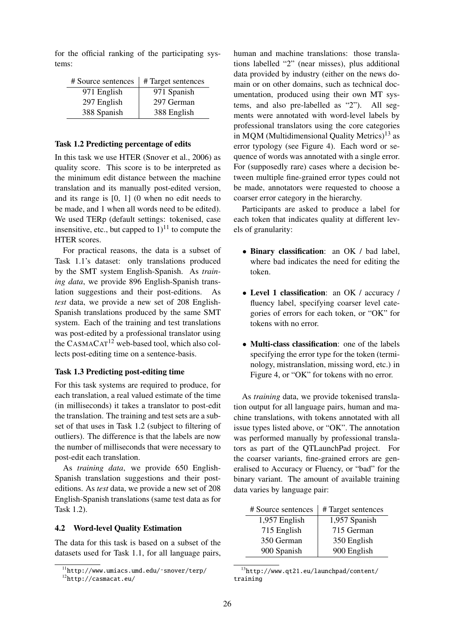for the official ranking of the participating systems:

| # Source sentences | #Target sentences |
|--------------------|-------------------|
| 971 English        | 971 Spanish       |
| 297 English        | 297 German        |
| 388 Spanish        | 388 English       |

#### Task 1.2 Predicting percentage of edits

In this task we use HTER (Snover et al., 2006) as quality score. This score is to be interpreted as the minimum edit distance between the machine translation and its manually post-edited version, and its range is [0, 1] (0 when no edit needs to be made, and 1 when all words need to be edited). We used TERp (default settings: tokenised, case insensitive, etc., but capped to  $1$ <sup>11</sup> to compute the HTER scores.

For practical reasons, the data is a subset of Task 1.1's dataset: only translations produced by the SMT system English-Spanish. As *training data*, we provide 896 English-Spanish translation suggestions and their post-editions. As *test* data, we provide a new set of 208 English-Spanish translations produced by the same SMT system. Each of the training and test translations was post-edited by a professional translator using the  $CASMACAT^{12}$  web-based tool, which also collects post-editing time on a sentence-basis.

## Task 1.3 Predicting post-editing time

For this task systems are required to produce, for each translation, a real valued estimate of the time (in milliseconds) it takes a translator to post-edit the translation. The training and test sets are a subset of that uses in Task 1.2 (subject to filtering of outliers). The difference is that the labels are now the number of milliseconds that were necessary to post-edit each translation.

As *training data*, we provide 650 English-Spanish translation suggestions and their posteditions. As *test* data, we provide a new set of 208 English-Spanish translations (same test data as for Task 1.2).

### 4.2 Word-level Quality Estimation

The data for this task is based on a subset of the datasets used for Task 1.1, for all language pairs, human and machine translations: those translations labelled "2" (near misses), plus additional data provided by industry (either on the news domain or on other domains, such as technical documentation, produced using their own MT systems, and also pre-labelled as "2"). All segments were annotated with word-level labels by professional translators using the core categories in MQM (Multidimensional Quality Metrics)<sup>13</sup> as error typology (see Figure 4). Each word or sequence of words was annotated with a single error. For (supposedly rare) cases where a decision between multiple fine-grained error types could not be made, annotators were requested to choose a coarser error category in the hierarchy.

Participants are asked to produce a label for each token that indicates quality at different levels of granularity:

- Binary classification: an OK / bad label, where bad indicates the need for editing the token.
- Level 1 classification: an OK / accuracy / fluency label, specifying coarser level categories of errors for each token, or "OK" for tokens with no error.
- Multi-class classification: one of the labels specifying the error type for the token (terminology, mistranslation, missing word, etc.) in Figure 4, or "OK" for tokens with no error.

As *training* data, we provide tokenised translation output for all language pairs, human and machine translations, with tokens annotated with all issue types listed above, or "OK". The annotation was performed manually by professional translators as part of the QTLaunchPad project. For the coarser variants, fine-grained errors are generalised to Accuracy or Fluency, or "bad" for the binary variant. The amount of available training data varies by language pair:

| # Source sentences | # Target sentences |
|--------------------|--------------------|
| 1,957 English      | 1,957 Spanish      |
| 715 English        | 715 German         |
| 350 German         | 350 English        |
| 900 Spanish        | 900 English        |

<sup>13</sup>http://www.qt21.eu/launchpad/content/ training

<sup>11</sup>http://www.umiacs.umd.edu/˜snover/terp/

<sup>12</sup>http://casmacat.eu/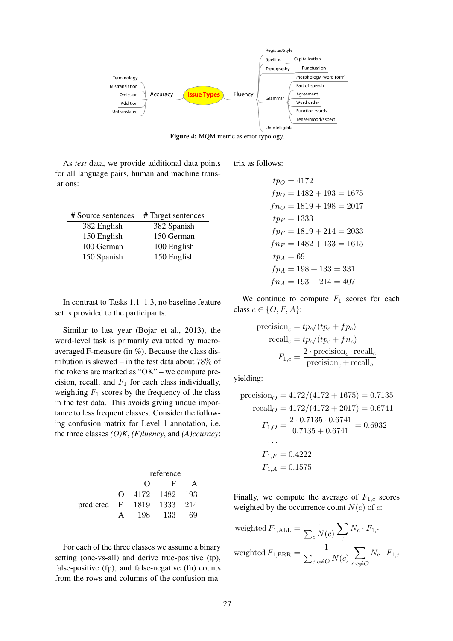

Figure 4: MQM metric as error typology.

As *test* data, we provide additional data points for all language pairs, human and machine translations:

| # Source sentences | #Target sentences |
|--------------------|-------------------|
| 382 English        | 382 Spanish       |
| 150 English        | 150 German        |
| 100 German         | 100 English       |
| 150 Spanish        | 150 English       |

In contrast to Tasks 1.1–1.3, no baseline feature set is provided to the participants.

Similar to last year (Bojar et al., 2013), the word-level task is primarily evaluated by macroaveraged F-measure (in %). Because the class distribution is skewed – in the test data about  $78\%$  of the tokens are marked as "OK" – we compute precision, recall, and  $F_1$  for each class individually, weighting  $F_1$  scores by the frequency of the class in the test data. This avoids giving undue importance to less frequent classes. Consider the following confusion matrix for Level 1 annotation, i.e. the three classes *(O)K*, *(F)luency*, and *(A)ccuracy*:

|           |              | reference         |               |     |
|-----------|--------------|-------------------|---------------|-----|
|           |              | $\mathbf{H}$<br>0 |               |     |
|           | $\Omega$     |                   | 4172 1482 193 |     |
| predicted | $\mathbf{F}$ | 1819              | 1333          | 214 |
|           | A            | 198               | 133           | 69  |

For each of the three classes we assume a binary setting (one-vs-all) and derive true-positive (tp), false-positive (fp), and false-negative (fn) counts from the rows and columns of the confusion matrix as follows:

$$
tp_O = 4172
$$
  
\n
$$
fp_O = 1482 + 193 = 1675
$$
  
\n
$$
fn_O = 1819 + 198 = 2017
$$
  
\n
$$
tp_F = 1333
$$
  
\n
$$
fp_F = 1819 + 214 = 2033
$$
  
\n
$$
fn_F = 1482 + 133 = 1615
$$
  
\n
$$
tp_A = 69
$$
  
\n
$$
fp_A = 198 + 133 = 331
$$
  
\n
$$
fn_A = 193 + 214 = 407
$$

We continue to compute  $F_1$  scores for each class  $c \in \{O, F, A\}$ :

$$
\begin{aligned} \text{precision}_c &= tp_c/(tp_c + fp_c) \\ \text{recall}_c &= tp_c/(tp_c + fn_c) \\ F_{1,c} &= \frac{2 \cdot \text{precision}_c \cdot \text{recall}_c}{\text{precision}_c + \text{recall}_c} \end{aligned}
$$

yielding:

$$
\begin{aligned}\n\text{precision}_O &= 4172/(4172 + 1675) = 0.7135 \\
\text{recall}_O &= 4172/(4172 + 2017) = 0.6741 \\
F_{1,O} &= \frac{2 \cdot 0.7135 \cdot 0.6741}{0.7135 + 0.6741} = 0.6932 \\
&\dots \\
F_{1,F} &= 0.4222 \\
F_{1,A} &= 0.1575\n\end{aligned}
$$

Finally, we compute the average of  $F_{1,c}$  scores weighted by the occurrence count  $N(c)$  of c:

weighted 
$$
F_{1,\text{ALL}} = \frac{1}{\sum_{c} N(c)} \sum_{c} N_c \cdot F_{1,c}
$$
  
weighted  $F_{1,\text{ERR}} = \frac{1}{\sum_{c:c \neq O} N(c)} \sum_{c:c \neq O} N_c \cdot F_{1,c}$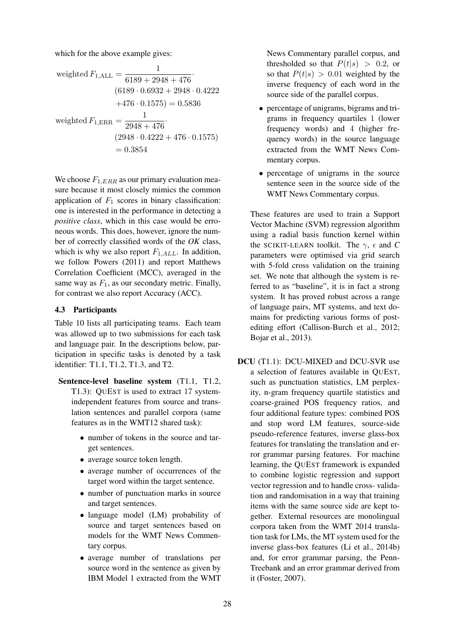which for the above example gives:

weighted 
$$
F_{1,\text{ALL}} = \frac{1}{6189 + 2948 + 476}
$$
  
\n
$$
(6189 \cdot 0.6932 + 2948 \cdot 0.4222
$$
\n
$$
+476 \cdot 0.1575) = 0.5836
$$
\nweighted  $F_{1,\text{ERR}} = \frac{1}{2948 + 476}$   
\n
$$
(2948 \cdot 0.4222 + 476 \cdot 0.1575)
$$
\n
$$
= 0.3854
$$

We choose  $F_{1,ERR}$  as our primary evaluation measure because it most closely mimics the common application of  $F_1$  scores in binary classification: one is interested in the performance in detecting a *positive class*, which in this case would be erroneous words. This does, however, ignore the number of correctly classified words of the *OK* class, which is why we also report  $F_{1,ALL}$ . In addition, we follow Powers (2011) and report Matthews Correlation Coefficient (MCC), averaged in the same way as  $F_1$ , as our secondary metric. Finally, for contrast we also report Accuracy (ACC).

## 4.3 Participants

Table 10 lists all participating teams. Each team was allowed up to two submissions for each task and language pair. In the descriptions below, participation in specific tasks is denoted by a task identifier: T1.1, T1.2, T1.3, and T2.

- Sentence-level baseline system (T1.1, T1.2, T1.3): QUEST is used to extract 17 systemindependent features from source and translation sentences and parallel corpora (same features as in the WMT12 shared task):
	- number of tokens in the source and target sentences.
	- average source token length.
	- average number of occurrences of the target word within the target sentence.
	- number of punctuation marks in source and target sentences.
	- language model (LM) probability of source and target sentences based on models for the WMT News Commentary corpus.
	- average number of translations per source word in the sentence as given by IBM Model 1 extracted from the WMT

News Commentary parallel corpus, and thresholded so that  $P(t|s) > 0.2$ , or so that  $P(t|s) > 0.01$  weighted by the inverse frequency of each word in the source side of the parallel corpus.

- percentage of unigrams, bigrams and trigrams in frequency quartiles 1 (lower frequency words) and 4 (higher frequency words) in the source language extracted from the WMT News Commentary corpus.
- percentage of unigrams in the source sentence seen in the source side of the WMT News Commentary corpus.

These features are used to train a Support Vector Machine (SVM) regression algorithm using a radial basis function kernel within the SCIKIT-LEARN toolkit. The  $\gamma$ ,  $\epsilon$  and *C* parameters were optimised via grid search with 5-fold cross validation on the training set. We note that although the system is referred to as "baseline", it is in fact a strong system. It has proved robust across a range of language pairs, MT systems, and text domains for predicting various forms of postediting effort (Callison-Burch et al., 2012; Bojar et al., 2013).

DCU (T1.1): DCU-MIXED and DCU-SVR use a selection of features available in QUEST, such as punctuation statistics, LM perplexity, n-gram frequency quartile statistics and coarse-grained POS frequency ratios, and four additional feature types: combined POS and stop word LM features, source-side pseudo-reference features, inverse glass-box features for translating the translation and error grammar parsing features. For machine learning, the QUEST framework is expanded to combine logistic regression and support vector regression and to handle cross- validation and randomisation in a way that training items with the same source side are kept together. External resources are monolingual corpora taken from the WMT 2014 translation task for LMs, the MT system used for the inverse glass-box features (Li et al., 2014b) and, for error grammar parsing, the Penn-Treebank and an error grammar derived from it (Foster, 2007).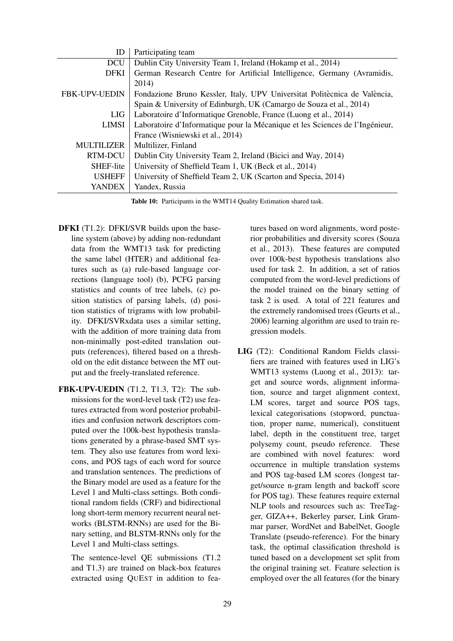| ID                | Participating team                                                           |
|-------------------|------------------------------------------------------------------------------|
| <b>DCU</b>        | Dublin City University Team 1, Ireland (Hokamp et al., 2014)                 |
| <b>DFKI</b>       | German Research Centre for Artificial Intelligence, Germany (Avramidis,      |
|                   | 2014)                                                                        |
| FBK-UPV-UEDIN     | Fondazione Bruno Kessler, Italy, UPV Universitat Politècnica de València,    |
|                   | Spain & University of Edinburgh, UK (Camargo de Souza et al., 2014)          |
| LIG               | Laboratoire d'Informatique Grenoble, France (Luong et al., 2014)             |
| LIMSI             | Laboratoire d'Informatique pour la Mécanique et les Sciences de l'Ingénieur, |
|                   | France (Wisniewski et al., 2014)                                             |
| <b>MULTILIZER</b> | Multilizer, Finland                                                          |
| RTM-DCU           | Dublin City University Team 2, Ireland (Bicici and Way, 2014)                |
| SHEF-lite         | University of Sheffield Team 1, UK (Beck et al., 2014)                       |
| <b>USHEFF</b>     | University of Sheffield Team 2, UK (Scarton and Specia, 2014)                |
| YANDEX            | Yandex, Russia                                                               |

Table 10: Participants in the WMT14 Quality Estimation shared task.

- DFKI (T1.2): DFKI/SVR builds upon the baseline system (above) by adding non-redundant data from the WMT13 task for predicting the same label (HTER) and additional features such as (a) rule-based language corrections (language tool) (b), PCFG parsing statistics and counts of tree labels, (c) position statistics of parsing labels, (d) position statistics of trigrams with low probability. DFKI/SVRxdata uses a similar setting, with the addition of more training data from non-minimally post-edited translation outputs (references), filtered based on a threshold on the edit distance between the MT output and the freely-translated reference.
- FBK-UPV-UEDIN (T1.2, T1.3, T2): The submissions for the word-level task (T2) use features extracted from word posterior probabilities and confusion network descriptors computed over the 100k-best hypothesis translations generated by a phrase-based SMT system. They also use features from word lexicons, and POS tags of each word for source and translation sentences. The predictions of the Binary model are used as a feature for the Level 1 and Multi-class settings. Both conditional random fields (CRF) and bidirectional long short-term memory recurrent neural networks (BLSTM-RNNs) are used for the Binary setting, and BLSTM-RNNs only for the Level 1 and Multi-class settings.
	- The sentence-level QE submissions (T1.2 and T1.3) are trained on black-box features extracted using QUEST in addition to fea-

tures based on word alignments, word posterior probabilities and diversity scores (Souza et al., 2013). These features are computed over 100k-best hypothesis translations also used for task 2. In addition, a set of ratios computed from the word-level predictions of the model trained on the binary setting of task 2 is used. A total of 221 features and the extremely randomised trees (Geurts et al., 2006) learning algorithm are used to train regression models.

LIG (T2): Conditional Random Fields classifiers are trained with features used in LIG's WMT13 systems (Luong et al., 2013): target and source words, alignment information, source and target alignment context, LM scores, target and source POS tags, lexical categorisations (stopword, punctuation, proper name, numerical), constituent label, depth in the constituent tree, target polysemy count, pseudo reference. These are combined with novel features: word occurrence in multiple translation systems and POS tag-based LM scores (longest target/source n-gram length and backoff score for POS tag). These features require external NLP tools and resources such as: TreeTagger, GIZA++, Bekerley parser, Link Grammar parser, WordNet and BabelNet, Google Translate (pseudo-reference). For the binary task, the optimal classification threshold is tuned based on a development set split from the original training set. Feature selection is employed over the all features (for the binary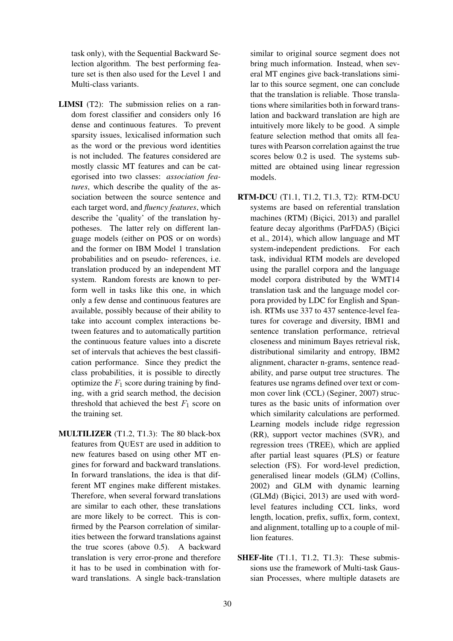task only), with the Sequential Backward Selection algorithm. The best performing feature set is then also used for the Level 1 and Multi-class variants.

- LIMSI (T2): The submission relies on a random forest classifier and considers only 16 dense and continuous features. To prevent sparsity issues, lexicalised information such as the word or the previous word identities is not included. The features considered are mostly classic MT features and can be categorised into two classes: *association features*, which describe the quality of the association between the source sentence and each target word, and *fluency features*, which describe the 'quality' of the translation hypotheses. The latter rely on different language models (either on POS or on words) and the former on IBM Model 1 translation probabilities and on pseudo- references, i.e. translation produced by an independent MT system. Random forests are known to perform well in tasks like this one, in which only a few dense and continuous features are available, possibly because of their ability to take into account complex interactions between features and to automatically partition the continuous feature values into a discrete set of intervals that achieves the best classification performance. Since they predict the class probabilities, it is possible to directly optimize the  $F_1$  score during training by finding, with a grid search method, the decision threshold that achieved the best  $F_1$  score on the training set.
- MULTILIZER (T1.2, T1.3): The 80 black-box features from QUEST are used in addition to new features based on using other MT engines for forward and backward translations. In forward translations, the idea is that different MT engines make different mistakes. Therefore, when several forward translations are similar to each other, these translations are more likely to be correct. This is confirmed by the Pearson correlation of similarities between the forward translations against the true scores (above 0.5). A backward translation is very error-prone and therefore it has to be used in combination with forward translations. A single back-translation

similar to original source segment does not bring much information. Instead, when several MT engines give back-translations similar to this source segment, one can conclude that the translation is reliable. Those translations where similarities both in forward translation and backward translation are high are intuitively more likely to be good. A simple feature selection method that omits all features with Pearson correlation against the true scores below 0.2 is used. The systems submitted are obtained using linear regression models.

- RTM-DCU (T1.1, T1.2, T1.3, T2): RTM-DCU systems are based on referential translation machines (RTM) (Biçici, 2013) and parallel feature decay algorithms (ParFDA5) (Bicici et al., 2014), which allow language and MT system-independent predictions. For each task, individual RTM models are developed using the parallel corpora and the language model corpora distributed by the WMT14 translation task and the language model corpora provided by LDC for English and Spanish. RTMs use 337 to 437 sentence-level features for coverage and diversity, IBM1 and sentence translation performance, retrieval closeness and minimum Bayes retrieval risk, distributional similarity and entropy, IBM2 alignment, character n-grams, sentence readability, and parse output tree structures. The features use ngrams defined over text or common cover link (CCL) (Seginer, 2007) structures as the basic units of information over which similarity calculations are performed. Learning models include ridge regression (RR), support vector machines (SVR), and regression trees (TREE), which are applied after partial least squares (PLS) or feature selection (FS). For word-level prediction, generalised linear models (GLM) (Collins, 2002) and GLM with dynamic learning  $(GLMd)$  (Bicici, 2013) are used with wordlevel features including CCL links, word length, location, prefix, suffix, form, context, and alignment, totalling up to a couple of million features.
- **SHEF-lite** (T1.1, T1.2, T1.3): These submissions use the framework of Multi-task Gaussian Processes, where multiple datasets are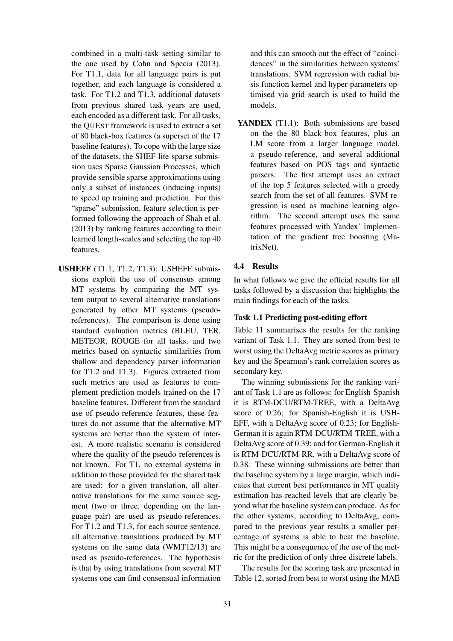combined in a multi-task setting similar to the one used by Cohn and Specia (2013). For T1.1, data for all language pairs is put together, and each language is considered a task. For T1.2 and T1.3, additional datasets from previous shared task years are used, each encoded as a different task. For all tasks, the QUEST framework is used to extract a set of 80 black-box features (a superset of the 17 baseline features). To cope with the large size of the datasets, the SHEF-lite-sparse submission uses Sparse Gaussian Processes, which provide sensible sparse approximations using only a subset of instances (inducing inputs) to speed up training and prediction. For this "sparse" submission, feature selection is performed following the approach of Shah et al. (2013) by ranking features according to their learned length-scales and selecting the top 40 features.

USHEFF (T1.1, T1.2, T1.3): USHEFF submissions exploit the use of consensus among MT systems by comparing the MT system output to several alternative translations generated by other MT systems (pseudoreferences). The comparison is done using standard evaluation metrics (BLEU, TER, METEOR, ROUGE for all tasks, and two metrics based on syntactic similarities from shallow and dependency parser information for T1.2 and T1.3). Figures extracted from such metrics are used as features to complement prediction models trained on the 17 baseline features. Different from the standard use of pseudo-reference features, these features do not assume that the alternative MT systems are better than the system of interest. A more realistic scenario is considered where the quality of the pseudo-references is not known. For T1, no external systems in addition to those provided for the shared task are used: for a given translation, all alternative translations for the same source segment (two or three, depending on the language pair) are used as pseudo-references. For T1.2 and T1.3, for each source sentence, all alternative translations produced by MT systems on the same data (WMT12/13) are used as pseudo-references. The hypothesis is that by using translations from several MT systems one can find consensual information and this can smooth out the effect of "coincidences" in the similarities between systems' translations. SVM regression with radial basis function kernel and hyper-parameters optimised via grid search is used to build the models.

YANDEX (T1.1): Both submissions are based on the the 80 black-box features, plus an LM score from a larger language model, a pseudo-reference, and several additional features based on POS tags and syntactic parsers. The first attempt uses an extract of the top 5 features selected with a greedy search from the set of all features. SVM regression is used as machine learning algorithm. The second attempt uses the same features processed with Yandex' implementation of the gradient tree boosting (MatrixNet).

# 4.4 Results

In what follows we give the official results for all tasks followed by a discussion that highlights the main findings for each of the tasks.

### Task 1.1 Predicting post-editing effort

Table 11 summarises the results for the ranking variant of Task 1.1. They are sorted from best to worst using the DeltaAvg metric scores as primary key and the Spearman's rank correlation scores as secondary key.

The winning submissions for the ranking variant of Task 1.1 are as follows: for English-Spanish it is RTM-DCU/RTM-TREE, with a DeltaAvg score of 0.26; for Spanish-English it is USH-EFF, with a DeltaAvg score of 0.23; for English-German it is again RTM-DCU/RTM-TREE, with a DeltaAvg score of 0.39; and for German-English it is RTM-DCU/RTM-RR, with a DeltaAvg score of 0.38. These winning submissions are better than the baseline system by a large margin, which indicates that current best performance in MT quality estimation has reached levels that are clearly beyond what the baseline system can produce. As for the other systems, according to DeltaAvg, compared to the previous year results a smaller percentage of systems is able to beat the baseline. This might be a consequence of the use of the metric for the prediction of only three discrete labels.

The results for the scoring task are presented in Table 12, sorted from best to worst using the MAE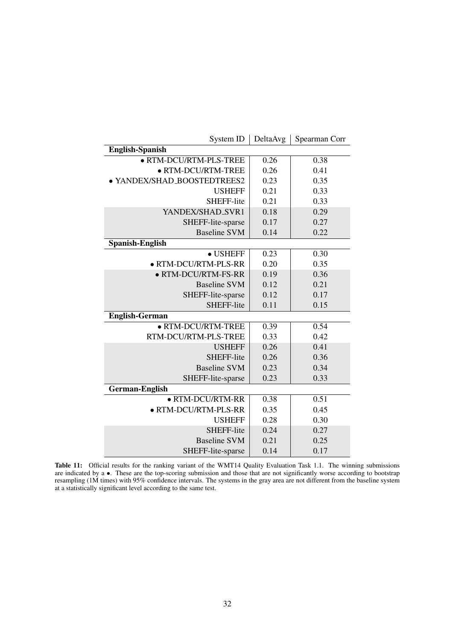| System ID                   | DeltaAvg | Spearman Corr |  |  |
|-----------------------------|----------|---------------|--|--|
| <b>English-Spanish</b>      |          |               |  |  |
| · RTM-DCU/RTM-PLS-TREE      | 0.26     | 0.38          |  |  |
| · RTM-DCU/RTM-TREE          | 0.26     | 0.41          |  |  |
| · YANDEX/SHAD_BOOSTEDTREES2 | 0.23     | 0.35          |  |  |
| <b>USHEFF</b>               | 0.21     | 0.33          |  |  |
| SHEFF-lite                  | 0.21     | 0.33          |  |  |
| YANDEX/SHAD_SVR1            | 0.18     | 0.29          |  |  |
| SHEFF-lite-sparse           | 0.17     | 0.27          |  |  |
| <b>Baseline SVM</b>         | 0.14     | 0.22          |  |  |
| <b>Spanish-English</b>      |          |               |  |  |
| $\bullet$ USHEFF            | 0.23     | 0.30          |  |  |
| · RTM-DCU/RTM-PLS-RR        | 0.20     | 0.35          |  |  |
| · RTM-DCU/RTM-FS-RR         | 0.19     | 0.36          |  |  |
| <b>Baseline SVM</b>         | 0.12     | 0.21          |  |  |
| SHEFF-lite-sparse           | 0.12     | 0.17          |  |  |
| SHEFF-lite                  | 0.11     | 0.15          |  |  |
| <b>English-German</b>       |          |               |  |  |
| · RTM-DCU/RTM-TREE          | 0.39     | 0.54          |  |  |
| RTM-DCU/RTM-PLS-TREE        | 0.33     | 0.42          |  |  |
| <b>USHEFF</b>               | 0.26     | 0.41          |  |  |
| SHEFF-lite                  | 0.26     | 0.36          |  |  |
| <b>Baseline SVM</b>         | 0.23     | 0.34          |  |  |
| SHEFF-lite-sparse           | 0.23     | 0.33          |  |  |
| <b>German-English</b>       |          |               |  |  |
| · RTM-DCU/RTM-RR            | 0.38     | 0.51          |  |  |
| · RTM-DCU/RTM-PLS-RR        | 0.35     | 0.45          |  |  |
| <b>USHEFF</b>               | 0.28     | 0.30          |  |  |
| SHEFF-lite                  | 0.24     | 0.27          |  |  |
| <b>Baseline SVM</b>         | 0.21     | 0.25          |  |  |
| SHEFF-lite-sparse           | 0.14     | 0.17          |  |  |

Table 11: Official results for the ranking variant of the WMT14 Quality Evaluation Task 1.1. The winning submissions are indicated by a  $\bullet$ . These are the top-scoring submission and those that are not significantly worse according to bootstrap resampling (1M times) with 95% confidence intervals. The systems in the gray area are not different from the baseline system at a statistically significant level according to the same test.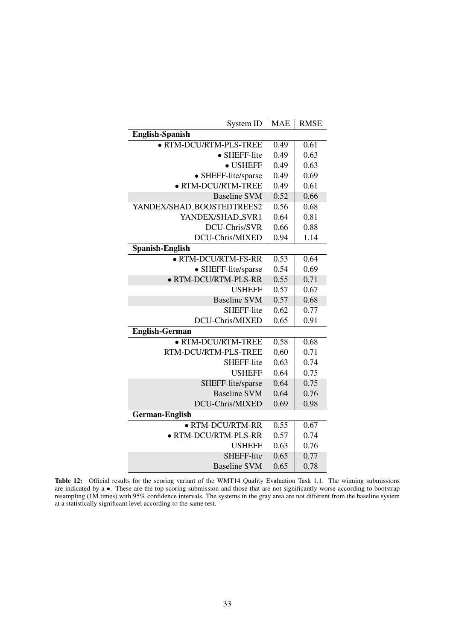| System ID                 | <b>MAE</b> | <b>RMSE</b> |
|---------------------------|------------|-------------|
| <b>English-Spanish</b>    |            |             |
| · RTM-DCU/RTM-PLS-TREE    | 0.49       | 0.61        |
| • SHEFF-lite              | 0.49       | 0.63        |
| $\bullet$ USHEFF          | 0.49       | 0.63        |
| • SHEFF-lite/sparse       | 0.49       | 0.69        |
| · RTM-DCU/RTM-TREE        | 0.49       | 0.61        |
| <b>Baseline SVM</b>       | 0.52       | 0.66        |
| YANDEX/SHAD_BOOSTEDTREES2 | 0.56       | 0.68        |
| YANDEX/SHAD_SVR1          | 0.64       | 0.81        |
| DCU-Chris/SVR             | 0.66       | 0.88        |
| DCU-Chris/MIXED           | 0.94       | 1.14        |
| <b>Spanish-English</b>    |            |             |
| • RTM-DCU/RTM-FS-RR       | 0.53       | 0.64        |
| • SHEFF-lite/sparse       | 0.54       | 0.69        |
| · RTM-DCU/RTM-PLS-RR      | 0.55       | 0.71        |
| <b>USHEFF</b>             | 0.57       | 0.67        |
| <b>Baseline SVM</b>       | 0.57       | 0.68        |
| <b>SHEFF-lite</b>         | 0.62       | 0.77        |
| DCU-Chris/MIXED           | 0.65       | 0.91        |
| <b>English-German</b>     |            |             |
| · RTM-DCU/RTM-TREE        | 0.58       | 0.68        |
| RTM-DCU/RTM-PLS-TREE      | 0.60       | 0.71        |
| SHEFF-lite                | 0.63       | 0.74        |
| <b>USHEFF</b>             | 0.64       | 0.75        |
| SHEFF-lite/sparse         | 0.64       | 0.75        |
| <b>Baseline SVM</b>       | 0.64       | 0.76        |
| DCU-Chris/MIXED           | 0.69       | 0.98        |
| <b>German-English</b>     |            |             |
| · RTM-DCU/RTM-RR          | 0.55       | 0.67        |
| · RTM-DCU/RTM-PLS-RR      | 0.57       | 0.74        |
| <b>USHEFF</b>             | 0.63       | 0.76        |
| SHEFF-lite                | 0.65       | 0.77        |
| <b>Baseline SVM</b>       | 0.65       | 0.78        |

Table 12: Official results for the scoring variant of the WMT14 Quality Evaluation Task 1.1. The winning submissions are indicated by a  $\bullet$ . These are the top-scoring submission and those that are not significantly worse according to bootstrap resampling (1M times) with 95% confidence intervals. The systems in the gray area are not different from the baseline system at a statistically significant level according to the same test.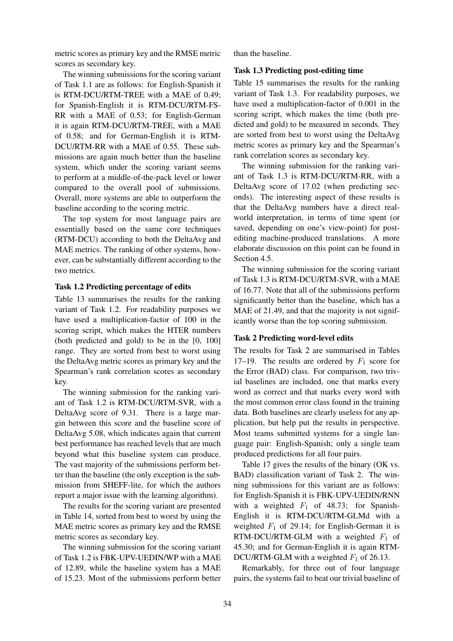metric scores as primary key and the RMSE metric scores as secondary key.

The winning submissions for the scoring variant of Task 1.1 are as follows: for English-Spanish it is RTM-DCU/RTM-TREE with a MAE of 0.49; for Spanish-English it is RTM-DCU/RTM-FS-RR with a MAE of 0.53; for English-German it is again RTM-DCU/RTM-TREE, with a MAE of 0.58; and for German-English it is RTM-DCU/RTM-RR with a MAE of 0.55. These submissions are again much better than the baseline system, which under the scoring variant seems to perform at a middle-of-the-pack level or lower compared to the overall pool of submissions. Overall, more systems are able to outperform the baseline according to the scoring metric.

The top system for most language pairs are essentially based on the same core techniques (RTM-DCU) according to both the DeltaAvg and MAE metrics. The ranking of other systems, however, can be substantially different according to the two metrics.

### Task 1.2 Predicting percentage of edits

Table 13 summarises the results for the ranking variant of Task 1.2. For readability purposes we have used a multiplication-factor of 100 in the scoring script, which makes the HTER numbers (both predicted and gold) to be in the [0, 100] range. They are sorted from best to worst using the DeltaAvg metric scores as primary key and the Spearman's rank correlation scores as secondary key.

The winning submission for the ranking variant of Task 1.2 is RTM-DCU/RTM-SVR, with a DeltaAvg score of 9.31. There is a large margin between this score and the baseline score of DeltaAvg 5.08, which indicates again that current best performance has reached levels that are much beyond what this baseline system can produce. The vast majority of the submissions perform better than the baseline (the only exception is the submission from SHEFF-lite, for which the authors report a major issue with the learning algorithm).

The results for the scoring variant are presented in Table 14, sorted from best to worst by using the MAE metric scores as primary key and the RMSE metric scores as secondary key.

The winning submission for the scoring variant of Task 1.2 is FBK-UPV-UEDIN/WP with a MAE of 12.89, while the baseline system has a MAE of 15.23. Most of the submissions perform better than the baseline.

### Task 1.3 Predicting post-editing time

Table 15 summarises the results for the ranking variant of Task 1.3. For readability purposes, we have used a multiplication-factor of 0.001 in the scoring script, which makes the time (both predicted and gold) to be measured in seconds. They are sorted from best to worst using the DeltaAvg metric scores as primary key and the Spearman's rank correlation scores as secondary key.

The winning submission for the ranking variant of Task 1.3 is RTM-DCU/RTM-RR, with a DeltaAvg score of 17.02 (when predicting seconds). The interesting aspect of these results is that the DeltaAvg numbers have a direct realworld interpretation, in terms of time spent (or saved, depending on one's view-point) for postediting machine-produced translations. A more elaborate discussion on this point can be found in Section 4.5.

The winning submission for the scoring variant of Task 1.3 is RTM-DCU/RTM-SVR, with a MAE of 16.77. Note that all of the submissions perform significantly better than the baseline, which has a MAE of 21.49, and that the majority is not significantly worse than the top scoring submission.

## Task 2 Predicting word-level edits

The results for Task 2 are summarised in Tables 17–19. The results are ordered by  $F_1$  score for the Error (BAD) class. For comparison, two trivial baselines are included, one that marks every word as correct and that marks every word with the most common error class found in the training data. Both baselines are clearly useless for any application, but help put the results in perspective. Most teams submitted systems for a single language pair: English-Spanish; only a single team produced predictions for all four pairs.

Table 17 gives the results of the binary (OK vs. BAD) classification variant of Task 2. The winning submissions for this variant are as follows: for English-Spanish it is FBK-UPV-UEDIN/RNN with a weighted  $F_1$  of 48.73; for Spanish-English it is RTM-DCU/RTM-GLMd with a weighted  $F_1$  of 29.14; for English-German it is RTM-DCU/RTM-GLM with a weighted  $F_1$  of 45.30; and for German-English it is again RTM-DCU/RTM-GLM with a weighted  $F_1$  of 26.13.

Remarkably, for three out of four language pairs, the systems fail to beat our trivial baseline of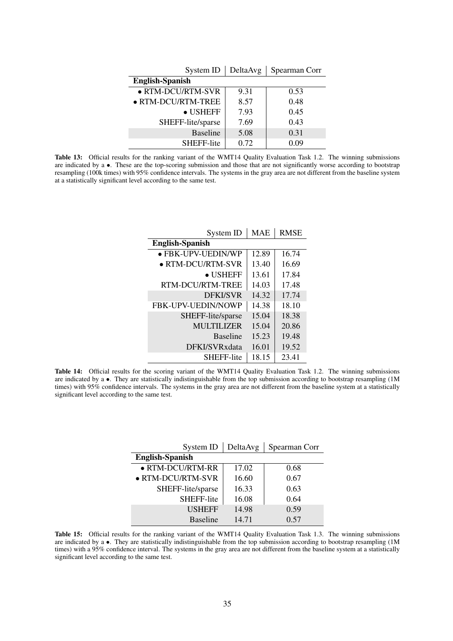| System ID              | DeltaAvg | Spearman Corr |
|------------------------|----------|---------------|
| <b>English-Spanish</b> |          |               |
| • RTM-DCU/RTM-SVR      | 9.31     | 0.53          |
| • RTM-DCU/RTM-TREE     | 8.57     | 0.48          |
| $\bullet$ USHEFF       | 7.93     | 0.45          |
| SHEFF-lite/sparse      | 7.69     | 0.43          |
| <b>Baseline</b>        | 5.08     | 0.31          |
| <b>SHEFF-lite</b>      | 0.72     | 0 09          |

Table 13: Official results for the ranking variant of the WMT14 Quality Evaluation Task 1.2. The winning submissions are indicated by a •. These are the top-scoring submission and those that are not significantly worse according to bootstrap resampling (100k times) with 95% confidence intervals. The systems in the gray area are not different from the baseline system at a statistically significant level according to the same test.

| System ID                 | <b>MAE</b> | <b>RMSE</b> |
|---------------------------|------------|-------------|
| <b>English-Spanish</b>    |            |             |
| · FBK-UPV-UEDIN/WP        | 12.89      | 16.74       |
| $\bullet$ RTM-DCU/RTM-SVR | 13.40      | 16.69       |
| • USHEFF                  | 13.61      | 17.84       |
| RTM-DCU/RTM-TREE          | 14.03      | 17.48       |
| <b>DFKI/SVR</b>           | 14.32      | 17.74       |
| <b>FBK-UPV-UEDIN/NOWP</b> | 14.38      | 18.10       |
| SHEFF-lite/sparse         | 15.04      | 18.38       |
| MULTILIZER                | 15.04      | 20.86       |
| <b>Baseline</b>           | 15.23      | 19.48       |
| DFKI/SVRxdata             | 16.01      | 19.52       |
| <b>SHEFF-lite</b>         | 18.15      | 23.41       |

Table 14: Official results for the scoring variant of the WMT14 Quality Evaluation Task 1.2. The winning submissions are indicated by a •. They are statistically indistinguishable from the top submission according to bootstrap resampling (1M times) with 95% confidence intervals. The systems in the gray area are not different from the baseline system at a statistically significant level according to the same test.

| System ID              | DeltaAvg | Spearman Corr |
|------------------------|----------|---------------|
| <b>English-Spanish</b> |          |               |
| · RTM-DCU/RTM-RR       | 17.02    | 0.68          |
| · RTM-DCU/RTM-SVR      | 16.60    | 0.67          |
| SHEFF-lite/sparse      | 16.33    | 0.63          |
| <b>SHEFF-lite</b>      | 16.08    | 0.64          |
| <b>USHEFF</b>          | 14.98    | 0.59          |
| <b>Baseline</b>        | 14.71    | 0.57          |

Table 15: Official results for the ranking variant of the WMT14 Quality Evaluation Task 1.3. The winning submissions are indicated by a  $\bullet$ . They are statistically indistinguishable from the top submission according to bootstrap resampling (1M) times) with a 95% confidence interval. The systems in the gray area are not different from the baseline system at a statistically significant level according to the same test.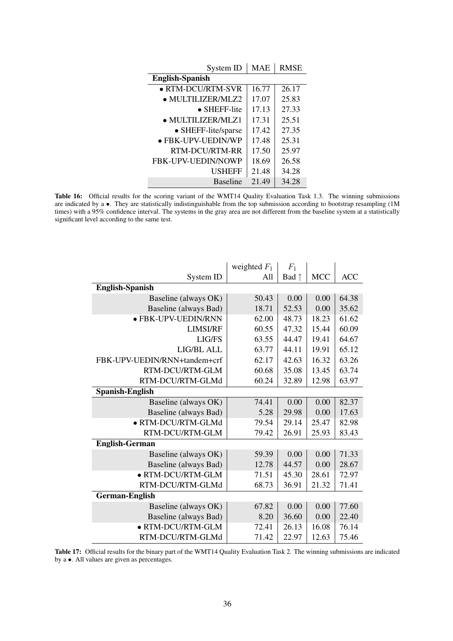| System ID                 | <b>MAE</b> | <b>RMSE</b> |
|---------------------------|------------|-------------|
| <b>English-Spanish</b>    |            |             |
| $\bullet$ RTM-DCU/RTM-SVR | 16.77      | 26.17       |
| · MULTILIZER/MLZ2         | 17.07      | 25.83       |
| $\bullet$ SHEFF-lite      | 17.13      | 27.33       |
| $\bullet$ MULTILIZER/MLZ1 | 17.31      | 25.51       |
| • SHEFF-lite/sparse       | 17.42      | 27.35       |
| · FBK-UPV-UEDIN/WP        | 17.48      | 25.31       |
| <b>RTM-DCU/RTM-RR</b>     | 17.50      | 25.97       |
| <b>FBK-UPV-UEDIN/NOWP</b> | 18.69      | 26.58       |
| <b>USHEFF</b>             | 21.48      | 34.28       |
| <b>Baseline</b>           | 21.49      | 34.28       |

Table 16: Official results for the scoring variant of the WMT14 Quality Evaluation Task 1.3. The winning submissions are indicated by a •. They are statistically indistinguishable from the top submission according to bootstrap resampling (1M times) with a 95% confidence interval. The systems in the gray area are not different from the baseline system at a statistically significant level according to the same test.

|                              | weighted $F_1$ | $F_1$          |            |            |
|------------------------------|----------------|----------------|------------|------------|
| System ID                    | A11            | Bad $\uparrow$ | <b>MCC</b> | <b>ACC</b> |
| <b>English-Spanish</b>       |                |                |            |            |
| Baseline (always OK)         | 50.43          | 0.00           | 0.00       | 64.38      |
| Baseline (always Bad)        | 18.71          | 52.53          | 0.00       | 35.62      |
| · FBK-UPV-UEDIN/RNN          | 62.00          | 48.73          | 18.23      | 61.62      |
| <b>LIMSI/RF</b>              | 60.55          | 47.32          | 15.44      | 60.09      |
| LIG/FS                       | 63.55          | 44.47          | 19.41      | 64.67      |
| LIG/BL ALL                   | 63.77          | 44.11          | 19.91      | 65.12      |
| FBK-UPV-UEDIN/RNN+tandem+crf | 62.17          | 42.63          | 16.32      | 63.26      |
| RTM-DCU/RTM-GLM              | 60.68          | 35.08          | 13.45      | 63.74      |
| RTM-DCU/RTM-GLMd             | 60.24          | 32.89          | 12.98      | 63.97      |
| <b>Spanish-English</b>       |                |                |            |            |
| Baseline (always OK)         | 74.41          | 0.00           | 0.00       | 82.37      |
| Baseline (always Bad)        | 5.28           | 29.98          | 0.00       | 17.63      |
| · RTM-DCU/RTM-GLMd           | 79.54          | 29.14          | 25.47      | 82.98      |
| RTM-DCU/RTM-GLM              | 79.42          | 26.91          | 25.93      | 83.43      |
| <b>English-German</b>        |                |                |            |            |
| Baseline (always OK)         | 59.39          | 0.00           | 0.00       | 71.33      |
| Baseline (always Bad)        | 12.78          | 44.57          | 0.00       | 28.67      |
| · RTM-DCU/RTM-GLM            | 71.51          | 45.30          | 28.61      | 72.97      |
| RTM-DCU/RTM-GLMd             | 68.73          | 36.91          | 21.32      | 71.41      |
| <b>German-English</b>        |                |                |            |            |
| Baseline (always OK)         | 67.82          | 0.00           | 0.00       | 77.60      |
| Baseline (always Bad)        | 8.20           | 36.60          | 0.00       | 22.40      |
| · RTM-DCU/RTM-GLM            | 72.41          | 26.13          | 16.08      | 76.14      |
| RTM-DCU/RTM-GLMd             | 71.42          | 22.97          | 12.63      | 75.46      |

Table 17: Official results for the binary part of the WMT14 Quality Evaluation Task 2. The winning submissions are indicated by a •. All values are given as percentages.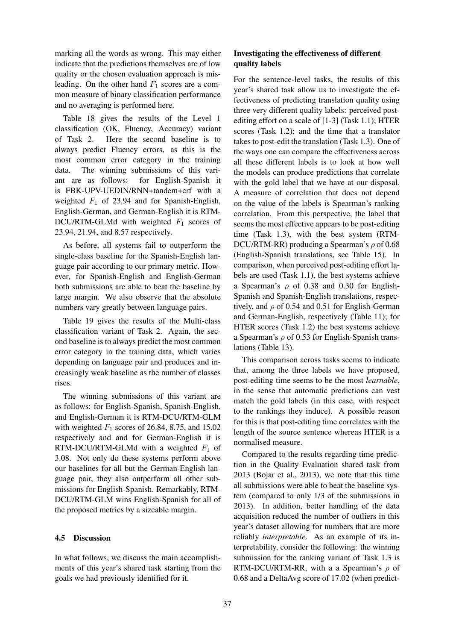marking all the words as wrong. This may either indicate that the predictions themselves are of low quality or the chosen evaluation approach is misleading. On the other hand  $F_1$  scores are a common measure of binary classification performance and no averaging is performed here.

Table 18 gives the results of the Level 1 classification (OK, Fluency, Accuracy) variant of Task 2. Here the second baseline is to always predict Fluency errors, as this is the most common error category in the training data. The winning submissions of this variant are as follows: for English-Spanish it is FBK-UPV-UEDIN/RNN+tandem+crf with a weighted  $F_1$  of 23.94 and for Spanish-English, English-German, and German-English it is RTM-DCU/RTM-GLMd with weighted  $F_1$  scores of 23.94, 21.94, and 8.57 respectively.

As before, all systems fail to outperform the single-class baseline for the Spanish-English language pair according to our primary metric. However, for Spanish-English and English-German both submissions are able to beat the baseline by large margin. We also observe that the absolute numbers vary greatly between language pairs.

Table 19 gives the results of the Multi-class classification variant of Task 2. Again, the second baseline is to always predict the most common error category in the training data, which varies depending on language pair and produces and increasingly weak baseline as the number of classes rises.

The winning submissions of this variant are as follows: for English-Spanish, Spanish-English, and English-German it is RTM-DCU/RTM-GLM with weighted  $F_1$  scores of 26.84, 8.75, and 15.02 respectively and and for German-English it is RTM-DCU/RTM-GLMd with a weighted  $F_1$  of 3.08. Not only do these systems perform above our baselines for all but the German-English language pair, they also outperform all other submissions for English-Spanish. Remarkably, RTM-DCU/RTM-GLM wins English-Spanish for all of the proposed metrics by a sizeable margin.

## 4.5 Discussion

In what follows, we discuss the main accomplishments of this year's shared task starting from the goals we had previously identified for it.

# Investigating the effectiveness of different quality labels

For the sentence-level tasks, the results of this year's shared task allow us to investigate the effectiveness of predicting translation quality using three very different quality labels: perceived postediting effort on a scale of [1-3] (Task 1.1); HTER scores (Task 1.2); and the time that a translator takes to post-edit the translation (Task 1.3). One of the ways one can compare the effectiveness across all these different labels is to look at how well the models can produce predictions that correlate with the gold label that we have at our disposal. A measure of correlation that does not depend on the value of the labels is Spearman's ranking correlation. From this perspective, the label that seems the most effective appears to be post-editing time (Task 1.3), with the best system (RTM-DCU/RTM-RR) producing a Spearman's  $\rho$  of 0.68 (English-Spanish translations, see Table 15). In comparison, when perceived post-editing effort labels are used (Task 1.1), the best systems achieve a Spearman's  $\rho$  of 0.38 and 0.30 for English-Spanish and Spanish-English translations, respectively, and  $\rho$  of 0.54 and 0.51 for English-German and German-English, respectively (Table 11); for HTER scores (Task 1.2) the best systems achieve a Spearman's  $\rho$  of 0.53 for English-Spanish translations (Table 13).

This comparison across tasks seems to indicate that, among the three labels we have proposed, post-editing time seems to be the most *learnable*, in the sense that automatic predictions can vest match the gold labels (in this case, with respect to the rankings they induce). A possible reason for this is that post-editing time correlates with the length of the source sentence whereas HTER is a normalised measure.

Compared to the results regarding time prediction in the Quality Evaluation shared task from 2013 (Bojar et al., 2013), we note that this time all submissions were able to beat the baseline system (compared to only 1/3 of the submissions in 2013). In addition, better handling of the data acquisition reduced the number of outliers in this year's dataset allowing for numbers that are more reliably *interpretable*. As an example of its interpretability, consider the following: the winning submission for the ranking variant of Task 1.3 is RTM-DCU/RTM-RR, with a a Spearman's  $\rho$  of 0.68 and a DeltaAvg score of 17.02 (when predict-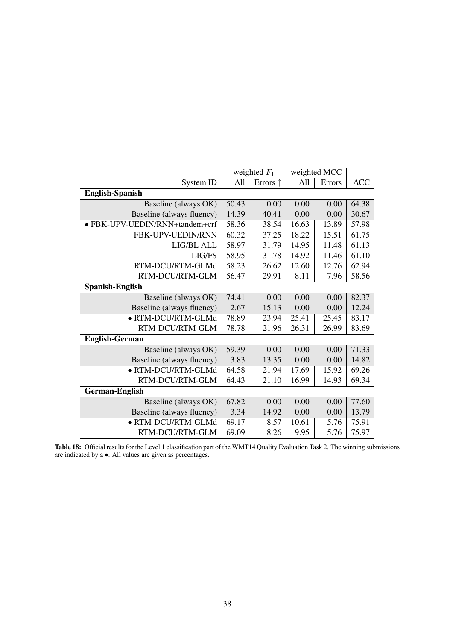|                                |       | weighted $F_1$    | weighted MCC |        |            |
|--------------------------------|-------|-------------------|--------------|--------|------------|
| System ID                      | All   | Errors $\uparrow$ | All          | Errors | <b>ACC</b> |
| <b>English-Spanish</b>         |       |                   |              |        |            |
| Baseline (always OK)           | 50.43 | 0.00              | 0.00         | 0.00   | 64.38      |
| Baseline (always fluency)      | 14.39 | 40.41             | 0.00         | 0.00   | 30.67      |
| · FBK-UPV-UEDIN/RNN+tandem+crf | 58.36 | 38.54             | 16.63        | 13.89  | 57.98      |
| FBK-UPV-UEDIN/RNN              | 60.32 | 37.25             | 18.22        | 15.51  | 61.75      |
| LIG/BL ALL                     | 58.97 | 31.79             | 14.95        | 11.48  | 61.13      |
| LIG/FS                         | 58.95 | 31.78             | 14.92        | 11.46  | 61.10      |
| RTM-DCU/RTM-GLMd               | 58.23 | 26.62             | 12.60        | 12.76  | 62.94      |
| RTM-DCU/RTM-GLM                | 56.47 | 29.91             | 8.11         | 7.96   | 58.56      |
| Spanish-English                |       |                   |              |        |            |
| Baseline (always OK)           | 74.41 | 0.00              | 0.00         | 0.00   | 82.37      |
| Baseline (always fluency)      | 2.67  | 15.13             | 0.00         | 0.00   | 12.24      |
| · RTM-DCU/RTM-GLMd             | 78.89 | 23.94             | 25.41        | 25.45  | 83.17      |
| RTM-DCU/RTM-GLM                | 78.78 | 21.96             | 26.31        | 26.99  | 83.69      |
| <b>English-German</b>          |       |                   |              |        |            |
| Baseline (always OK)           | 59.39 | 0.00              | 0.00         | 0.00   | 71.33      |
| Baseline (always fluency)      | 3.83  | 13.35             | 0.00         | 0.00   | 14.82      |
| · RTM-DCU/RTM-GLMd             | 64.58 | 21.94             | 17.69        | 15.92  | 69.26      |
| RTM-DCU/RTM-GLM                | 64.43 | 21.10             | 16.99        | 14.93  | 69.34      |
| <b>German-English</b>          |       |                   |              |        |            |
| Baseline (always OK)           | 67.82 | 0.00              | 0.00         | 0.00   | 77.60      |
| Baseline (always fluency)      | 3.34  | 14.92             | 0.00         | 0.00   | 13.79      |
| · RTM-DCU/RTM-GLMd             | 69.17 | 8.57              | 10.61        | 5.76   | 75.91      |
| RTM-DCU/RTM-GLM                | 69.09 | 8.26              | 9.95         | 5.76   | 75.97      |

Table 18: Official results for the Level 1 classification part of the WMT14 Quality Evaluation Task 2. The winning submissions are indicated by a •. All values are given as percentages.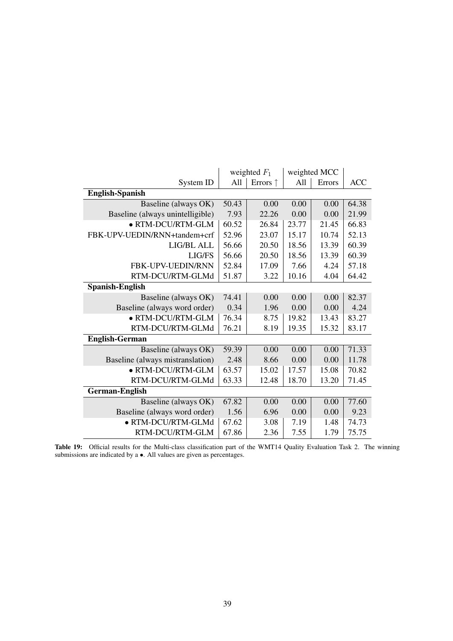|                                  |       | weighted $F_1$ | weighted MCC |        |            |
|----------------------------------|-------|----------------|--------------|--------|------------|
| System ID                        | All   | Errors ↑       | All          | Errors | <b>ACC</b> |
| <b>English-Spanish</b>           |       |                |              |        |            |
| Baseline (always OK)             | 50.43 | 0.00           | 0.00         | 0.00   | 64.38      |
| Baseline (always unintelligible) | 7.93  | 22.26          | 0.00         | 0.00   | 21.99      |
| • RTM-DCU/RTM-GLM                | 60.52 | 26.84          | 23.77        | 21.45  | 66.83      |
| FBK-UPV-UEDIN/RNN+tandem+crf     | 52.96 | 23.07          | 15.17        | 10.74  | 52.13      |
| LIG/BL ALL                       | 56.66 | 20.50          | 18.56        | 13.39  | 60.39      |
| LIG/FS                           | 56.66 | 20.50          | 18.56        | 13.39  | 60.39      |
| <b>FBK-UPV-UEDIN/RNN</b>         | 52.84 | 17.09          | 7.66         | 4.24   | 57.18      |
| RTM-DCU/RTM-GLMd                 | 51.87 | 3.22           | 10.16        | 4.04   | 64.42      |
| <b>Spanish-English</b>           |       |                |              |        |            |
| Baseline (always OK)             | 74.41 | 0.00           | 0.00         | 0.00   | 82.37      |
| Baseline (always word order)     | 0.34  | 1.96           | 0.00         | 0.00   | 4.24       |
| · RTM-DCU/RTM-GLM                | 76.34 | 8.75           | 19.82        | 13.43  | 83.27      |
| RTM-DCU/RTM-GLMd                 | 76.21 | 8.19           | 19.35        | 15.32  | 83.17      |
| <b>English-German</b>            |       |                |              |        |            |
| Baseline (always OK)             | 59.39 | 0.00           | 0.00         | 0.00   | 71.33      |
| Baseline (always mistranslation) | 2.48  | 8.66           | 0.00         | 0.00   | 11.78      |
| • RTM-DCU/RTM-GLM                | 63.57 | 15.02          | 17.57        | 15.08  | 70.82      |
| RTM-DCU/RTM-GLMd                 | 63.33 | 12.48          | 18.70        | 13.20  | 71.45      |
| <b>German-English</b>            |       |                |              |        |            |
| Baseline (always OK)             | 67.82 | 0.00           | 0.00         | 0.00   | 77.60      |
| Baseline (always word order)     | 1.56  | 6.96           | 0.00         | 0.00   | 9.23       |
| · RTM-DCU/RTM-GLMd               | 67.62 | 3.08           | 7.19         | 1.48   | 74.73      |
| RTM-DCU/RTM-GLM                  | 67.86 | 2.36           | 7.55         | 1.79   | 75.75      |

Table 19: Official results for the Multi-class classification part of the WMT14 Quality Evaluation Task 2. The winning submissions are indicated by a •. All values are given as percentages.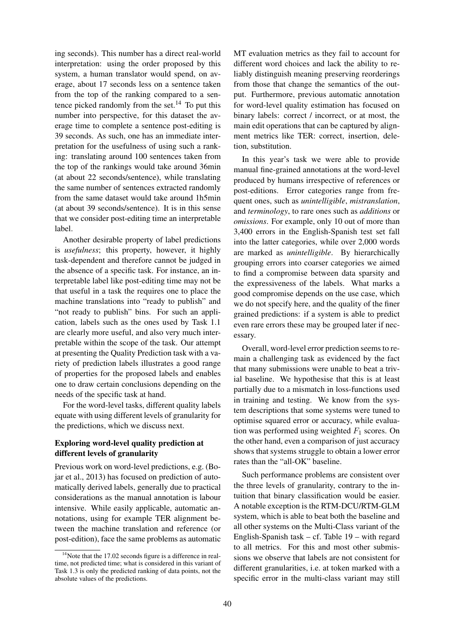ing seconds). This number has a direct real-world interpretation: using the order proposed by this system, a human translator would spend, on average, about 17 seconds less on a sentence taken from the top of the ranking compared to a sentence picked randomly from the set.<sup>14</sup> To put this number into perspective, for this dataset the average time to complete a sentence post-editing is 39 seconds. As such, one has an immediate interpretation for the usefulness of using such a ranking: translating around 100 sentences taken from the top of the rankings would take around 36min (at about 22 seconds/sentence), while translating the same number of sentences extracted randomly from the same dataset would take around 1h5min (at about 39 seconds/sentence). It is in this sense that we consider post-editing time an interpretable label.

Another desirable property of label predictions is *usefulness*; this property, however, it highly task-dependent and therefore cannot be judged in the absence of a specific task. For instance, an interpretable label like post-editing time may not be that useful in a task the requires one to place the machine translations into "ready to publish" and "not ready to publish" bins. For such an application, labels such as the ones used by Task 1.1 are clearly more useful, and also very much interpretable within the scope of the task. Our attempt at presenting the Quality Prediction task with a variety of prediction labels illustrates a good range of properties for the proposed labels and enables one to draw certain conclusions depending on the needs of the specific task at hand.

For the word-level tasks, different quality labels equate with using different levels of granularity for the predictions, which we discuss next.

# Exploring word-level quality prediction at different levels of granularity

Previous work on word-level predictions, e.g. (Bojar et al., 2013) has focused on prediction of automatically derived labels, generally due to practical considerations as the manual annotation is labour intensive. While easily applicable, automatic annotations, using for example TER alignment between the machine translation and reference (or post-edition), face the same problems as automatic MT evaluation metrics as they fail to account for different word choices and lack the ability to reliably distinguish meaning preserving reorderings from those that change the semantics of the output. Furthermore, previous automatic annotation for word-level quality estimation has focused on binary labels: correct / incorrect, or at most, the main edit operations that can be captured by alignment metrics like TER: correct, insertion, deletion, substitution.

In this year's task we were able to provide manual fine-grained annotations at the word-level produced by humans irrespective of references or post-editions. Error categories range from frequent ones, such as *unintelligible*, *mistranslation*, and *terminology*, to rare ones such as *additions* or *omissions*. For example, only 10 out of more than 3,400 errors in the English-Spanish test set fall into the latter categories, while over 2,000 words are marked as *unintelligible*. By hierarchically grouping errors into coarser categories we aimed to find a compromise between data sparsity and the expressiveness of the labels. What marks a good compromise depends on the use case, which we do not specify here, and the quality of the finer grained predictions: if a system is able to predict even rare errors these may be grouped later if necessary.

Overall, word-level error prediction seems to remain a challenging task as evidenced by the fact that many submissions were unable to beat a trivial baseline. We hypothesise that this is at least partially due to a mismatch in loss-functions used in training and testing. We know from the system descriptions that some systems were tuned to optimise squared error or accuracy, while evaluation was performed using weighted  $F_1$  scores. On the other hand, even a comparison of just accuracy shows that systems struggle to obtain a lower error rates than the "all-OK" baseline.

Such performance problems are consistent over the three levels of granularity, contrary to the intuition that binary classification would be easier. A notable exception is the RTM-DCU/RTM-GLM system, which is able to beat both the baseline and all other systems on the Multi-Class variant of the English-Spanish task – cf. Table 19 – with regard to all metrics. For this and most other submissions we observe that labels are not consistent for different granularities, i.e. at token marked with a specific error in the multi-class variant may still

<sup>&</sup>lt;sup>14</sup>Note that the 17.02 seconds figure is a difference in realtime, not predicted time; what is considered in this variant of Task 1.3 is only the predicted ranking of data points, not the absolute values of the predictions.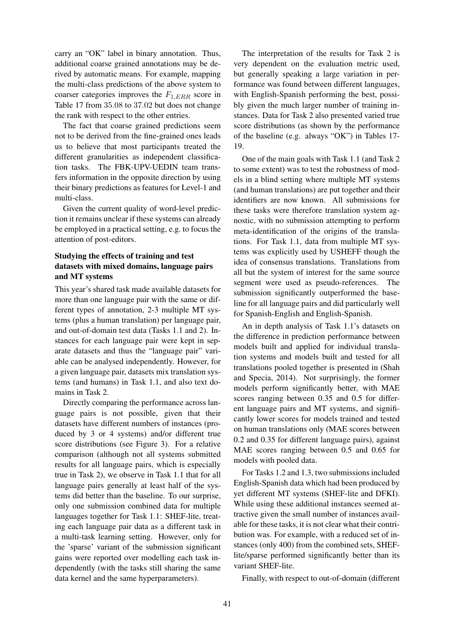carry an "OK" label in binary annotation. Thus, additional coarse grained annotations may be derived by automatic means. For example, mapping the multi-class predictions of the above system to coarser categories improves the  $F_{1,ERR}$  score in Table 17 from 35.08 to 37.02 but does not change the rank with respect to the other entries.

The fact that coarse grained predictions seem not to be derived from the fine-grained ones leads us to believe that most participants treated the different granularities as independent classification tasks. The FBK-UPV-UEDIN team transfers information in the opposite direction by using their binary predictions as features for Level-1 and multi-class.

Given the current quality of word-level prediction it remains unclear if these systems can already be employed in a practical setting, e.g. to focus the attention of post-editors.

## Studying the effects of training and test datasets with mixed domains, language pairs and MT systems

This year's shared task made available datasets for more than one language pair with the same or different types of annotation, 2-3 multiple MT systems (plus a human translation) per language pair, and out-of-domain test data (Tasks 1.1 and 2). Instances for each language pair were kept in separate datasets and thus the "language pair" variable can be analysed independently. However, for a given language pair, datasets mix translation systems (and humans) in Task 1.1, and also text domains in Task 2.

Directly comparing the performance across language pairs is not possible, given that their datasets have different numbers of instances (produced by 3 or 4 systems) and/or different true score distributions (see Figure 3). For a relative comparison (although not all systems submitted results for all language pairs, which is especially true in Task 2), we observe in Task 1.1 that for all language pairs generally at least half of the systems did better than the baseline. To our surprise, only one submission combined data for multiple languages together for Task 1.1: SHEF-lite, treating each language pair data as a different task in a multi-task learning setting. However, only for the 'sparse' variant of the submission significant gains were reported over modelling each task independently (with the tasks still sharing the same data kernel and the same hyperparameters).

The interpretation of the results for Task 2 is very dependent on the evaluation metric used, but generally speaking a large variation in performance was found between different languages, with English-Spanish performing the best, possibly given the much larger number of training instances. Data for Task 2 also presented varied true score distributions (as shown by the performance of the baseline (e.g. always "OK") in Tables 17- 19.

One of the main goals with Task 1.1 (and Task 2 to some extent) was to test the robustness of models in a blind setting where multiple MT systems (and human translations) are put together and their identifiers are now known. All submissions for these tasks were therefore translation system agnostic, with no submission attempting to perform meta-identification of the origins of the translations. For Task 1.1, data from multiple MT systems was explicitly used by USHEFF though the idea of consensus translations. Translations from all but the system of interest for the same source segment were used as pseudo-references. The submission significantly outperformed the baseline for all language pairs and did particularly well for Spanish-English and English-Spanish.

An in depth analysis of Task 1.1's datasets on the difference in prediction performance between models built and applied for individual translation systems and models built and tested for all translations pooled together is presented in (Shah and Specia, 2014). Not surprisingly, the former models perform significantly better, with MAE scores ranging between 0.35 and 0.5 for different language pairs and MT systems, and significantly lower scores for models trained and tested on human translations only (MAE scores between 0.2 and 0.35 for different language pairs), against MAE scores ranging between 0.5 and 0.65 for models with pooled data.

For Tasks 1.2 and 1.3, two submissions included English-Spanish data which had been produced by yet different MT systems (SHEF-lite and DFKI). While using these additional instances seemed attractive given the small number of instances available for these tasks, it is not clear what their contribution was. For example, with a reduced set of instances (only 400) from the combined sets, SHEFlite/sparse performed significantly better than its variant SHEF-lite.

Finally, with respect to out-of-domain (different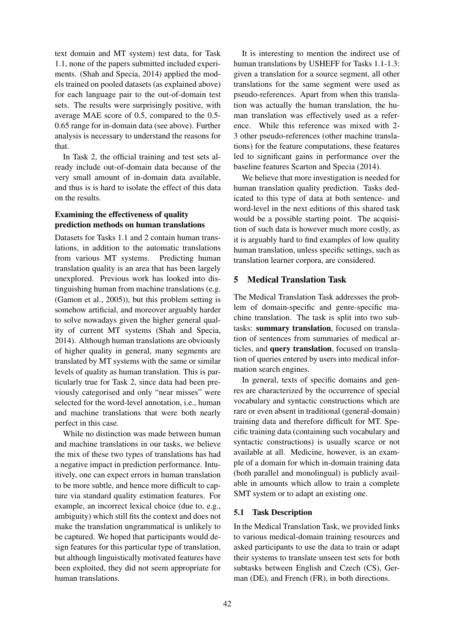text domain and MT system) test data, for Task 1.1, none of the papers submitted included experiments. (Shah and Specia, 2014) applied the models trained on pooled datasets (as explained above) for each language pair to the out-of-domain test sets. The results were surprisingly positive, with average MAE score of 0.5, compared to the 0.5- 0.65 range for in-domain data (see above). Further analysis is necessary to understand the reasons for that.

In Task 2, the official training and test sets already include out-of-domain data because of the very small amount of in-domain data available, and thus is is hard to isolate the effect of this data on the results.

# Examining the effectiveness of quality prediction methods on human translations

Datasets for Tasks 1.1 and 2 contain human translations, in addition to the automatic translations from various MT systems. Predicting human translation quality is an area that has been largely unexplored. Previous work has looked into distinguishing human from machine translations (e.g. (Gamon et al., 2005)), but this problem setting is somehow artificial, and moreover arguably harder to solve nowadays given the higher general quality of current MT systems (Shah and Specia, 2014). Although human translations are obviously of higher quality in general, many segments are translated by MT systems with the same or similar levels of quality as human translation. This is particularly true for Task 2, since data had been previously categorised and only "near misses" were selected for the word-level annotation, i.e., human and machine translations that were both nearly perfect in this case.

While no distinction was made between human and machine translations in our tasks, we believe the mix of these two types of translations has had a negative impact in prediction performance. Intuitively, one can expect errors in human translation to be more subtle, and hence more difficult to capture via standard quality estimation features. For example, an incorrect lexical choice (due to, e.g., ambiguity) which still fits the context and does not make the translation ungrammatical is unlikely to be captured. We hoped that participants would design features for this particular type of translation, but although linguistically motivated features have been exploited, they did not seem appropriate for human translations.

It is interesting to mention the indirect use of human translations by USHEFF for Tasks 1.1-1.3: given a translation for a source segment, all other translations for the same segment were used as pseudo-references. Apart from when this translation was actually the human translation, the human translation was effectively used as a reference. While this reference was mixed with 2- 3 other pseudo-references (other machine translations) for the feature computations, these features led to significant gains in performance over the baseline features Scarton and Specia (2014).

We believe that more investigation is needed for human translation quality prediction. Tasks dedicated to this type of data at both sentence- and word-level in the next editions of this shared task would be a possible starting point. The acquisition of such data is however much more costly, as it is arguably hard to find examples of low quality human translation, unless specific settings, such as translation learner corpora, are considered.

# 5 Medical Translation Task

The Medical Translation Task addresses the problem of domain-specific and genre-specific machine translation. The task is split into two subtasks: summary translation, focused on translation of sentences from summaries of medical articles, and query translation, focused on translation of queries entered by users into medical information search engines.

In general, texts of specific domains and genres are characterized by the occurrence of special vocabulary and syntactic constructions which are rare or even absent in traditional (general-domain) training data and therefore difficult for MT. Specific training data (containing such vocabulary and syntactic constructions) is usually scarce or not available at all. Medicine, however, is an example of a domain for which in-domain training data (both parallel and monolingual) is publicly available in amounts which allow to train a complete SMT system or to adapt an existing one.

## 5.1 Task Description

In the Medical Translation Task, we provided links to various medical-domain training resources and asked participants to use the data to train or adapt their systems to translate unseen test sets for both subtasks between English and Czech (CS), German (DE), and French (FR), in both directions.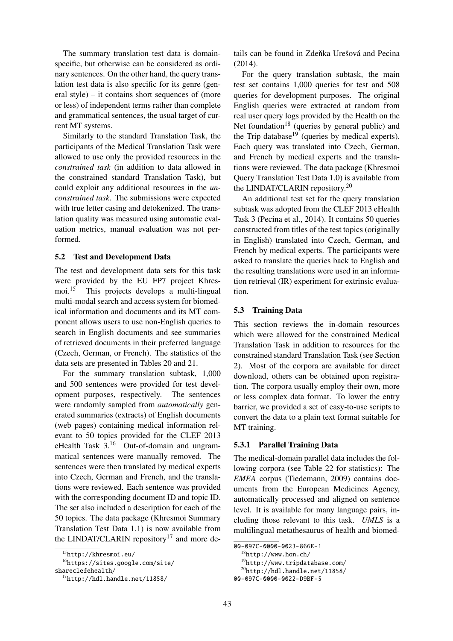The summary translation test data is domainspecific, but otherwise can be considered as ordinary sentences. On the other hand, the query translation test data is also specific for its genre (general style) – it contains short sequences of (more or less) of independent terms rather than complete and grammatical sentences, the usual target of current MT systems.

Similarly to the standard Translation Task, the participants of the Medical Translation Task were allowed to use only the provided resources in the *constrained task* (in addition to data allowed in the constrained standard Translation Task), but could exploit any additional resources in the *unconstrained task*. The submissions were expected with true letter casing and detokenized. The translation quality was measured using automatic evaluation metrics, manual evaluation was not performed.

### 5.2 Test and Development Data

The test and development data sets for this task were provided by the EU FP7 project Khresmoi.<sup>15</sup> This projects develops a multi-lingual multi-modal search and access system for biomedical information and documents and its MT component allows users to use non-English queries to search in English documents and see summaries of retrieved documents in their preferred language (Czech, German, or French). The statistics of the data sets are presented in Tables 20 and 21.

For the summary translation subtask, 1,000 and 500 sentences were provided for test development purposes, respectively. The sentences were randomly sampled from *automatically* generated summaries (extracts) of English documents (web pages) containing medical information relevant to 50 topics provided for the CLEF 2013 eHealth Task 3.<sup>16</sup> Out-of-domain and ungrammatical sentences were manually removed. The sentences were then translated by medical experts into Czech, German and French, and the translations were reviewed. Each sentence was provided with the corresponding document ID and topic ID. The set also included a description for each of the 50 topics. The data package (Khresmoi Summary Translation Test Data 1.1) is now available from the LINDAT/CLARIN repository<sup>17</sup> and more details can be found in Zdeňka Urešová and Pecina  $(2014)$ .

For the query translation subtask, the main test set contains 1,000 queries for test and 508 queries for development purposes. The original English queries were extracted at random from real user query logs provided by the Health on the Net foundation<sup>18</sup> (queries by general public) and the Trip database $19$  (queries by medical experts). Each query was translated into Czech, German, and French by medical experts and the translations were reviewed. The data package (Khresmoi Query Translation Test Data 1.0) is available from the LINDAT/CLARIN repository.<sup>20</sup>

An additional test set for the query translation subtask was adopted from the CLEF 2013 eHealth Task 3 (Pecina et al., 2014). It contains 50 queries constructed from titles of the test topics (originally in English) translated into Czech, German, and French by medical experts. The participants were asked to translate the queries back to English and the resulting translations were used in an information retrieval (IR) experiment for extrinsic evaluation.

### 5.3 Training Data

This section reviews the in-domain resources which were allowed for the constrained Medical Translation Task in addition to resources for the constrained standard Translation Task (see Section 2). Most of the corpora are available for direct download, others can be obtained upon registration. The corpora usually employ their own, more or less complex data format. To lower the entry barrier, we provided a set of easy-to-use scripts to convert the data to a plain text format suitable for MT training.

## 5.3.1 Parallel Training Data

The medical-domain parallel data includes the following corpora (see Table 22 for statistics): The *EMEA* corpus (Tiedemann, 2009) contains documents from the European Medicines Agency, automatically processed and aligned on sentence level. It is available for many language pairs, including those relevant to this task. *UMLS* is a multilingual metathesaurus of health and biomed-

<sup>15</sup>http://khresmoi.eu/

<sup>16</sup>https://sites.google.com/site/

shareclefehealth/

<sup>17</sup>http://hdl.handle.net/11858/

<sup>00-097</sup>C-0000-0023-866E-1

<sup>18</sup>http://www.hon.ch/

<sup>19</sup>http://www.tripdatabase.com/

 $^{20}$ http://hdl.handle.net/11858/

<sup>00-097</sup>C-0000-0022-D9BF-5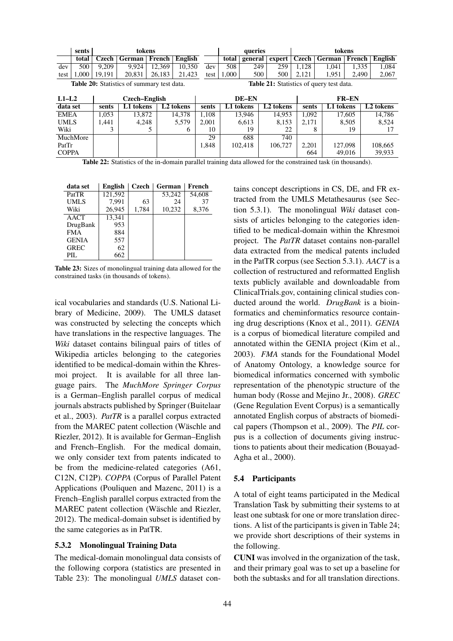|                                                                                                      | sents           |        | tokens        |        |                       |       | tokens<br>queries |         |           |       |              |         |                       |
|------------------------------------------------------------------------------------------------------|-----------------|--------|---------------|--------|-----------------------|-------|-------------------|---------|-----------|-------|--------------|---------|-----------------------|
|                                                                                                      | total           | Czech  | German        | French | English               |       | total             | general | expert    | Czech | German       | French  | English               |
| dev                                                                                                  | 500             | 9,209  | 9,924         | 12.369 | 10,350                | dev   | 508               | 249     | 259       | 1,128 | 1.041        | 1,335   | 1,084                 |
| test                                                                                                 | 1.000           | 19.191 | 20.831        | 26.183 | 21,423                | test  | 1,000             | 500     | 500       | 2.121 | 1,951        | 2.490   | 2,067                 |
| <b>Table 21:</b> Statistics of query test data.<br><b>Table 20:</b> Statistics of summary test data. |                 |        |               |        |                       |       |                   |         |           |       |              |         |                       |
| $L1-L2$                                                                                              |                 |        | Czech–English |        |                       | DE-EN |                   |         |           |       | <b>FR-EN</b> |         |                       |
| data set                                                                                             |                 | sents  | L1 tokens     |        | L <sub>2</sub> tokens | sents | L1 tokens         |         | L2 tokens | sents | L1 tokens    |         | L <sub>2</sub> tokens |
| <b>EMEA</b>                                                                                          |                 | 1.053  | 13.872        |        | 14.378                | 1,108 |                   | 13.946  | 14.953    | 1.092 |              | 17.605  | 14.786                |
| <b>UMLS</b>                                                                                          |                 | 1,441  | 4,248         |        | 5,579                 | 2,001 |                   | 6,613   | 8,153     | 2,171 |              | 8,505   | 8,524                 |
| Wiki                                                                                                 |                 | 3      |               |        | 6                     | 10    |                   | 19      | 22        |       | 8            | 19      | 17                    |
|                                                                                                      | <b>MuchMore</b> |        |               |        |                       | 29    |                   | 688     | 740       |       |              |         |                       |
| PatTr                                                                                                |                 |        |               |        |                       | 1,848 |                   | 102.418 | 106.727   | 2,201 |              | 127,098 | 108,665               |
| <b>COPPA</b>                                                                                         |                 |        |               |        |                       |       |                   |         |           | 664   |              | 49,016  | 39.933                |

Table 22: Statistics of the in-domain parallel training data allowed for the constrained task (in thousands).

| data set     | English | <b>Czech</b> | German | French |
|--------------|---------|--------------|--------|--------|
| PatTR        | 121,592 |              | 53,242 | 54,608 |
| <b>UMLS</b>  | 7.991   | 63           | 24     | 37     |
| Wiki         | 26,945  | 1,784        | 10,232 | 8,376  |
| <b>AACT</b>  | 13.341  |              |        |        |
| DrugBank     | 953     |              |        |        |
| <b>FMA</b>   | 884     |              |        |        |
| <b>GENIA</b> | 557     |              |        |        |
| <b>GREC</b>  | 62      |              |        |        |
| PIL.         | 662     |              |        |        |

Table 23: Sizes of monolingual training data allowed for the constrained tasks (in thousands of tokens).

ical vocabularies and standards (U.S. National Library of Medicine, 2009). The UMLS dataset was constructed by selecting the concepts which have translations in the respective languages. The *Wiki* dataset contains bilingual pairs of titles of Wikipedia articles belonging to the categories identified to be medical-domain within the Khresmoi project. It is available for all three language pairs. The *MuchMore Springer Corpus* is a German–English parallel corpus of medical journals abstracts published by Springer (Buitelaar et al., 2003). *PatTR* is a parallel corpus extracted from the MAREC patent collection (Wäschle and Riezler, 2012). It is available for German–English and French–English. For the medical domain, we only consider text from patents indicated to be from the medicine-related categories (A61, C12N, C12P). *COPPA* (Corpus of Parallel Patent Applications (Pouliquen and Mazenc, 2011) is a French–English parallel corpus extracted from the MAREC patent collection (Wäschle and Riezler, 2012). The medical-domain subset is identified by the same categories as in PatTR.

### 5.3.2 Monolingual Training Data

The medical-domain monolingual data consists of the following corpora (statistics are presented in Table 23): The monolingual *UMLS* dataset contains concept descriptions in CS, DE, and FR extracted from the UMLS Metathesaurus (see Section 5.3.1). The monolingual *Wiki* dataset consists of articles belonging to the categories identified to be medical-domain within the Khresmoi project. The *PatTR* dataset contains non-parallel data extracted from the medical patents included in the PatTR corpus (see Section 5.3.1). *AACT* is a collection of restructured and reformatted English texts publicly available and downloadable from ClinicalTrials.gov, containing clinical studies conducted around the world. *DrugBank* is a bioinformatics and cheminformatics resource containing drug descriptions (Knox et al., 2011). *GENIA* is a corpus of biomedical literature compiled and annotated within the GENIA project (Kim et al., 2003). *FMA* stands for the Foundational Model of Anatomy Ontology, a knowledge source for biomedical informatics concerned with symbolic representation of the phenotypic structure of the human body (Rosse and Mejino Jr., 2008). *GREC* (Gene Regulation Event Corpus) is a semantically annotated English corpus of abstracts of biomedical papers (Thompson et al., 2009). The *PIL* corpus is a collection of documents giving instructions to patients about their medication (Bouayad-Agha et al., 2000).

## 5.4 Participants

A total of eight teams participated in the Medical Translation Task by submitting their systems to at least one subtask for one or more translation directions. A list of the participants is given in Table 24; we provide short descriptions of their systems in the following.

CUNI was involved in the organization of the task, and their primary goal was to set up a baseline for both the subtasks and for all translation directions.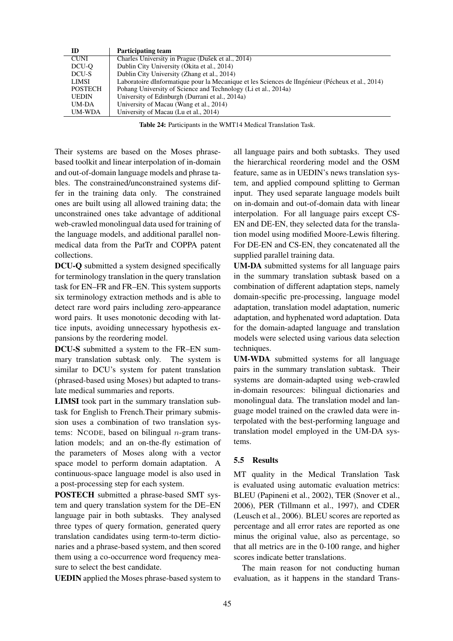| ID             | <b>Participating team</b>                                                                        |
|----------------|--------------------------------------------------------------------------------------------------|
| <b>CUNI</b>    | Charles University in Prague (Dušek et al., 2014)                                                |
| DCU-O          | Dublin City University (Okita et al., 2014)                                                      |
| DCU-S          | Dublin City University (Zhang et al., 2014)                                                      |
| LIMSI          | Laboratoire dInformatique pour la Mecanique et les Sciences de lIngénieur (Pécheux et al., 2014) |
| <b>POSTECH</b> | Pohang University of Science and Technology (Li et al., 2014a)                                   |
| <b>UEDIN</b>   | University of Edinburgh (Durrani et al., 2014a)                                                  |
| UM-DA          | University of Macau (Wang et al., 2014)                                                          |
| <b>UM-WDA</b>  | University of Macau (Lu et al., 2014)                                                            |
|                |                                                                                                  |

Table 24: Participants in the WMT14 Medical Translation Task.

Their systems are based on the Moses phrasebased toolkit and linear interpolation of in-domain and out-of-domain language models and phrase tables. The constrained/unconstrained systems differ in the training data only. The constrained ones are built using all allowed training data; the unconstrained ones take advantage of additional web-crawled monolingual data used for training of the language models, and additional parallel nonmedical data from the PatTr and COPPA patent collections.

DCU-Q submitted a system designed specifically for terminology translation in the query translation task for EN–FR and FR–EN. This system supports six terminology extraction methods and is able to detect rare word pairs including zero-appearance word pairs. It uses monotonic decoding with lattice inputs, avoiding unnecessary hypothesis expansions by the reordering model.

DCU-S submitted a system to the FR–EN summary translation subtask only. The system is similar to DCU's system for patent translation (phrased-based using Moses) but adapted to translate medical summaries and reports.

LIMSI took part in the summary translation subtask for English to French.Their primary submission uses a combination of two translation systems: NCODE, based on bilingual  $n$ -gram translation models; and an on-the-fly estimation of the parameters of Moses along with a vector space model to perform domain adaptation. A continuous-space language model is also used in a post-processing step for each system.

POSTECH submitted a phrase-based SMT system and query translation system for the DE–EN language pair in both subtasks. They analysed three types of query formation, generated query translation candidates using term-to-term dictionaries and a phrase-based system, and then scored them using a co-occurrence word frequency measure to select the best candidate.

UEDIN applied the Moses phrase-based system to

all language pairs and both subtasks. They used the hierarchical reordering model and the OSM feature, same as in UEDIN's news translation system, and applied compound splitting to German input. They used separate language models built on in-domain and out-of-domain data with linear interpolation. For all language pairs except CS-EN and DE-EN, they selected data for the translation model using modified Moore-Lewis filtering. For DE-EN and CS-EN, they concatenated all the supplied parallel training data.

UM-DA submitted systems for all language pairs in the summary translation subtask based on a combination of different adaptation steps, namely domain-specific pre-processing, language model adaptation, translation model adaptation, numeric adaptation, and hyphenated word adaptation. Data for the domain-adapted language and translation models were selected using various data selection techniques.

UM-WDA submitted systems for all language pairs in the summary translation subtask. Their systems are domain-adapted using web-crawled in-domain resources: bilingual dictionaries and monolingual data. The translation model and language model trained on the crawled data were interpolated with the best-performing language and translation model employed in the UM-DA systems.

## 5.5 Results

MT quality in the Medical Translation Task is evaluated using automatic evaluation metrics: BLEU (Papineni et al., 2002), TER (Snover et al., 2006), PER (Tillmann et al., 1997), and CDER (Leusch et al., 2006). BLEU scores are reported as percentage and all error rates are reported as one minus the original value, also as percentage, so that all metrics are in the 0-100 range, and higher scores indicate better translations.

The main reason for not conducting human evaluation, as it happens in the standard Trans-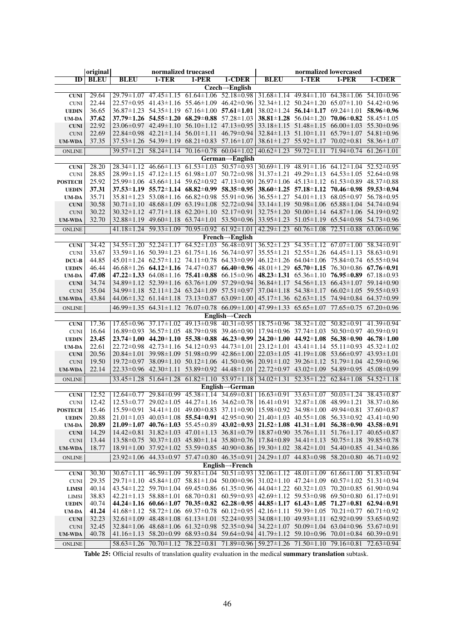|                              | original       |                  |                                                                                                                                       | normalized truecased              |                                                       |                                                                                         | normalized lowercased                                                                                                      |                                   |                  |
|------------------------------|----------------|------------------|---------------------------------------------------------------------------------------------------------------------------------------|-----------------------------------|-------------------------------------------------------|-----------------------------------------------------------------------------------------|----------------------------------------------------------------------------------------------------------------------------|-----------------------------------|------------------|
| ID                           | <b>BLEU</b>    | <b>BLEU</b>      | 1-TER                                                                                                                                 | 1-PER                             | $1$ -CDER                                             | <b>BLEU</b>                                                                             | 1-TER                                                                                                                      | 1-PER                             | $1$ -CDER        |
|                              |                |                  |                                                                                                                                       |                                   | $Czech \rightarrow$ English                           |                                                                                         |                                                                                                                            |                                   |                  |
| <b>CUNI</b>                  | 29.64          |                  | 29.79 ± 1.07 47.45 ± 1.15 61.64 ± 1.06 52.18 ± 0.98                                                                                   |                                   |                                                       |                                                                                         | $31.68 \pm 1.14$ 49.84 $\pm 1.10$ 64.38 $\pm 1.06$ 54.10 $\pm 0.96$                                                        |                                   |                  |
| <b>CUNI</b>                  | 22.44          |                  | $22.57\pm0.95$ 41.43 $\pm1.16$ 55.46 $\pm1.09$ 46.42 $\pm0.96$<br>$36.87 \pm 1.23$ $54.35 \pm 1.19$ $67.16 \pm 1.00$ $57.61 \pm 1.01$ |                                   |                                                       |                                                                                         | $32.34 \pm 1.12$ $50.24 \pm 1.20$ $65.07 \pm 1.10$ $54.42 \pm 0.96$                                                        |                                   |                  |
| <b>UEDIN</b>                 | 36.65<br>37.62 |                  | $37.79 \pm 1.26$ $54.55 \pm 1.20$ $68.29 \pm 0.88$ $57.28 \pm 1.03$                                                                   |                                   |                                                       |                                                                                         | $38.02 \pm 1.24$ 56.14 $\pm$ 1.17 69.24 $\pm$ 1.01 58.96 $\pm$ 0.96<br>38.81 ± 1.28 56.04 ± 1.20 70.06 ± 0.82 58.45 ± 1.05 |                                   |                  |
| <b>UM-DA</b><br><b>CUNI</b>  | 22.92          |                  | $23.06\pm0.97$ 42.49 $\pm1.10$ 56.10 $\pm1.12$ 47.13 $\pm0.95$                                                                        |                                   |                                                       |                                                                                         | 33.18±1.15 51.48±1.15 66.00±1.03 55.30±0.96                                                                                |                                   |                  |
| <b>CUNI</b>                  | 22.69          |                  | $22.84\pm0.98$ $42.21\pm1.14$ $56.01\pm1.11$ $46.79\pm0.94$                                                                           |                                   |                                                       |                                                                                         | 32.84±1.13 51.10±1.11 65.79±1.07 54.81±0.96                                                                                |                                   |                  |
| <b>UM-WDA</b>                | 37.35          |                  | $37.53 \pm 1.26$ $54.39 \pm 1.19$ $68.21 \pm 0.83$ $57.16 \pm 1.07$                                                                   |                                   |                                                       |                                                                                         | $38.61 \pm 1.27$ $55.92 \pm 1.17$                                                                                          | $70.02 \pm 0.81$                  | $58.36 \pm 1.07$ |
|                              |                |                  | $39.57 \pm 1.21$ $58.24 \pm 1.14$ $70.16 \pm 0.78$ $60.04 \pm 1.02$                                                                   |                                   |                                                       |                                                                                         | $40.62 \pm 1.23$ 59.72 $\pm 1.11$                                                                                          | $71.94 \pm 0.74$ 61.26 $\pm 1.01$ |                  |
| <b>ONLINE</b>                |                |                  |                                                                                                                                       |                                   |                                                       |                                                                                         |                                                                                                                            |                                   |                  |
| <b>CUNI</b>                  | 28.20          |                  | $28.34 \pm 1.12$ $46.66 \pm 1.13$ $61.53 \pm 1.03$ $50.57 \pm 0.93$                                                                   |                                   | $German \rightarrow English$                          |                                                                                         | $30.69 \pm 1.19$ $48.91 \pm 1.16$ $64.12 \pm 1.04$ $52.52 \pm 0.95$                                                        |                                   |                  |
| <b>CUNI</b>                  | 28.85          |                  | $28.99 \pm 1.15$ 47.12 $\pm 1.15$ 61.98 $\pm 1.07$ 50.72 $\pm 0.98$                                                                   |                                   |                                                       |                                                                                         | $31.37 \pm 1.21$ $49.29 \pm 1.13$ $64.53 \pm 1.05$ $52.64 \pm 0.98$                                                        |                                   |                  |
| <b>POSTECH</b>               | 25.92          |                  | $25.99 \pm 1.06$ 43.66 $\pm 1.14$ 59.62 $\pm 0.92$ 47.13 $\pm 0.90$                                                                   |                                   |                                                       |                                                                                         | $26.97 \pm 1.06$ 45.13 $\pm$ 1.12 61.53 $\pm$ 0.89 48.37 $\pm$ 0.88                                                        |                                   |                  |
| <b>UEDIN</b>                 | 37.31          |                  | $37.53 \pm 1.19$ $55.72 \pm 1.14$ $68.82 \pm 0.99$ $58.35 \pm 0.95$                                                                   |                                   |                                                       |                                                                                         | $38.60 \pm 1.25$ $57.18 \pm 1.12$ $70.46 \pm 0.98$ $59.53 \pm 0.94$                                                        |                                   |                  |
| <b>UM-DA</b>                 | 35.71          |                  | $35.81 \pm 1.23$ $53.08 \pm 1.16$ $66.82 \pm 0.98$ $55.91 \pm 0.96$                                                                   |                                   |                                                       |                                                                                         | $36.55 \pm 1.27$ $54.01 \pm 1.13$ $68.05 \pm 0.97$ $56.78 \pm 0.95$                                                        |                                   |                  |
| <b>CUNI</b>                  | 30.58          |                  | $30.71 \pm 1.10$ $48.68 \pm 1.09$ $63.19 \pm 1.08$ $52.72 \pm 0.94$                                                                   |                                   |                                                       |                                                                                         | 33.14±1.19 50.98±1.06 65.88±1.04 54.74±0.94                                                                                |                                   |                  |
| <b>CUNI</b>                  | 30.22          |                  | $30.32 \pm 1.12$ $47.71 \pm 1.18$ $62.20 \pm 1.10$ $52.17 \pm 0.91$                                                                   |                                   |                                                       |                                                                                         | $32.75 \pm 1.20$ $50.00 \pm 1.14$ $64.87 \pm 1.06$ $54.19 \pm 0.92$                                                        |                                   |                  |
| <b>UM-WDA</b>                | 32.70          |                  | 32.88 ± 1.19 49.60 ± 1.18 63.74 ± 1.01 53.50 ± 0.96                                                                                   |                                   |                                                       |                                                                                         | 33.95±1.23 51.05±1.19 65.54±0.98 54.73±0.96                                                                                |                                   |                  |
|                              |                | $41.18 \pm 1.24$ | $59.33 \pm 1.09$                                                                                                                      | $70.95 \pm 0.92$ 61.92 $\pm 1.01$ |                                                       | $42.29 \pm 1.23$                                                                        | $60.76 \pm 1.08$                                                                                                           | $72.51 \pm 0.88$                  | $63.06 \pm 0.96$ |
| <b>ONLINE</b>                |                |                  |                                                                                                                                       |                                   | $French \rightarrow English$                          |                                                                                         |                                                                                                                            |                                   |                  |
| <b>CUNI</b>                  | 34.42          |                  | $34.55 \pm 1.20$ $52.24 \pm 1.17$ $64.52 \pm 1.03$ $56.48 \pm 0.91$                                                                   |                                   |                                                       |                                                                                         | $36.52 \pm 1.23$ $54.35 \pm 1.12$ $67.07 \pm 1.00$ $58.34 \pm 0.91$                                                        |                                   |                  |
| <b>CUNI</b>                  | 33.67          |                  | 33.59±1.16 50.39±1.23 61.75±1.16 56.74±0.97                                                                                           |                                   |                                                       |                                                                                         | $35.55 \pm 1.21$ $52.55 \pm 1.26$ $64.45 \pm 1.13$ $58.63 \pm 0.91$                                                        |                                   |                  |
| DCU-B                        | 44.85          |                  | $45.01 \pm 1.24$ $62.57 \pm 1.12$ $74.11 \pm 0.78$ $64.33 \pm 0.99$                                                                   |                                   |                                                       |                                                                                         | 46.12±1.26 64.04±1.06 75.84±0.74 65.55±0.94                                                                                |                                   |                  |
| <b>UEDIN</b>                 | 46.44          |                  | $46.68 \pm 1.26$ 64.12 $\pm$ 1.16 74.47 $\pm$ 0.87 66.40 $\pm$ 0.96                                                                   |                                   |                                                       |                                                                                         | $48.01 \pm 1.29$ 65.70 $\pm 1.15$ 76.30 $\pm 0.86$ 67.76 $\pm 0.91$                                                        |                                   |                  |
| <b>UM-DA</b>                 | 47.08          |                  | 47.22 $\pm$ 1.33 64.08 $\pm$ 1.16 75.41 $\pm$ 0.88 66.15 $\pm$ 0.96                                                                   |                                   |                                                       |                                                                                         | 48.23±1.31 $65.36\pm1.10$ 76.95±0.89 $67.18\pm0.93$                                                                        |                                   |                  |
| <b>CUNI</b>                  | 34.74          |                  | 34.89 ± 1.12 52.39 ± 1.16 63.76 ± 1.09 57.29 ± 0.94                                                                                   |                                   |                                                       |                                                                                         | $36.84 \pm 1.17$ $54.56 \pm 1.13$ $66.43 \pm 1.07$ $59.14 \pm 0.90$                                                        |                                   |                  |
| <b>CUNI</b>                  | 35.04          |                  | 34.99 ± 1.18 52.11 ± 1.24 63.24 ± 1.09 57.51 ± 0.97                                                                                   |                                   |                                                       |                                                                                         | $37.04 \pm 1.18$ $54.38 \pm 1.17$ $66.02 \pm 1.05$ $59.55 \pm 0.93$                                                        |                                   |                  |
| <b>UM-WDA</b>                | 43.84          |                  | 44.06 ± 1.32 61.14 ± 1.18 73.13 ± 0.87 63.09 ± 1.00                                                                                   |                                   |                                                       |                                                                                         | 45.17±1.36 62.63±1.15 74.94±0.84 64.37±0.99                                                                                |                                   |                  |
| <b>ONLINE</b>                |                |                  | $46.99 \pm 1.35$ $64.31 \pm 1.12$ $76.07 \pm 0.78$ $66.09 \pm 1.00$                                                                   |                                   |                                                       |                                                                                         | $47.99 \pm 1.33$ $65.65 \pm 1.07$ $77.65 \pm 0.75$ $67.20 \pm 0.96$                                                        |                                   |                  |
|                              |                |                  |                                                                                                                                       |                                   | $English \rightarrow Czech$                           |                                                                                         |                                                                                                                            |                                   |                  |
| <b>CUNI</b>                  | 17.36          |                  | $17.65 \pm 0.96$ $37.17 \pm 1.02$ $49.13 \pm 0.98$ $40.31 \pm 0.95$                                                                   |                                   |                                                       |                                                                                         | $18.75\pm0.96$ $38.32\pm1.02$ $50.82\pm0.91$ $41.39\pm0.94$                                                                |                                   |                  |
| <b>CUNI</b>                  | 16.64          |                  | $16.89\pm0.93$ $36.57\pm1.05$ $48.79\pm0.98$ $39.46\pm0.90$                                                                           |                                   |                                                       |                                                                                         | $17.94 \pm 0.96$ $37.74 \pm 1.03$ $50.50 \pm 0.97$ $40.59 \pm 0.91$                                                        |                                   |                  |
| <b>UEDIN</b>                 | 23.45          |                  | $23.74 \pm 1.00$ $44.20 \pm 1.10$ $55.38 \pm 0.88$ $46.23 \pm 0.99$                                                                   |                                   |                                                       |                                                                                         | $24.20 \pm 1.00$ $44.92 \pm 1.08$ $56.38 \pm 0.90$ $46.78 \pm 1.00$                                                        |                                   |                  |
| <b>UM-DA</b>                 | 22.61          |                  | $22.72\pm0.98$ $42.73\pm1.16$ $54.12\pm0.93$ $44.73\pm1.01$                                                                           |                                   |                                                       |                                                                                         | $23.12 \pm 1.01$ $43.41 \pm 1.14$ $55.11 \pm 0.93$ $45.32 \pm 1.02$                                                        |                                   |                  |
| <b>CUNI</b>                  | 20.56          |                  | $20.84 \pm 1.01$ 39.98 $\pm 1.09$ 51.98 $\pm 0.99$ 42.86 $\pm 1.00$                                                                   |                                   |                                                       |                                                                                         | $22.03 \pm 1.05$ 41.19 $\pm 1.08$ 53.66 $\pm 0.97$ 43.93 $\pm 1.01$                                                        |                                   |                  |
| <b>CUNI</b>                  | 19.50          |                  | $19.72 \pm 0.97$ 38.09 $\pm$ 1.10 50.12 $\pm$ 1.06 41.50 $\pm$ 0.96                                                                   |                                   |                                                       |                                                                                         | $20.91 \pm 1.02$ 39.26 $\pm 1.12$ 51.79 $\pm 1.04$ 42.59 $\pm 0.96$                                                        |                                   |                  |
| <b>UM-WDA</b>                | 22.14          |                  | $22.33\pm0.96$ 42.30 $\pm1.11$ 53.89 $\pm0.92$ 44.48 $\pm1.01$                                                                        |                                   |                                                       |                                                                                         | 22.72±0.97 43.02±1.09 54.89±0.95 45.08±0.99                                                                                |                                   |                  |
| <b>ONLINE</b>                |                |                  | $33.45 \pm 1.28$ $51.64 \pm 1.28$ $61.82 \pm 1.10$ $53.97 \pm 1.18$                                                                   |                                   |                                                       | $34.02 \pm 1.31$                                                                        | $52.35 \pm 1.22$                                                                                                           | $62.84 \pm 1.08$ $54.52 \pm 1.18$ |                  |
|                              |                |                  |                                                                                                                                       |                                   | $\overline{\text{English} \rightarrow \text{German}}$ |                                                                                         |                                                                                                                            |                                   |                  |
| <b>CUNI</b>                  | 12.52          |                  | $12.64 \pm 0.77$ 29.84 $\pm$ 0.99 45.38 $\pm$ 1.14 34.69 $\pm$ 0.81                                                                   |                                   |                                                       |                                                                                         | $16.63 \pm 0.91$ $33.63 \pm 1.07$ $50.03 \pm 1.24$ $38.43 \pm 0.87$                                                        |                                   |                  |
| <b>CUNI</b>                  | 12.42          |                  | $12.53 \pm 0.77$ $29.02 \pm 1.05$ $44.27 \pm 1.16$ $34.62 \pm 0.78$                                                                   |                                   |                                                       |                                                                                         | $16.41\pm0.91$ $32.87\pm1.08$ $48.99\pm1.21$ $38.37\pm0.86$                                                                |                                   |                  |
| <b>POSTECH</b>               | 15.46          |                  | $15.59 \pm 0.91$ $34.41 \pm 1.01$ $49.00 \pm 0.83$ $37.11 \pm 0.90$                                                                   |                                   |                                                       |                                                                                         | $15.98 \pm 0.92$ 34.98 $\pm 1.00$ 49.94 $\pm 0.81$ 37.60 $\pm 0.87$                                                        |                                   |                  |
| <b>UEDIN</b>                 | 20.88          |                  | $21.01 \pm 1.03$ $40.03 \pm 1.08$ <b>55.54</b> $\pm$ <b>0.91</b> $42.95 \pm 0.90$                                                     |                                   |                                                       |                                                                                         | $21.40 \pm 1.03$ $40.55 \pm 1.08$ $56.33 \pm 0.92$ $43.41 \pm 0.90$                                                        |                                   |                  |
| <b>UM-DA</b>                 | 20.89          |                  | $21.09 \pm 1.07$ $40.76 \pm 1.03$ $55.45 \pm 0.89$ $43.02 \pm 0.93$                                                                   |                                   |                                                       |                                                                                         | $21.52 \pm 1.08$ $41.31 \pm 1.01$ $56.38 \pm 0.90$ $43.58 \pm 0.91$                                                        |                                   |                  |
| <b>CUNI</b>                  | 14.29          |                  | $14.42 \pm 0.81$ $31.82 \pm 1.03$ $47.01 \pm 1.13$ $36.81 \pm 0.79$                                                                   |                                   |                                                       |                                                                                         | $18.87 \pm 0.90$ $35.76 \pm 1.11$ $51.76 \pm 1.17$ $40.65 \pm 0.87$                                                        |                                   |                  |
| <b>CUNI</b>                  | 13.44          |                  | $13.58 \pm 0.75$ $30.37 \pm 1.03$ $45.80 \pm 1.14$ $35.80 \pm 0.76$                                                                   |                                   |                                                       |                                                                                         | $17.84 \pm 0.89$ $34.41 \pm 1.13$ $50.75 \pm 1.18$ $39.85 \pm 0.78$                                                        |                                   |                  |
| <b>UM-WDA</b>                | 18.77          |                  | $18.91 \pm 1.00$ $37.92 \pm 1.02$ $53.59 \pm 0.85$ $40.90 \pm 0.86$                                                                   |                                   |                                                       |                                                                                         | $19.30 \pm 1.02$ $38.42 \pm 1.01$ $54.40 \pm 0.85$ $41.34 \pm 0.86$                                                        |                                   |                  |
| <b>ONLINE</b>                |                |                  | $23.92 \pm 1.06$ 44.33 $\pm$ 0.97 57.47 $\pm$ 0.80 46.35 $\pm$ 0.91                                                                   |                                   |                                                       |                                                                                         | $24.29 \pm 1.07$ $44.83 \pm 0.98$ $58.20 \pm 0.80$ $46.71 \pm 0.92$                                                        |                                   |                  |
|                              |                |                  |                                                                                                                                       |                                   | $English \rightarrow French$                          |                                                                                         |                                                                                                                            |                                   |                  |
| ${\bf CUNI}$                 | 30.30          |                  | $30.67 \pm 1.11$ $46.59 \pm 1.09$ $59.83 \pm 1.04$ $50.51 \pm 0.93$                                                                   |                                   |                                                       |                                                                                         | $32.06 \pm 1.12$ $48.01 \pm 1.09$ $61.66 \pm 1.00$ $51.83 \pm 0.94$                                                        |                                   |                  |
| <b>CUNI</b>                  | 29.35          |                  | $29.71 \pm 1.10$ $45.84 \pm 1.07$ $58.81 \pm 1.04$ $50.00 \pm 0.96$<br>43.54±1.22 59.70±1.04 69.45±0.86 61.35±0.96                    |                                   |                                                       |                                                                                         | $31.02 \pm 1.10$ $47.24 \pm 1.09$ $60.57 \pm 1.02$ $51.31 \pm 0.94$<br>44.04±1.22 60.32±1.03 70.20±0.85 61.90±0.94         |                                   |                  |
| <b>LIMSI</b>                 | 40.14<br>38.83 |                  | $42.21 \pm 1.13$ $58.88 \pm 1.01$ $68.70 \pm 0.81$ $60.59 \pm 0.93$                                                                   |                                   |                                                       |                                                                                         | $42.69 \pm 1.12$ $59.53 \pm 0.98$ $69.50 \pm 0.80$ $61.17 \pm 0.91$                                                        |                                   |                  |
| <b>LIMSI</b>                 | 40.74          |                  | $44.24 \pm 1.16$ 60.66 $\pm 1.07$ 70.35 $\pm$ 0.82 62.28 $\pm$ 0.95                                                                   |                                   |                                                       |                                                                                         | $44.85 \pm 1.17$ $61.43 \pm 1.05$ $71.27 \pm 0.81$ $62.94 \pm 0.91$                                                        |                                   |                  |
| <b>UEDIN</b><br><b>UM-DA</b> | 41.24          |                  | $41.68 \pm 1.12$ 58.72 $\pm 1.06$ 69.37 $\pm 0.78$ 60.12 $\pm 0.95$                                                                   |                                   |                                                       |                                                                                         | $42.16 \pm 1.11$ $59.39 \pm 1.05$ $70.21 \pm 0.77$ $60.71 \pm 0.92$                                                        |                                   |                  |
| <b>CUNI</b>                  | 32.23          |                  | $32.61 \pm 1.09$ $48.48 \pm 1.08$ $61.13 \pm 1.01$ $52.24 \pm 0.93$                                                                   |                                   |                                                       |                                                                                         | $34.08 \pm 1.10$ $49.93 \pm 1.11$ $62.92 \pm 0.99$ $53.65 \pm 0.92$                                                        |                                   |                  |
| <b>CUNI</b>                  | 32.45          |                  | $32.84 \pm 1.06$ $48.68 \pm 1.06$ $61.32 \pm 0.98$ $52.35 \pm 0.94$                                                                   |                                   |                                                       |                                                                                         | $34.22 \pm 1.07$ $50.09 \pm 1.04$ $63.04 \pm 0.96$ $53.67 \pm 0.91$                                                        |                                   |                  |
| <b>UM-WDA</b>                | 40.78          |                  | $41.16 \pm 1.13$ 58.20 $\pm$ 0.99 68.93 $\pm$ 0.84 59.64 $\pm$ 0.94                                                                   |                                   |                                                       |                                                                                         | 41.79 ± 1.12 59.10 ± 0.96 70.01 ± 0.84 60.39 ± 0.91                                                                        |                                   |                  |
|                              |                |                  |                                                                                                                                       |                                   |                                                       |                                                                                         |                                                                                                                            |                                   |                  |
| <b>ONLINE</b>                |                |                  |                                                                                                                                       |                                   |                                                       | 58.63±1.26 70.70±1.12 78.22±0.81 71.89±0.96 59.27±1.26 71.50±1.10 79.16±0.81 72.63±0.94 |                                                                                                                            |                                   |                  |

Table 25: Official results of translation quality evaluation in the medical summary translation subtask.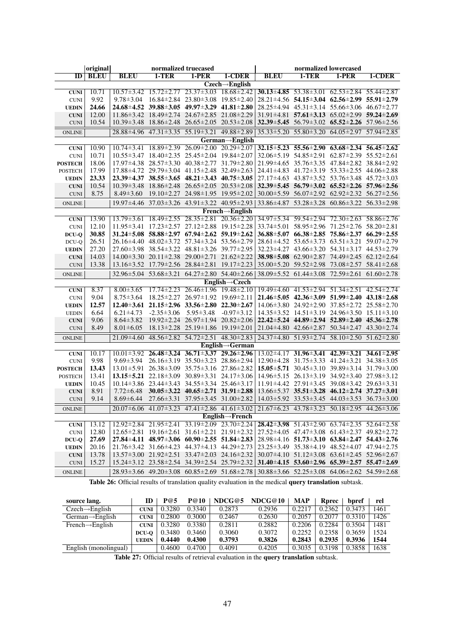|                | original    |                  |                                                                     | normalized truecased                               |                                                                                                                                | normalized lowercased |                                                                     |                                                    |                                                                     |
|----------------|-------------|------------------|---------------------------------------------------------------------|----------------------------------------------------|--------------------------------------------------------------------------------------------------------------------------------|-----------------------|---------------------------------------------------------------------|----------------------------------------------------|---------------------------------------------------------------------|
| ID             | <b>BLEU</b> | <b>BLEU</b>      | $1-TER$                                                             | $1-PER$                                            | $1-CDER$                                                                                                                       | <b>BLEU</b>           | $1-TER$                                                             | $1-PER$                                            | 1-CDER                                                              |
|                |             |                  |                                                                     |                                                    | $Czech \rightarrow$ English                                                                                                    |                       |                                                                     |                                                    |                                                                     |
| <b>CUNI</b>    | 10.71       |                  | $10.57 \pm 3.42$ $15.72 \pm 2.77$ $23.37 \pm 3.03$                  |                                                    | $18.68 \pm 2.42$                                                                                                               |                       | 30.13±4.85 53.38±3.01 62.53±2.84 55.44±2.87                         |                                                    |                                                                     |
| <b>CUNI</b>    | 9.92        | $9.78 \pm 3.04$  |                                                                     | $16.84 \pm 2.84$ $23.80 \pm 3.08$ $19.85 \pm 2.40$ |                                                                                                                                |                       | $28.21 \pm 4.56$ 54.15 $\pm 3.04$ 62.56 $\pm 2.99$ 55.91 $\pm 2.79$ |                                                    |                                                                     |
| <b>UEDIN</b>   | 24.66       |                  | $24.68 \pm 4.52$ $39.88 \pm 3.05$ $49.97 \pm 3.29$ $41.81 \pm 2.80$ |                                                    |                                                                                                                                |                       | $28.25 \pm 4.94$ $45.31 \pm 3.14$ $55.66 \pm 3.06$ $46.67 \pm 2.77$ |                                                    |                                                                     |
| <b>CUNI</b>    | 12.00       |                  | $11.86 \pm 3.42$ $18.49 \pm 2.74$ $24.67 \pm 2.85$ $21.08 \pm 2.29$ |                                                    |                                                                                                                                |                       | $31.91 \pm 4.81$ $57.61 \pm 3.13$ $65.02 \pm 2.99$ $59.24 \pm 2.69$ |                                                    |                                                                     |
| <b>CUNI</b>    | 10.54       |                  | $10.39 \pm 3.48$ $18.86 \pm 2.48$ $26.65 \pm 2.05$ $20.53 \pm 2.08$ |                                                    |                                                                                                                                |                       | 32.39 $\pm$ 5.45 56.79 $\pm$ 3.02 65.52 $\pm$ 2.26 57.96 $\pm$ 2.56 |                                                    |                                                                     |
| <b>ONLINE</b>  |             |                  | 28.88 ± 4.96 47.31 ± 3.35 55.19 ± 3.21 49.88 ± 2.89                 |                                                    |                                                                                                                                |                       | 35.33±5.20 55.80±3.20 64.05±2.97 57.94±2.85                         |                                                    |                                                                     |
|                |             |                  |                                                                     |                                                    | $German \rightarrow English$                                                                                                   |                       |                                                                     |                                                    |                                                                     |
| <b>CUNI</b>    | 10.90       | $10.74 \pm 3.41$ | $18.89 \pm 2.39$ $26.09 \pm 2.00$                                   |                                                    | $20.29 \pm 2.07$                                                                                                               |                       | $32.15 \pm 5.23$ $55.56 \pm 2.90$ $63.68 \pm 2.34$ $56.45 \pm 2.62$ |                                                    |                                                                     |
| <b>CUNI</b>    | 10.71       |                  | $10.55\pm3.47$ $18.40\pm2.35$ $25.45\pm2.04$ $19.84\pm2.07$         |                                                    |                                                                                                                                |                       | $32.06 \pm 5.19$ $54.85 \pm 2.91$ $62.87 \pm 2.39$ $55.52 \pm 2.61$ |                                                    |                                                                     |
| <b>POSTECH</b> | 18.06       |                  | $17.97\pm4.38$ $28.57\pm3.30$ $40.38\pm2.77$ $31.79\pm2.80$         |                                                    |                                                                                                                                |                       | 21.99±4.65 35.76±3.35 47.84±2.82 38.84±2.92                         |                                                    |                                                                     |
| <b>POSTECH</b> | 17.99       |                  | $17.88 \pm 4.72$ $29.79 \pm 3.04$ $41.15 \pm 2.48$ $32.49 \pm 2.63$ |                                                    |                                                                                                                                |                       | $24.41 \pm 4.83$ $41.72 \pm 3.19$ $53.33 \pm 2.55$ $44.06 \pm 2.88$ |                                                    |                                                                     |
| <b>UEDIN</b>   | 23.33       |                  | $23.39 \pm 4.37$ $38.55 \pm 3.65$ $48.21 \pm 3.43$ $40.75 \pm 3.05$ |                                                    |                                                                                                                                |                       | $27.17 \pm 4.63$ $43.87 \pm 3.52$ $53.76 \pm 3.48$ $45.72 \pm 3.03$ |                                                    |                                                                     |
| <b>CUNI</b>    | 10.54       |                  | $10.39 \pm 3.48$ $18.86 \pm 2.48$ $26.65 \pm 2.05$ $20.53 \pm 2.08$ |                                                    |                                                                                                                                |                       | $32.39 \pm 5.45$ 56.79 $\pm 3.02$ 65.52 $\pm 2.26$ 57.96 $\pm 2.56$ |                                                    |                                                                     |
| <b>CUNI</b>    | 8.75        | $8.49 \pm 3.60$  |                                                                     | 19.10 ± 2.27 24.98 ± 1.95 19.95 ± 2.02             |                                                                                                                                |                       | 30.00 ± 5.59 56.07 ± 2.92 62.92 ± 2.32 56.27 ± 2.56                 |                                                    |                                                                     |
| <b>ONLINE</b>  |             |                  | 19.97±4.46 37.03±3.26 43.91±3.22 40.95±2.93                         |                                                    |                                                                                                                                | 33.86±4.87            | $53.28 \pm 3.28$                                                    | $60.86 \pm 3.22$ $56.33 \pm 2.98$                  |                                                                     |
|                |             |                  |                                                                     |                                                    | $French \rightarrow English$                                                                                                   |                       |                                                                     |                                                    |                                                                     |
| <b>CUNI</b>    | 13.90       |                  | $13.79 \pm 3.61$ $18.49 \pm 2.55$ $28.35 \pm 2.81$ $20.36 \pm 2.20$ |                                                    |                                                                                                                                |                       | 34.97±5.34 59.54±2.94 72.30±2.63 58.86±2.76                         |                                                    |                                                                     |
| <b>CUNI</b>    | 12.10       |                  | $11.95 \pm 3.41$ $17.23 \pm 2.57$ $27.12 \pm 2.88$ $19.15 \pm 2.28$ |                                                    |                                                                                                                                |                       | $33.74 \pm 5.01$ $58.95 \pm 2.96$ $71.25 \pm 2.76$ $58.20 \pm 2.81$ |                                                    |                                                                     |
| DCU-Q          | 30.85       |                  | $31.24 \pm 5.08$ $58.88 \pm 2.97$ $67.94 \pm 2.62$ $59.19 \pm 2.62$ |                                                    |                                                                                                                                |                       | $36.88\pm5.07$ $66.38\pm2.85$ $75.86\pm2.37$ $66.29\pm2.55$         |                                                    |                                                                     |
| DCU-Q          | 26.51       |                  | 26.16±4.40 48.02±3.72 57.34±3.24 53.56±2.79                         |                                                    |                                                                                                                                |                       | 28.61±4.52 53.65±3.73 63.51±3.21 59.07±2.79                         |                                                    |                                                                     |
| <b>UEDIN</b>   | 27.20       |                  | 27.60 ± 3.98 38.54 ± 3.22 48.81 ± 3.26 39.77 ± 2.95                 |                                                    |                                                                                                                                |                       | $32.23 \pm 4.27$ $43.66 \pm 3.20$ $54.31 \pm 3.17$ $44.53 \pm 2.79$ |                                                    |                                                                     |
| <b>CUNI</b>    | 14.03       |                  | $14.00\pm3.30$ $20.11\pm2.38$ $29.00\pm2.71$ $21.62\pm2.22$         |                                                    |                                                                                                                                |                       | 38.98 $\pm$ 5.08 62.90 $\pm$ 2.87 74.49 $\pm$ 2.45 62.12 $\pm$ 2.64 |                                                    |                                                                     |
| <b>CUNI</b>    | 13.38       |                  | 13.16±3.52 17.79±2.56 28.84±2.81                                    |                                                    | $19.17 \pm 2.23$                                                                                                               | $35.00 \pm 5.20$      | 59.52±2.98 73.08±2.57 58.41±2.68                                    |                                                    |                                                                     |
|                |             |                  | 32.96±5.04 53.68±3.21 64.27±2.80 54.40±2.66                         |                                                    |                                                                                                                                | $38.09 \pm 5.52$      | $61.44 \pm 3.08$                                                    | $72.59 \pm 2.61$                                   | $61.60 \pm 2.78$                                                    |
| <b>ONLINE</b>  |             |                  |                                                                     |                                                    | English $\rightarrow$ Czech                                                                                                    |                       |                                                                     |                                                    |                                                                     |
|                | 8.37        | $8.00 \pm 3.65$  |                                                                     | $17.74 \pm 2.23$ $26.46 \pm 1.96$ $19.48 \pm 2.10$ |                                                                                                                                |                       | $19.49 \pm 4.60$ $41.53 \pm 2.94$ $51.34 \pm 2.51$                  |                                                    | $42.54 \pm 2.74$                                                    |
| <b>CUNI</b>    | 9.04        | $8.75 \pm 3.64$  |                                                                     | $18.25 \pm 2.27$ $26.97 \pm 1.92$ $19.69 \pm 2.11$ |                                                                                                                                |                       | $21.46 \pm 5.05$ $42.36 \pm 3.09$ $51.99 \pm 2.40$ $43.18 \pm 2.68$ |                                                    |                                                                     |
| <b>CUNI</b>    | 12.57       |                  | $12.40 \pm 3.61$ $21.15 \pm 2.96$ $33.56 \pm 2.80$ $22.30 \pm 2.67$ |                                                    |                                                                                                                                |                       | 14.06 ± 3.80 24.92 ± 2.90 37.85 ± 2.72 25.58 ± 2.70                 |                                                    |                                                                     |
| <b>UEDIN</b>   | 6.64        | $6.21 \pm 4.73$  | $-2.35 \pm 3.06$                                                    | $5.95 \pm 3.48$                                    | $-0.97 \pm 3.12$                                                                                                               |                       | $14.35\pm3.52$ $14.51\pm3.19$ $24.96\pm3.50$ $15.11\pm3.10$         |                                                    |                                                                     |
| <b>UEDIN</b>   | 9.06        | $8.64 \pm 3.82$  |                                                                     | $19.92 \pm 2.24$ $26.97 \pm 1.94$ $20.82 \pm 2.06$ |                                                                                                                                |                       | $22.42 \pm 5.24$ $44.89 \pm 2.94$ $52.89 \pm 2.40$ $45.36 \pm 2.78$ |                                                    |                                                                     |
| <b>CUNI</b>    | 8.49        |                  |                                                                     |                                                    |                                                                                                                                |                       |                                                                     |                                                    |                                                                     |
| <b>CUNI</b>    |             | $8.01 \pm 6.05$  |                                                                     | $18.13 \pm 2.28$ $25.19 \pm 1.86$ $19.19 \pm 2.01$ |                                                                                                                                |                       | 21.04±4.80 42.66±2.87 50.34±2.47 43.30±2.74                         |                                                    |                                                                     |
| <b>ONLINE</b>  |             | $21.09 \pm 4.60$ |                                                                     | 48.56±2.82 54.72±2.51                              | $48.30 \pm 2.83$                                                                                                               | $24.37 \pm 4.80$      | $51.93 \pm 2.74$                                                    |                                                    | 58.10 $\pm$ 2.50 51.62 $\pm$ 2.80                                   |
|                |             |                  |                                                                     |                                                    | $English \rightarrow German$                                                                                                   |                       |                                                                     |                                                    |                                                                     |
| <b>CUNI</b>    | 10.17       |                  | $10.01 \pm 3.92$ 26.48 $\pm 3.24$ 36.71 $\pm 3.37$ 29.26 $\pm 2.96$ |                                                    |                                                                                                                                | $13.02 \pm 4.17$      |                                                                     | $31.96 \pm 3.41$ $42.39 \pm 3.21$ $34.61 \pm 2.95$ |                                                                     |
| <b>CUNI</b>    | 9.98        | $9.69 \pm 3.94$  |                                                                     | 26.16 ± 3.19 35.50 ± 3.23 28.86 ± 2.94             |                                                                                                                                | $12.90 \pm 4.28$      | $31.75 \pm 3.33$ $41.24 \pm 3.21$                                   |                                                    | $34.38 \pm 3.05$                                                    |
| <b>POSTECH</b> | 13.43       |                  | $13.01 \pm 5.91$ $26.38 \pm 3.09$ $35.75 \pm 3.16$ $27.86 \pm 2.82$ |                                                    |                                                                                                                                |                       | 15.05 $\pm$ 5.71 30.45 $\pm$ 3.10 39.89 $\pm$ 3.14 31.79 $\pm$ 3.00 |                                                    |                                                                     |
| <b>POSTECH</b> | 13.41       |                  | 13.15 $\pm$ 5.21 22.18 $\pm$ 3.09 30.89 $\pm$ 3.31 24.17 $\pm$ 3.06 |                                                    |                                                                                                                                |                       | 14.96 ± 5.15 26.13 ± 3.19 34.92 ± 3.40 27.98 ± 3.12                 |                                                    |                                                                     |
| <b>UEDIN</b>   | 10.45       |                  | $10.14 \pm 3.86$ 23.44 $\pm 3.43$ 34.55 $\pm 3.34$ 25.46 $\pm 3.17$ |                                                    |                                                                                                                                |                       | $11.91 \pm 4.42$ $27.91 \pm 3.45$ $39.08 \pm 3.42$ $29.63 \pm 3.31$ |                                                    |                                                                     |
| <b>CUNI</b>    | 8.91        | $7.72 \pm 6.48$  |                                                                     | $30.05 \pm 3.22$ $40.65 \pm 2.71$ $31.91 \pm 2.88$ |                                                                                                                                |                       | $13.66 \pm 5.37$ $35.51 \pm 3.28$ $46.12 \pm 2.74$ $37.27 \pm 3.01$ |                                                    |                                                                     |
| <b>CUNI</b>    | 9.14        | $8.69 \pm 6.44$  | $27.66 \pm 3.31$ $37.95 \pm 3.45$ $31.00 \pm 2.82$                  |                                                    |                                                                                                                                |                       | $14.03 \pm 5.92$ $33.53 \pm 3.45$ $44.03 \pm 3.53$ $36.73 \pm 3.00$ |                                                    |                                                                     |
| <b>ONLINE</b>  |             |                  |                                                                     |                                                    | $20.07\pm6.06$ 41.07 $\pm3.23$ 47.41 $\pm2.86$ 41.61 $\pm3.02$ 21.67 $\pm6.23$ 43.78 $\pm3.23$ 50.18 $\pm2.95$ 44.26 $\pm3.06$ |                       |                                                                     |                                                    |                                                                     |
|                |             |                  |                                                                     |                                                    | $English \rightarrow French$                                                                                                   |                       |                                                                     |                                                    |                                                                     |
| ${\bf CUNI}$   | 13.12       |                  |                                                                     |                                                    | $12.92 \pm 2.84$ $21.95 \pm 2.41$ $33.19 \pm 2.09$ $23.70 \pm 2.24$                                                            |                       |                                                                     |                                                    | 28.42±3.98 51.43±2.90 63.74±2.35 52.64±2.58                         |
| <b>CUNI</b>    | 12.80       |                  |                                                                     |                                                    | $12.65 \pm 2.81$ $19.16 \pm 2.61$ $31.61 \pm 2.21$ $21.91 \pm 2.32$                                                            |                       | $27.52 \pm 4.05$ $47.47 \pm 3.08$ $61.43 \pm 2.37$ $49.82 \pm 2.72$ |                                                    |                                                                     |
| DCU-Q          | 27.69       |                  |                                                                     |                                                    | $27.84 \pm 4.11$ $48.97 \pm 3.06$ $60.90 \pm 2.55$ $51.84 \pm 2.83$                                                            |                       | $28.98\pm4.16$ 51.73 $\pm$ 3.10 63.84 $\pm$ 2.47 54.43 $\pm$ 2.76   |                                                    |                                                                     |
| <b>UEDIN</b>   | 20.16       |                  | 21.76 ± 3.42 31.66 ± 4.23 44.37 ± 4.13 44.29 ± 2.73                 |                                                    |                                                                                                                                |                       | 23.25 ± 3.49 35.38 ± 4.19 48.52 ± 4.07 47.94 ± 2.75                 |                                                    |                                                                     |
| <b>CUNI</b>    | 13.78       |                  |                                                                     |                                                    | $13.57 \pm 3.00$ $21.92 \pm 2.51$ $33.47 \pm 2.03$ $24.16 \pm 2.32$                                                            |                       | $30.07 \pm 4.10$ $51.12 \pm 3.08$ $63.61 \pm 2.45$ $52.96 \pm 2.67$ |                                                    |                                                                     |
| <b>CUNI</b>    | 15.27       |                  | 15.24 ± 3.12 23.58 ± 2.54 34.39 ± 2.54 25.79 ± 2.32                 |                                                    |                                                                                                                                |                       | $31.40 \pm 4.15$ $53.60 \pm 2.96$ $65.39 \pm 2.57$ $55.47 \pm 2.69$ |                                                    |                                                                     |
| <b>ONLINE</b>  |             |                  |                                                                     |                                                    | $28.93 \pm 3.66$ 49.20 $\pm 3.08$ 60.85 $\pm 2.69$ 51.68 $\pm 2.78$                                                            |                       |                                                                     |                                                    | $30.88 \pm 3.66$ $52.25 \pm 3.08$ $64.06 \pm 2.62$ $54.59 \pm 2.68$ |
|                |             |                  |                                                                     |                                                    |                                                                                                                                |                       |                                                                     |                                                    |                                                                     |

Table 26: Official results of translation quality evaluation in the medical query translation subtask.

| source lang.                 | ID           | P@5    | P@10   | NDCG@5 | NDCG@10 | <b>MAP</b> | Rprec  | bpref  | rel  |
|------------------------------|--------------|--------|--------|--------|---------|------------|--------|--------|------|
| $Czech \rightarrow English$  | <b>CUNI</b>  | 0.3280 | 0.3340 | 0.2873 | 0.2936  | 0.2217     | 0.2362 | 0.3473 | 1461 |
| German $\rightarrow$ English | <b>CUNI</b>  | 0.2800 | 0.3000 | 0.2467 | 0.2630  | 0.2057     | 0.2077 | 0.3310 | 1426 |
| $French \rightarrow English$ | <b>CUNI</b>  | 0.3280 | 0.3380 | 0.2811 | 0.2882  | 0.2206     | 0.2284 | 0.3504 | 1481 |
|                              | DCU-O        | 0.3480 | 0.3460 | 0.3060 | 0.3072  | 0.2252     | 0.2358 | 0.3659 | 1524 |
|                              | <b>UEDIN</b> | 0.4440 | 0.4300 | 0.3793 | 0.3826  | 0.2843     | 0.2935 | 0.3936 | 1544 |
| English (monolingual)        |              | 0.4600 | 0.4700 | 0.4091 | 0.4205  | 0.3035     | 0.3198 | 0.3858 | 1638 |

Table 27: Official results of retrieval evaluation in the query translation subtask.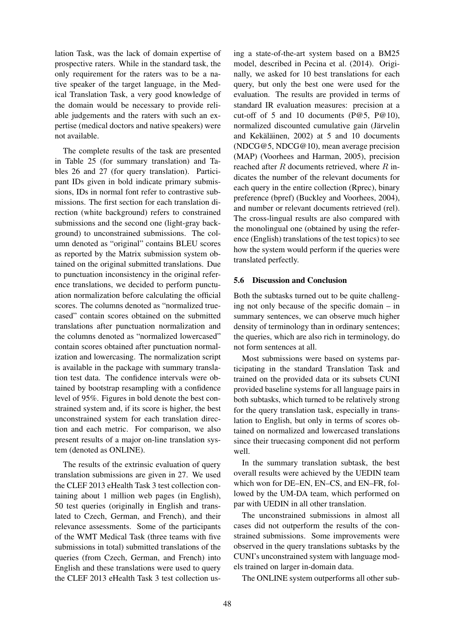lation Task, was the lack of domain expertise of prospective raters. While in the standard task, the only requirement for the raters was to be a native speaker of the target language, in the Medical Translation Task, a very good knowledge of the domain would be necessary to provide reliable judgements and the raters with such an expertise (medical doctors and native speakers) were not available.

The complete results of the task are presented in Table 25 (for summary translation) and Tables 26 and 27 (for query translation). Participant IDs given in bold indicate primary submissions, IDs in normal font refer to contrastive submissions. The first section for each translation direction (white background) refers to constrained submissions and the second one (light-gray background) to unconstrained submissions. The column denoted as "original" contains BLEU scores as reported by the Matrix submission system obtained on the original submitted translations. Due to punctuation inconsistency in the original reference translations, we decided to perform punctuation normalization before calculating the official scores. The columns denoted as "normalized truecased" contain scores obtained on the submitted translations after punctuation normalization and the columns denoted as "normalized lowercased" contain scores obtained after punctuation normalization and lowercasing. The normalization script is available in the package with summary translation test data. The confidence intervals were obtained by bootstrap resampling with a confidence level of 95%. Figures in bold denote the best constrained system and, if its score is higher, the best unconstrained system for each translation direction and each metric. For comparison, we also present results of a major on-line translation system (denoted as ONLINE).

The results of the extrinsic evaluation of query translation submissions are given in 27. We used the CLEF 2013 eHealth Task 3 test collection containing about 1 million web pages (in English), 50 test queries (originally in English and translated to Czech, German, and French), and their relevance assessments. Some of the participants of the WMT Medical Task (three teams with five submissions in total) submitted translations of the queries (from Czech, German, and French) into English and these translations were used to query the CLEF 2013 eHealth Task 3 test collection us-

ing a state-of-the-art system based on a BM25 model, described in Pecina et al. (2014). Originally, we asked for 10 best translations for each query, but only the best one were used for the evaluation. The results are provided in terms of standard IR evaluation measures: precision at a cut-off of 5 and 10 documents (P@5, P@10), normalized discounted cumulative gain (Järvelin and Kekäläinen,  $2002$ ) at 5 and 10 documents (NDCG@5, NDCG@10), mean average precision (MAP) (Voorhees and Harman, 2005), precision reached after R documents retrieved, where  $R$  indicates the number of the relevant documents for each query in the entire collection (Rprec), binary preference (bpref) (Buckley and Voorhees, 2004), and number or relevant documents retrieved (rel). The cross-lingual results are also compared with the monolingual one (obtained by using the reference (English) translations of the test topics) to see how the system would perform if the queries were translated perfectly.

## 5.6 Discussion and Conclusion

Both the subtasks turned out to be quite challenging not only because of the specific domain – in summary sentences, we can observe much higher density of terminology than in ordinary sentences; the queries, which are also rich in terminology, do not form sentences at all.

Most submissions were based on systems participating in the standard Translation Task and trained on the provided data or its subsets CUNI provided baseline systems for all language pairs in both subtasks, which turned to be relatively strong for the query translation task, especially in translation to English, but only in terms of scores obtained on normalized and lowercased translations since their truecasing component did not perform well.

In the summary translation subtask, the best overall results were achieved by the UEDIN team which won for DE–EN, EN–CS, and EN–FR, followed by the UM-DA team, which performed on par with UEDIN in all other translation.

The unconstrained submissions in almost all cases did not outperform the results of the constrained submissions. Some improvements were observed in the query translations subtasks by the CUNI's unconstrained system with language models trained on larger in-domain data.

The ONLINE system outperforms all other sub-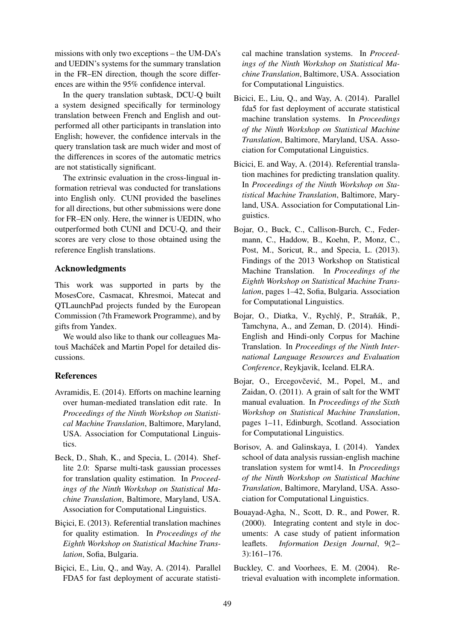missions with only two exceptions – the UM-DA's and UEDIN's systems for the summary translation in the FR–EN direction, though the score differences are within the 95% confidence interval.

In the query translation subtask, DCU-Q built a system designed specifically for terminology translation between French and English and outperformed all other participants in translation into English; however, the confidence intervals in the query translation task are much wider and most of the differences in scores of the automatic metrics are not statistically significant.

The extrinsic evaluation in the cross-lingual information retrieval was conducted for translations into English only. CUNI provided the baselines for all directions, but other submissions were done for FR–EN only. Here, the winner is UEDIN, who outperformed both CUNI and DCU-Q, and their scores are very close to those obtained using the reference English translations.

# Acknowledgments

This work was supported in parts by the MosesCore, Casmacat, Khresmoi, Matecat and QTLaunchPad projects funded by the European Commission (7th Framework Programme), and by gifts from Yandex.

We would also like to thank our colleagues Matouš Macháček and Martin Popel for detailed discussions.

# References

- Avramidis, E. (2014). Efforts on machine learning over human-mediated translation edit rate. In *Proceedings of the Ninth Workshop on Statistical Machine Translation*, Baltimore, Maryland, USA. Association for Computational Linguistics.
- Beck, D., Shah, K., and Specia, L. (2014). Sheflite 2.0: Sparse multi-task gaussian processes for translation quality estimation. In *Proceedings of the Ninth Workshop on Statistical Machine Translation*, Baltimore, Maryland, USA. Association for Computational Linguistics.
- Bicici, E. (2013). Referential translation machines for quality estimation. In *Proceedings of the Eighth Workshop on Statistical Machine Translation*, Sofia, Bulgaria.
- Bicici, E., Liu, Q., and Way, A. (2014). Parallel FDA5 for fast deployment of accurate statisti-

cal machine translation systems. In *Proceedings of the Ninth Workshop on Statistical Machine Translation*, Baltimore, USA. Association for Computational Linguistics.

- Bicici, E., Liu, Q., and Way, A. (2014). Parallel fda5 for fast deployment of accurate statistical machine translation systems. In *Proceedings of the Ninth Workshop on Statistical Machine Translation*, Baltimore, Maryland, USA. Association for Computational Linguistics.
- Bicici, E. and Way, A. (2014). Referential translation machines for predicting translation quality. In *Proceedings of the Ninth Workshop on Statistical Machine Translation*, Baltimore, Maryland, USA. Association for Computational Linguistics.
- Bojar, O., Buck, C., Callison-Burch, C., Federmann, C., Haddow, B., Koehn, P., Monz, C., Post, M., Soricut, R., and Specia, L. (2013). Findings of the 2013 Workshop on Statistical Machine Translation. In *Proceedings of the Eighth Workshop on Statistical Machine Translation*, pages 1–42, Sofia, Bulgaria. Association for Computational Linguistics.
- Bojar, O., Diatka, V., Rychlý, P., Straňák, P., Tamchyna, A., and Zeman, D. (2014). Hindi-English and Hindi-only Corpus for Machine Translation. In *Proceedings of the Ninth International Language Resources and Evaluation Conference*, Reykjavik, Iceland. ELRA.
- Bojar, O., Ercegovčević, M., Popel, M., and Zaidan, O. (2011). A grain of salt for the WMT manual evaluation. In *Proceedings of the Sixth Workshop on Statistical Machine Translation*, pages 1–11, Edinburgh, Scotland. Association for Computational Linguistics.
- Borisov, A. and Galinskaya, I. (2014). Yandex school of data analysis russian-english machine translation system for wmt14. In *Proceedings of the Ninth Workshop on Statistical Machine Translation*, Baltimore, Maryland, USA. Association for Computational Linguistics.
- Bouayad-Agha, N., Scott, D. R., and Power, R. (2000). Integrating content and style in documents: A case study of patient information leaflets. *Information Design Journal*, 9(2– 3):161–176.
- Buckley, C. and Voorhees, E. M. (2004). Retrieval evaluation with incomplete information.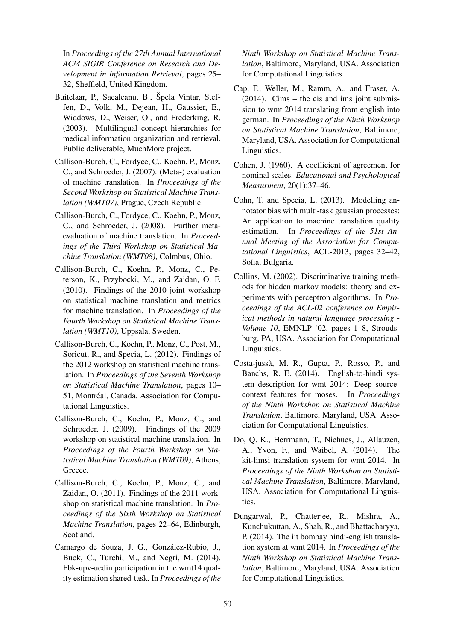In *Proceedings of the 27th Annual International ACM SIGIR Conference on Research and Development in Information Retrieval*, pages 25– 32, Sheffield, United Kingdom.

- Buitelaar, P., Sacaleanu, B., Špela Vintar, Steffen, D., Volk, M., Dejean, H., Gaussier, E., Widdows, D., Weiser, O., and Frederking, R. (2003). Multilingual concept hierarchies for medical information organization and retrieval. Public deliverable, MuchMore project.
- Callison-Burch, C., Fordyce, C., Koehn, P., Monz, C., and Schroeder, J. (2007). (Meta-) evaluation of machine translation. In *Proceedings of the Second Workshop on Statistical Machine Translation (WMT07)*, Prague, Czech Republic.
- Callison-Burch, C., Fordyce, C., Koehn, P., Monz, C., and Schroeder, J. (2008). Further metaevaluation of machine translation. In *Proceedings of the Third Workshop on Statistical Machine Translation (WMT08)*, Colmbus, Ohio.
- Callison-Burch, C., Koehn, P., Monz, C., Peterson, K., Przybocki, M., and Zaidan, O. F. (2010). Findings of the 2010 joint workshop on statistical machine translation and metrics for machine translation. In *Proceedings of the Fourth Workshop on Statistical Machine Translation (WMT10)*, Uppsala, Sweden.
- Callison-Burch, C., Koehn, P., Monz, C., Post, M., Soricut, R., and Specia, L. (2012). Findings of the 2012 workshop on statistical machine translation. In *Proceedings of the Seventh Workshop on Statistical Machine Translation*, pages 10– 51, Montréal, Canada. Association for Computational Linguistics.
- Callison-Burch, C., Koehn, P., Monz, C., and Schroeder, J. (2009). Findings of the 2009 workshop on statistical machine translation. In *Proceedings of the Fourth Workshop on Statistical Machine Translation (WMT09)*, Athens, Greece.
- Callison-Burch, C., Koehn, P., Monz, C., and Zaidan, O. (2011). Findings of the 2011 workshop on statistical machine translation. In *Proceedings of the Sixth Workshop on Statistical Machine Translation*, pages 22–64, Edinburgh, Scotland.
- Camargo de Souza, J. G., Gonzalez-Rubio, J., ´ Buck, C., Turchi, M., and Negri, M. (2014). Fbk-upv-uedin participation in the wmt14 quality estimation shared-task. In *Proceedings of the*

*Ninth Workshop on Statistical Machine Translation*, Baltimore, Maryland, USA. Association for Computational Linguistics.

- Cap, F., Weller, M., Ramm, A., and Fraser, A. (2014). Cims – the cis and ims joint submission to wmt 2014 translating from english into german. In *Proceedings of the Ninth Workshop on Statistical Machine Translation*, Baltimore, Maryland, USA. Association for Computational Linguistics.
- Cohen, J. (1960). A coefficient of agreement for nominal scales. *Educational and Psychological Measurment*, 20(1):37–46.
- Cohn, T. and Specia, L. (2013). Modelling annotator bias with multi-task gaussian processes: An application to machine translation quality estimation. In *Proceedings of the 51st Annual Meeting of the Association for Computational Linguistics*, ACL-2013, pages 32–42, Sofia, Bulgaria.
- Collins, M. (2002). Discriminative training methods for hidden markov models: theory and experiments with perceptron algorithms. In *Proceedings of the ACL-02 conference on Empirical methods in natural language processing - Volume 10*, EMNLP '02, pages 1–8, Stroudsburg, PA, USA. Association for Computational Linguistics.
- Costa-jussa, M. R., Gupta, P., Rosso, P., and ` Banchs, R. E. (2014). English-to-hindi system description for wmt 2014: Deep sourcecontext features for moses. In *Proceedings of the Ninth Workshop on Statistical Machine Translation*, Baltimore, Maryland, USA. Association for Computational Linguistics.
- Do, Q. K., Herrmann, T., Niehues, J., Allauzen, A., Yvon, F., and Waibel, A. (2014). The kit-limsi translation system for wmt 2014. In *Proceedings of the Ninth Workshop on Statistical Machine Translation*, Baltimore, Maryland, USA. Association for Computational Linguistics.
- Dungarwal, P., Chatterjee, R., Mishra, A., Kunchukuttan, A., Shah, R., and Bhattacharyya, P. (2014). The iit bombay hindi-english translation system at wmt 2014. In *Proceedings of the Ninth Workshop on Statistical Machine Translation*, Baltimore, Maryland, USA. Association for Computational Linguistics.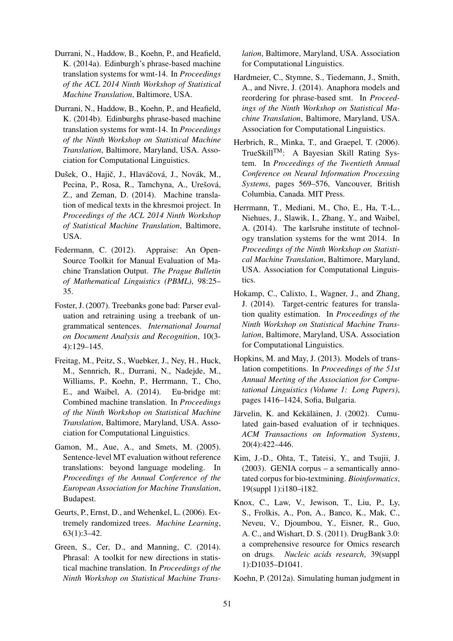- Durrani, N., Haddow, B., Koehn, P., and Heafield, K. (2014a). Edinburgh's phrase-based machine translation systems for wmt-14. In *Proceedings of the ACL 2014 Ninth Workshop of Statistical Machine Translation*, Baltimore, USA.
- Durrani, N., Haddow, B., Koehn, P., and Heafield, K. (2014b). Edinburghs phrase-based machine translation systems for wmt-14. In *Proceedings of the Ninth Workshop on Statistical Machine Translation*, Baltimore, Maryland, USA. Association for Computational Linguistics.
- Dušek, O., Hajič, J., Hlaváčová, J., Novák, M., Pecina, P., Rosa, R., Tamchyna, A., Urešová, Z., and Zeman, D. (2014). Machine translation of medical texts in the khresmoi project. In *Proceedings of the ACL 2014 Ninth Workshop of Statistical Machine Translation*, Baltimore, USA.
- Federmann, C. (2012). Appraise: An Open-Source Toolkit for Manual Evaluation of Machine Translation Output. *The Prague Bulletin of Mathematical Linguistics (PBML)*, 98:25– 35.
- Foster, J. (2007). Treebanks gone bad: Parser evaluation and retraining using a treebank of ungrammatical sentences. *International Journal on Document Analysis and Recognition*, 10(3- 4):129–145.
- Freitag, M., Peitz, S., Wuebker, J., Ney, H., Huck, M., Sennrich, R., Durrani, N., Nadejde, M., Williams, P., Koehn, P., Herrmann, T., Cho, E., and Waibel, A. (2014). Eu-bridge mt: Combined machine translation. In *Proceedings of the Ninth Workshop on Statistical Machine Translation*, Baltimore, Maryland, USA. Association for Computational Linguistics.
- Gamon, M., Aue, A., and Smets, M. (2005). Sentence-level MT evaluation without reference translations: beyond language modeling. In *Proceedings of the Annual Conference of the European Association for Machine Translation*, Budapest.
- Geurts, P., Ernst, D., and Wehenkel, L. (2006). Extremely randomized trees. *Machine Learning*, 63(1):3–42.
- Green, S., Cer, D., and Manning, C. (2014). Phrasal: A toolkit for new directions in statistical machine translation. In *Proceedings of the Ninth Workshop on Statistical Machine Trans-*

*lation*, Baltimore, Maryland, USA. Association for Computational Linguistics.

- Hardmeier, C., Stymne, S., Tiedemann, J., Smith, A., and Nivre, J. (2014). Anaphora models and reordering for phrase-based smt. In *Proceedings of the Ninth Workshop on Statistical Machine Translation*, Baltimore, Maryland, USA. Association for Computational Linguistics.
- Herbrich, R., Minka, T., and Graepel, T. (2006). TrueSkillTM: A Bayesian Skill Rating System. In *Proceedings of the Twentieth Annual Conference on Neural Information Processing Systems*, pages 569–576, Vancouver, British Columbia, Canada. MIT Press.
- Herrmann, T., Mediani, M., Cho, E., Ha, T.-L., Niehues, J., Slawik, I., Zhang, Y., and Waibel, A. (2014). The karlsruhe institute of technology translation systems for the wmt 2014. In *Proceedings of the Ninth Workshop on Statistical Machine Translation*, Baltimore, Maryland, USA. Association for Computational Linguistics.
- Hokamp, C., Calixto, I., Wagner, J., and Zhang, J. (2014). Target-centric features for translation quality estimation. In *Proceedings of the Ninth Workshop on Statistical Machine Translation*, Baltimore, Maryland, USA. Association for Computational Linguistics.
- Hopkins, M. and May, J. (2013). Models of translation competitions. In *Proceedings of the 51st Annual Meeting of the Association for Computational Linguistics (Volume 1: Long Papers)*, pages 1416–1424, Sofia, Bulgaria.
- Järvelin, K. and Kekäläinen, J. (2002). Cumulated gain-based evaluation of ir techniques. *ACM Transactions on Information Systems*, 20(4):422–446.
- Kim, J.-D., Ohta, T., Tateisi, Y., and Tsujii, J. (2003). GENIA corpus – a semantically annotated corpus for bio-textmining. *Bioinformatics*, 19(suppl 1):i180–i182.
- Knox, C., Law, V., Jewison, T., Liu, P., Ly, S., Frolkis, A., Pon, A., Banco, K., Mak, C., Neveu, V., Djoumbou, Y., Eisner, R., Guo, A. C., and Wishart, D. S. (2011). DrugBank 3.0: a comprehensive resource for Omics research on drugs. *Nucleic acids research*, 39(suppl 1):D1035–D1041.
- Koehn, P. (2012a). Simulating human judgment in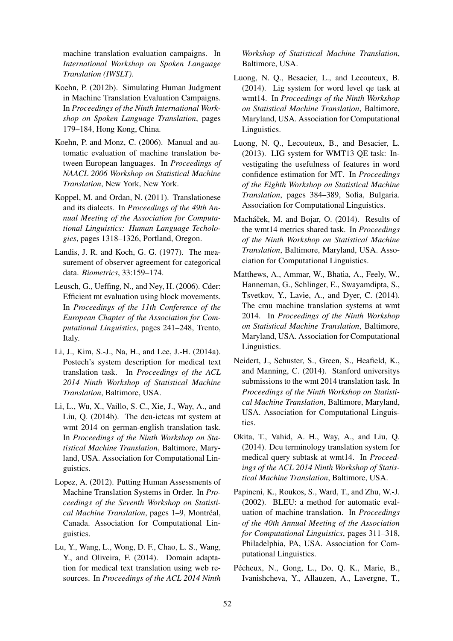machine translation evaluation campaigns. In *International Workshop on Spoken Language Translation (IWSLT)*.

- Koehn, P. (2012b). Simulating Human Judgment in Machine Translation Evaluation Campaigns. In *Proceedings of the Ninth International Workshop on Spoken Language Translation*, pages 179–184, Hong Kong, China.
- Koehn, P. and Monz, C. (2006). Manual and automatic evaluation of machine translation between European languages. In *Proceedings of NAACL 2006 Workshop on Statistical Machine Translation*, New York, New York.
- Koppel, M. and Ordan, N. (2011). Translationese and its dialects. In *Proceedings of the 49th Annual Meeting of the Association for Computational Linguistics: Human Language Techologies*, pages 1318–1326, Portland, Oregon.
- Landis, J. R. and Koch, G. G. (1977). The measurement of observer agreement for categorical data. *Biometrics*, 33:159–174.
- Leusch, G., Ueffing, N., and Ney, H. (2006). Cder: Efficient mt evaluation using block movements. In *Proceedings of the 11th Conference of the European Chapter of the Association for Computational Linguistics*, pages 241–248, Trento, Italy.
- Li, J., Kim, S.-J., Na, H., and Lee, J.-H. (2014a). Postech's system description for medical text translation task. In *Proceedings of the ACL 2014 Ninth Workshop of Statistical Machine Translation*, Baltimore, USA.
- Li, L., Wu, X., Vaillo, S. C., Xie, J., Way, A., and Liu, Q. (2014b). The dcu-ictcas mt system at wmt 2014 on german-english translation task. In *Proceedings of the Ninth Workshop on Statistical Machine Translation*, Baltimore, Maryland, USA. Association for Computational Linguistics.
- Lopez, A. (2012). Putting Human Assessments of Machine Translation Systems in Order. In *Proceedings of the Seventh Workshop on Statistical Machine Translation*, pages 1-9, Montréal, Canada. Association for Computational Linguistics.
- Lu, Y., Wang, L., Wong, D. F., Chao, L. S., Wang, Y., and Oliveira, F. (2014). Domain adaptation for medical text translation using web resources. In *Proceedings of the ACL 2014 Ninth*

*Workshop of Statistical Machine Translation*, Baltimore, USA.

- Luong, N. Q., Besacier, L., and Lecouteux, B. (2014). Lig system for word level qe task at wmt14. In *Proceedings of the Ninth Workshop on Statistical Machine Translation*, Baltimore, Maryland, USA. Association for Computational Linguistics.
- Luong, N. Q., Lecouteux, B., and Besacier, L. (2013). LIG system for WMT13 QE task: Investigating the usefulness of features in word confidence estimation for MT. In *Proceedings of the Eighth Workshop on Statistical Machine Translation*, pages 384–389, Sofia, Bulgaria. Association for Computational Linguistics.
- Macháček, M. and Bojar, O. (2014). Results of the wmt14 metrics shared task. In *Proceedings of the Ninth Workshop on Statistical Machine Translation*, Baltimore, Maryland, USA. Association for Computational Linguistics.
- Matthews, A., Ammar, W., Bhatia, A., Feely, W., Hanneman, G., Schlinger, E., Swayamdipta, S., Tsvetkov, Y., Lavie, A., and Dyer, C. (2014). The cmu machine translation systems at wmt 2014. In *Proceedings of the Ninth Workshop on Statistical Machine Translation*, Baltimore, Maryland, USA. Association for Computational Linguistics.
- Neidert, J., Schuster, S., Green, S., Heafield, K., and Manning, C. (2014). Stanford universitys submissions to the wmt 2014 translation task. In *Proceedings of the Ninth Workshop on Statistical Machine Translation*, Baltimore, Maryland, USA. Association for Computational Linguistics.
- Okita, T., Vahid, A. H., Way, A., and Liu, Q. (2014). Dcu terminology translation system for medical query subtask at wmt14. In *Proceedings of the ACL 2014 Ninth Workshop of Statistical Machine Translation*, Baltimore, USA.
- Papineni, K., Roukos, S., Ward, T., and Zhu, W.-J. (2002). BLEU: a method for automatic evaluation of machine translation. In *Proceedings of the 40th Annual Meeting of the Association for Computational Linguistics*, pages 311–318, Philadelphia, PA, USA. Association for Computational Linguistics.
- Pécheux, N., Gong, L., Do, Q. K., Marie, B., Ivanishcheva, Y., Allauzen, A., Lavergne, T.,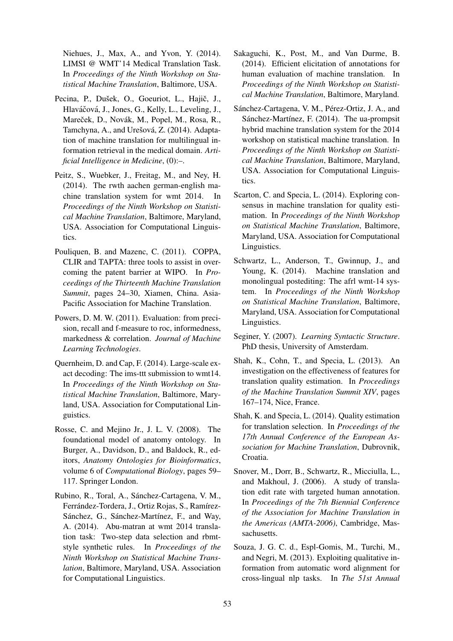Niehues, J., Max, A., and Yvon, Y. (2014). LIMSI @ WMT'14 Medical Translation Task. In *Proceedings of the Ninth Workshop on Statistical Machine Translation*, Baltimore, USA.

- Pecina, P., Dušek, O., Goeuriot, L., Hajič, J., Hlaváčová, J., Jones, G., Kelly, L., Leveling, J., Mareček, D., Novák, M., Popel, M., Rosa, R., Tamchyna, A., and Urešová, Z. (2014). Adaptation of machine translation for multilingual information retrieval in the medical domain. *Artificial Intelligence in Medicine*, (0):–.
- Peitz, S., Wuebker, J., Freitag, M., and Ney, H. (2014). The rwth aachen german-english machine translation system for wmt 2014. In *Proceedings of the Ninth Workshop on Statistical Machine Translation*, Baltimore, Maryland, USA. Association for Computational Linguistics.
- Pouliquen, B. and Mazenc, C. (2011). COPPA, CLIR and TAPTA: three tools to assist in overcoming the patent barrier at WIPO. In *Proceedings of the Thirteenth Machine Translation Summit*, pages 24–30, Xiamen, China. Asia-Pacific Association for Machine Translation.
- Powers, D. M. W. (2011). Evaluation: from precision, recall and f-measure to roc, informedness, markedness & correlation. *Journal of Machine Learning Technologies*.
- Quernheim, D. and Cap, F. (2014). Large-scale exact decoding: The ims-ttt submission to wmt14. In *Proceedings of the Ninth Workshop on Statistical Machine Translation*, Baltimore, Maryland, USA. Association for Computational Linguistics.
- Rosse, C. and Mejino Jr., J. L. V. (2008). The foundational model of anatomy ontology. In Burger, A., Davidson, D., and Baldock, R., editors, *Anatomy Ontologies for Bioinformatics*, volume 6 of *Computational Biology*, pages 59– 117. Springer London.
- Rubino, R., Toral, A., Sánchez-Cartagena, V. M., Ferrández-Tordera, J., Ortiz Rojas, S., Ramírez-Sánchez, G., Sánchez-Martínez, F., and Way, A. (2014). Abu-matran at wmt 2014 translation task: Two-step data selection and rbmtstyle synthetic rules. In *Proceedings of the Ninth Workshop on Statistical Machine Translation*, Baltimore, Maryland, USA. Association for Computational Linguistics.
- Sakaguchi, K., Post, M., and Van Durme, B. (2014). Efficient elicitation of annotations for human evaluation of machine translation. In *Proceedings of the Ninth Workshop on Statistical Machine Translation*, Baltimore, Maryland.
- Sánchez-Cartagena, V. M., Pérez-Ortiz, J. A., and Sánchez-Martínez, F. (2014). The ua-prompsit hybrid machine translation system for the 2014 workshop on statistical machine translation. In *Proceedings of the Ninth Workshop on Statistical Machine Translation*, Baltimore, Maryland, USA. Association for Computational Linguistics.
- Scarton, C. and Specia, L. (2014). Exploring consensus in machine translation for quality estimation. In *Proceedings of the Ninth Workshop on Statistical Machine Translation*, Baltimore, Maryland, USA. Association for Computational Linguistics.
- Schwartz, L., Anderson, T., Gwinnup, J., and Young, K. (2014). Machine translation and monolingual postediting: The afrl wmt-14 system. In *Proceedings of the Ninth Workshop on Statistical Machine Translation*, Baltimore, Maryland, USA. Association for Computational Linguistics.
- Seginer, Y. (2007). *Learning Syntactic Structure*. PhD thesis, University of Amsterdam.
- Shah, K., Cohn, T., and Specia, L. (2013). An investigation on the effectiveness of features for translation quality estimation. In *Proceedings of the Machine Translation Summit XIV*, pages 167–174, Nice, France.
- Shah, K. and Specia, L. (2014). Quality estimation for translation selection. In *Proceedings of the 17th Annual Conference of the European Association for Machine Translation*, Dubrovnik, Croatia.
- Snover, M., Dorr, B., Schwartz, R., Micciulla, L., and Makhoul, J. (2006). A study of translation edit rate with targeted human annotation. In *Proceedings of the 7th Biennial Conference of the Association for Machine Translation in the Americas (AMTA-2006)*, Cambridge, Massachusetts.
- Souza, J. G. C. d., Espl-Gomis, M., Turchi, M., and Negri, M. (2013). Exploiting qualitative information from automatic word alignment for cross-lingual nlp tasks. In *The 51st Annual*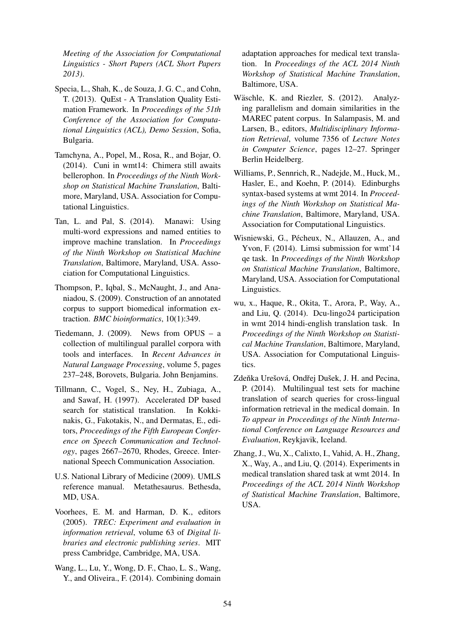*Meeting of the Association for Computational Linguistics - Short Papers (ACL Short Papers 2013)*.

- Specia, L., Shah, K., de Souza, J. G. C., and Cohn, T. (2013). QuEst - A Translation Quality Estimation Framework. In *Proceedings of the 51th Conference of the Association for Computational Linguistics (ACL), Demo Session*, Sofia, Bulgaria.
- Tamchyna, A., Popel, M., Rosa, R., and Bojar, O. (2014). Cuni in wmt14: Chimera still awaits bellerophon. In *Proceedings of the Ninth Workshop on Statistical Machine Translation*, Baltimore, Maryland, USA. Association for Computational Linguistics.
- Tan, L. and Pal, S. (2014). Manawi: Using multi-word expressions and named entities to improve machine translation. In *Proceedings of the Ninth Workshop on Statistical Machine Translation*, Baltimore, Maryland, USA. Association for Computational Linguistics.
- Thompson, P., Iqbal, S., McNaught, J., and Ananiadou, S. (2009). Construction of an annotated corpus to support biomedical information extraction. *BMC bioinformatics*, 10(1):349.
- Tiedemann, J.  $(2009)$ . News from OPUS a collection of multilingual parallel corpora with tools and interfaces. In *Recent Advances in Natural Language Processing*, volume 5, pages 237–248, Borovets, Bulgaria. John Benjamins.
- Tillmann, C., Vogel, S., Ney, H., Zubiaga, A., and Sawaf, H. (1997). Accelerated DP based search for statistical translation. In Kokkinakis, G., Fakotakis, N., and Dermatas, E., editors, *Proceedings of the Fifth European Conference on Speech Communication and Technology*, pages 2667–2670, Rhodes, Greece. International Speech Communication Association.
- U.S. National Library of Medicine (2009). UMLS reference manual. Metathesaurus. Bethesda, MD, USA.
- Voorhees, E. M. and Harman, D. K., editors (2005). *TREC: Experiment and evaluation in information retrieval*, volume 63 of *Digital libraries and electronic publishing series*. MIT press Cambridge, Cambridge, MA, USA.
- Wang, L., Lu, Y., Wong, D. F., Chao, L. S., Wang, Y., and Oliveira., F. (2014). Combining domain

adaptation approaches for medical text translation. In *Proceedings of the ACL 2014 Ninth Workshop of Statistical Machine Translation*, Baltimore, USA.

- Wäschle, K. and Riezler, S. (2012). Analyzing parallelism and domain similarities in the MAREC patent corpus. In Salampasis, M. and Larsen, B., editors, *Multidisciplinary Information Retrieval*, volume 7356 of *Lecture Notes in Computer Science*, pages 12–27. Springer Berlin Heidelberg.
- Williams, P., Sennrich, R., Nadejde, M., Huck, M., Hasler, E., and Koehn, P. (2014). Edinburghs syntax-based systems at wmt 2014. In *Proceedings of the Ninth Workshop on Statistical Machine Translation*, Baltimore, Maryland, USA. Association for Computational Linguistics.
- Wisniewski, G., Pécheux, N., Allauzen, A., and Yvon, F. (2014). Limsi submission for wmt'14 qe task. In *Proceedings of the Ninth Workshop on Statistical Machine Translation*, Baltimore, Maryland, USA. Association for Computational Linguistics.
- wu, x., Haque, R., Okita, T., Arora, P., Way, A., and Liu, Q. (2014). Dcu-lingo24 participation in wmt 2014 hindi-english translation task. In *Proceedings of the Ninth Workshop on Statistical Machine Translation*, Baltimore, Maryland, USA. Association for Computational Linguistics.
- Zdeňka Urešová, Ondřej Dušek, J. H. and Pecina, P. (2014). Multilingual test sets for machine translation of search queries for cross-lingual information retrieval in the medical domain. In *To appear in Proceedings of the Ninth International Conference on Language Resources and Evaluation*, Reykjavik, Iceland.
- Zhang, J., Wu, X., Calixto, I., Vahid, A. H., Zhang, X., Way, A., and Liu, Q. (2014). Experiments in medical translation shared task at wmt 2014. In *Proceedings of the ACL 2014 Ninth Workshop of Statistical Machine Translation*, Baltimore, USA.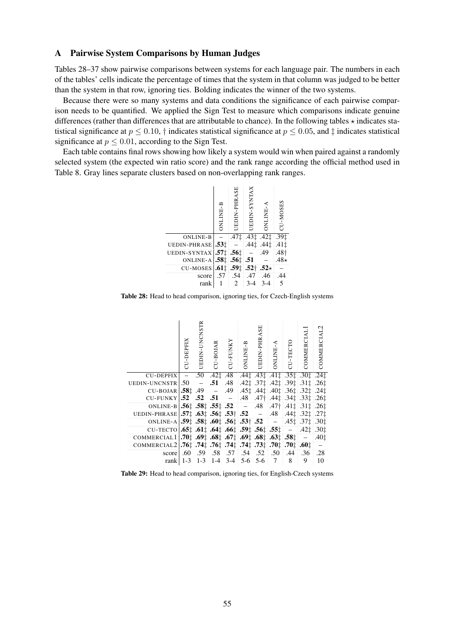## A Pairwise System Comparisons by Human Judges

Tables 28–37 show pairwise comparisons between systems for each language pair. The numbers in each of the tables' cells indicate the percentage of times that the system in that column was judged to be better than the system in that row, ignoring ties. Bolding indicates the winner of the two systems.

Because there were so many systems and data conditions the significance of each pairwise comparison needs to be quantified. We applied the Sign Test to measure which comparisons indicate genuine differences (rather than differences that are attributable to chance). In the following tables  $\star$  indicates statistical significance at  $p \le 0.10$ ,  $\dagger$  indicates statistical significance at  $p \le 0.05$ , and  $\dagger$  indicates statistical significance at  $p \leq 0.01$ , according to the Sign Test.

Each table contains final rows showing how likely a system would win when paired against a randomly selected system (the expected win ratio score) and the rank range according the official method used in Table 8. Gray lines separate clusters based on non-overlapping rank ranges.



Table 28: Head to head comparison, ignoring ties, for Czech-English systems

|                                                                                                                                                                                           | CU-DEPFIX                | UEDIN-UNCNSTR                   | CU-BOJAR       | CU-FUNKY                | ONLINE-B | <b>JEDIN-PHRASE</b>                       | A-BNLINE-A     | CU-TECTO                                                                                                                              | COMMERCIAL                                  | COMMERCIAL2       |
|-------------------------------------------------------------------------------------------------------------------------------------------------------------------------------------------|--------------------------|---------------------------------|----------------|-------------------------|----------|-------------------------------------------|----------------|---------------------------------------------------------------------------------------------------------------------------------------|---------------------------------------------|-------------------|
| <b>CU-DEPFIX</b>                                                                                                                                                                          | $\overline{\phantom{a}}$ | .50                             | .421           | .48                     | .441     |                                           | $.431$ $.411$  |                                                                                                                                       | $.351$ $.301$                               | .241              |
| <b>UEDIN-UNCNSTR</b>                                                                                                                                                                      | .50                      | $\hspace{0.1mm}-\hspace{0.1mm}$ | .51            | .48                     |          | .421 .371                                 | .421           |                                                                                                                                       | .391 .311                                   | .26 <sub>1</sub>  |
| CU-BOJAR .58 <sup><math>\dagger</math></sup> .49                                                                                                                                          |                          |                                 | $\sim$ $ \sim$ | .49                     |          | $.45\ddagger$ $.44\ddagger$ $.40\ddagger$ |                |                                                                                                                                       | $.361$ $.321$                               | .241              |
| CU-FUNKY $.52$ .52 .51 –                                                                                                                                                                  |                          |                                 |                |                         | .48      | .47 <sub>†</sub>                          | .441           |                                                                                                                                       | .341331                                     | $\overline{261}$  |
| ONLINE-B $.56\frac{1}{4}$ .58 $\frac{1}{4}$ .55 $\frac{1}{4}$ .52 $-$ .48                                                                                                                 |                          |                                 |                |                         |          |                                           | $.47+$         |                                                                                                                                       | .411 .311 .261                              |                   |
| UEDIN-PHRASE 57 <sup><math>\pm</math></sup> .63 <sup><math>\pm</math></sup> .56 <sup><math>\pm</math></sup> .53 <sup><math>\dagger</math></sup> .52 - .48                                 |                          |                                 |                |                         |          |                                           |                |                                                                                                                                       | $.44\ddagger$ .32 $\ddagger$ .27 $\ddagger$ |                   |
| ONLINE-A $.59\frac{+}{4}$ .58 $\frac{+}{4}$ .60 $\frac{+}{4}$ .56 $\frac{+}{4}$ .53 $\frac{+}{4}$ .52 $\frac{-}{4}$ .45 $\frac{+}{4}$ .37 $\frac{+}{4}$                                   |                          |                                 |                |                         |          |                                           |                |                                                                                                                                       |                                             | $\overline{.301}$ |
| CU-TECTO $.65$ : $.61$ : $.64$ : $.66$ : $.59$ : $.56$ : $.55$ : $-$                                                                                                                      |                          |                                 |                |                         |          |                                           |                |                                                                                                                                       | $.42\ddagger .30\ddagger$                   |                   |
| COMMERCIAL1                                                                                                                                                                               |                          |                                 |                |                         |          |                                           |                | $\mid .70 \downarrow .69 \downarrow .68 \downarrow .67 \downarrow .69 \downarrow .68 \downarrow .63 \downarrow .58 \downarrow \mid -$ |                                             | .40 <sub>1</sub>  |
| COMMERCIAL2 <sup>1</sup> .76 <sup>t</sup> . 74 <sup>t</sup> . 74 <sup>t</sup> . 74 <sup>t</sup> . 74 <sup>t</sup> . 74 <sup>t</sup> . 76 <sup>t</sup> . 0 <sup>t</sup> . 0 <sup>t</sup> . |                          |                                 |                |                         |          |                                           |                |                                                                                                                                       |                                             | $\equiv$          |
| score                                                                                                                                                                                     | .60                      | .59                             | .58            | .57                     |          | .54 .52                                   | .50            | .44                                                                                                                                   | .36                                         | .28               |
| rank                                                                                                                                                                                      |                          |                                 |                | $1-3$ $1-3$ $1-4$ $3-4$ |          | $5-6$ 5-6                                 | $\overline{7}$ | 8                                                                                                                                     | 9                                           | 10                |

Table 29: Head to head comparison, ignoring ties, for English-Czech systems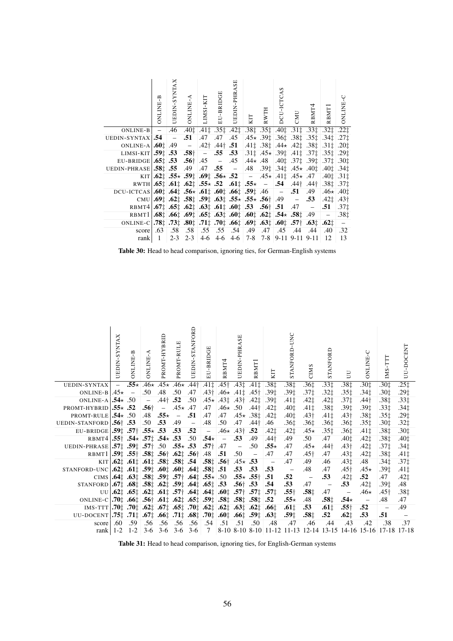|                                                                                                                                                                                 | <b>A-BNLINE</b> | UEDIN-SYNTAX | <b>A-BALIND</b> | LIMSI-KIT | EU-BRIDGE | SE<br>UEDIN-PHRA                                                                                        | KIT | RWTH | S<br>DCU-ICTCA | CMU                                                                    | RBMT <sup>4</sup>                                                                                                                                         | RBMT]                       | ONLINE-C                    |
|---------------------------------------------------------------------------------------------------------------------------------------------------------------------------------|-----------------|--------------|-----------------|-----------|-----------|---------------------------------------------------------------------------------------------------------|-----|------|----------------|------------------------------------------------------------------------|-----------------------------------------------------------------------------------------------------------------------------------------------------------|-----------------------------|-----------------------------|
| $ONLINE-B$ $-$                                                                                                                                                                  |                 | .46          |                 |           |           |                                                                                                         |     |      |                |                                                                        | $.40\ddagger$ $.41\ddagger$ $.35\ddagger$ $.42\ddagger$ $.38\ddagger$ $.35\ddagger$ $.40\ddagger$ $.31\ddagger$ $.33\ddagger$ $.32\ddagger$ $.22\ddagger$ |                             |                             |
| UEDIN-SYNTAX $.54$ -                                                                                                                                                            |                 |              | .51             |           |           | .47.47.45                                                                                               |     |      |                | $.45 \star 0.391$ $.361$ $.381$ $.351$                                 |                                                                                                                                                           | $.341$ $.271$               |                             |
| ONLINE-A $.601$ .49 - .42 <sup>†</sup> .44 <sup>†</sup> .51                                                                                                                     |                 |              |                 |           |           |                                                                                                         |     |      |                | $.41\ddagger$ .38 $\ddagger$ .44 $\star$ .42 $\ddagger$ .38 $\ddagger$ |                                                                                                                                                           | .31‡                        | .201                        |
| LIMSI-KIT $ .59 \cdot 53$ $.58 \cdot 56 = 0.55$ $.53$ $ .31 \cdot 45 \times  .39 \cdot 10 \cdot 37 \cdot 57$                                                                    |                 |              |                 |           |           |                                                                                                         |     |      |                |                                                                        |                                                                                                                                                           | $.351$ $.291$               |                             |
|                                                                                                                                                                                 |                 |              |                 |           |           |                                                                                                         |     |      |                |                                                                        |                                                                                                                                                           | $.37 \pm .30 \pm .30$       |                             |
| UEDIN-PHRASE 55.5 49 47.55 - 48.39: 34: 45* 40: 40: 40: 40: 41.34.                                                                                                              |                 |              |                 |           |           |                                                                                                         |     |      |                |                                                                        |                                                                                                                                                           |                             |                             |
|                                                                                                                                                                                 |                 |              |                 |           |           | KIT $.62 \div 0.55 \times 0.59 \div 0.69 \div 0.56 \times 0.52 = .45 \times 0.41 \div 0.45 \times 0.47$ |     |      |                |                                                                        |                                                                                                                                                           | $.401$ $.311$               |                             |
| RWTH $.65\frac{1}{4}$ $.61\frac{1}{4}$ $.62\frac{1}{4}$ $.55\star$ $.52$ $.61\frac{1}{4}$ $.55\star$ $ .54$ $.44\frac{1}{4}$ $.44\frac{1}{4}$ $.38\frac{1}{4}$ $.37\frac{1}{4}$ |                 |              |                 |           |           |                                                                                                         |     |      |                |                                                                        |                                                                                                                                                           |                             |                             |
| DCU-ICTCAS $.601$ $.641$ $.56 \times 0.611$ $.601$ $.661$ $.591$ $.46$ $ .51$ $.49$                                                                                             |                 |              |                 |           |           |                                                                                                         |     |      |                |                                                                        |                                                                                                                                                           | $.46 \star 0.401$           |                             |
| CMU $.691$ $.621$ $.581$ $.591$ $.631$ $.55 \times 0.56$ $.49$ $- 0.53$                                                                                                         |                 |              |                 |           |           |                                                                                                         |     |      |                |                                                                        |                                                                                                                                                           | $.42\ddagger$ $.43\ddagger$ |                             |
| RBMT4 $.67\frac{+}{4}$ $.65\frac{+}{4}$ $.62\frac{+}{4}$ $.63\frac{+}{4}$ $.61\frac{+}{4}$ $.63\frac{+}{4}$ $.53$ $.56\frac{+}{4}$ $.51$ $.47$ -                                |                 |              |                 |           |           |                                                                                                         |     |      |                |                                                                        |                                                                                                                                                           | .51                         | $-.371$                     |
| RBMT1 $.68\pm .66\pm .69\pm .65\pm .63\pm .60\pm .60\pm .62\pm .54\star .58\pm .49$                                                                                             |                 |              |                 |           |           |                                                                                                         |     |      |                |                                                                        |                                                                                                                                                           | $\sim$                      | $-.38+$                     |
| 021. [63] $163t$ , $173t$ , $180t$ , $171t$ , $10t$ , $166t$ , $169t$ , $160t$ , $167t$ , $163t$                                                                                |                 |              |                 |           |           |                                                                                                         |     |      |                |                                                                        |                                                                                                                                                           |                             | $\mathcal{L} = \mathcal{L}$ |
| score                                                                                                                                                                           | .63             | .58          | .58 .55         |           | .55       | .54 .49                                                                                                 |     | .47  | .45            | .44                                                                    | .44                                                                                                                                                       | .40 <sub>1</sub>            | .32                         |
| rank                                                                                                                                                                            | $\mathbf{1}$    | $2 - 3$      |                 |           |           | $2-3$ 4-6 4-6 4-6 7-8 7-8 9-11 9-11 9-11                                                                |     |      |                |                                                                        |                                                                                                                                                           | 12                          | 13                          |

Table 30: Head to head comparison, ignoring ties, for German-English systems

|                                                                                                         | <b>JEDIN-SYNTAX</b> | <b>S-BNLINE</b> | A-BALINE-A                  | PROMT-HYBRID | PROMT-RULE        | <b>UEDIN-STANFORD</b> | EU-BRIDGE     | RBMT4                                                                                                                                                                                                                                                                                                                                                                                                                    | <b>UEDIN-PHRASE</b> | RBMT.                         | KП               | UNC<br>ANFORD<br>ST. | <b>CIMS</b>      | STANFORD         | E                        | <b>DNLINE-C</b>                                                                      | Ę<br>IMS.  | UU-DOCENT        |
|---------------------------------------------------------------------------------------------------------|---------------------|-----------------|-----------------------------|--------------|-------------------|-----------------------|---------------|--------------------------------------------------------------------------------------------------------------------------------------------------------------------------------------------------------------------------------------------------------------------------------------------------------------------------------------------------------------------------------------------------------------------------|---------------------|-------------------------------|------------------|----------------------|------------------|------------------|--------------------------|--------------------------------------------------------------------------------------|------------|------------------|
| UEDIN-SYNTAX                                                                                            |                     |                 |                             |              |                   |                       |               | $-$ .55* .46* .45* .46* .44† .411 .45† .431 .411                                                                                                                                                                                                                                                                                                                                                                         |                     |                               | $.38+$           | $.38+$               | .36 <sup>†</sup> | .33 <sup>†</sup> | .38‡                     | .30‡                                                                                 | .30‡       | $.25+$           |
| ONLINE-B $.45\star -$                                                                                   |                     |                 | .50 <sub>1</sub>            |              |                   | .48 .50 .47           |               | $.43\dagger$ .46 $\star$ .41 $\ddagger$ .45 $\dagger$                                                                                                                                                                                                                                                                                                                                                                    |                     |                               | .39‡             | .39‡                 | .37‡             | $.32+$           | .35‡                     | .34‡                                                                                 | .30‡       | .29‡             |
| ONLINE-A $.54 \times .50$                                                                               |                     |                 | $\sim$                      | $.44$ † .52  |                   | .50                   |               | $.45 \star .43$ $.43$ $.43$ $\dagger$                                                                                                                                                                                                                                                                                                                                                                                    |                     | .42‡                          | .39±             | $.41+$               | $.42+$           | .42‡             | $.37+$                   | .44†                                                                                 | .38‡       | .33‡             |
| PROMT-HYBRID $.55 \star .52$                                                                            |                     |                 | $.56^{\dagger}$ - .45 $.47$ |              |                   |                       | .47           | $.46\star$ .50                                                                                                                                                                                                                                                                                                                                                                                                           |                     | .44†                          | .421             | .40‡                 | $.41\pm$         | $.38+$           | .39‡                     | .39‡                                                                                 | .33‡       | $.34+$           |
| PROMT-RULE $.54 \times .50$                                                                             |                     |                 | .48                         |              | $.55 \star - .51$ |                       | .47           | $.47$ $.45 \star$ $.38 \ddagger$                                                                                                                                                                                                                                                                                                                                                                                         |                     |                               | .42‡             | $.40+$               | $.43\dagger$     | $.41+$           | $.43\dagger$             | .38‡                                                                                 | .35‡       | .29‡             |
| UEDIN-STANFORD $.56^{\dagger}$ .53                                                                      |                     |                 | .50 <sub>1</sub>            | .53          | $.49 -$           |                       | .48           | .50 <sub>1</sub>                                                                                                                                                                                                                                                                                                                                                                                                         | .47                 | $.44\dagger$                  | .46              | .36‡                 | .36‡             | .36‡             | .36‡                     | $.35+$                                                                               | .30‡       | $.32+$           |
| EU-BRIDGE 59: .57 + .55 $\star$ .53 .53 .52 + - .46 $\star$ .43 +                                       |                     |                 |                             |              |                   |                       |               |                                                                                                                                                                                                                                                                                                                                                                                                                          |                     | .52                           | $.42+$           | .42‡                 | $.45\star$       | .35‡             | .36‡                     | .41‡                                                                                 | .38‡       | .301             |
| RBMT4 $.55$ † .54 $\star$ .57 $\ddagger$ .54 $\star$ .53 .50                                            |                     |                 |                             |              |                   |                       | $.54 \star -$ |                                                                                                                                                                                                                                                                                                                                                                                                                          | .53                 | .49                           | $.44\dagger$     | .49                  | .50              | .47              | .40‡                     | .42 <sub>†</sub>                                                                     | .38‡       | .401             |
| UEDIN-PHRASE 57 <sup>†</sup> .59 <sup>†</sup> .57 <sup>†</sup> .50 .55 $\star$ .53 .57 <sup>†</sup> .47 |                     |                 |                             |              |                   |                       |               |                                                                                                                                                                                                                                                                                                                                                                                                                          | $\sim$ $ \sim$      | .50                           | $.55\star$       | .47                  | $.45\star$       | .44†             | $.43\dagger$             | $.42+$                                                                               | .37‡       | $.34+$           |
| RBMT1 $ .59 \cdot 0.55 \cdot   .58 \cdot 0.56 \cdot 0.62 \cdot 0.56 \cdot   .48 \cdot 0.51$             |                     |                 |                             |              |                   |                       |               |                                                                                                                                                                                                                                                                                                                                                                                                                          | $.50 -$             |                               | .47              | .47                  | .45 <sub>†</sub> | .47              | .43‡                     | .42‡                                                                                 | .38‡       | .41‡             |
|                                                                                                         |                     |                 |                             |              |                   |                       |               | KIT $.62$ $\ddagger$ $.61$ $\ddagger$ $.61$ $\ddagger$ $.58$ $\ddagger$ $.58$ $\ddagger$ $.54$ $.58$ $\ddagger$ $.56$ $\ddagger$ $.45$ $\star$ $.53$                                                                                                                                                                                                                                                                     |                     |                               | $\sim$ $-$       | .47                  | .49              | .46              | .43‡                     | .48                                                                                  | .34‡       | .37 <sub>1</sub> |
| 51. 58‡ 58± 58± 60± 60± 60± 60± 61± 58± 58± 61± 62± 62± 61± 62± 61± 60±                                 |                     |                 |                             |              |                   |                       |               |                                                                                                                                                                                                                                                                                                                                                                                                                          |                     | $.53$ $.53$ $.53$             |                  | $\sim$ $-$           | .48              | .47              | .45†                     | $.45\star$                                                                           | .39‡       | .41‡             |
| CIMS $.641$ $.631$ $.581$ $.591$ $.57$ $.641$ $.55 \times 1.50$                                         |                     |                 |                             |              |                   |                       |               |                                                                                                                                                                                                                                                                                                                                                                                                                          |                     | $.55\star$ $.55\dagger$ $.51$ |                  | .52                  | $\sim$ $-$       | .53              | .42 <sub>1</sub>         | .52                                                                                  | .47        | $.42+$           |
| $STANFORM 1.671 .681 .581 .621 .591 .641 .651 .53$                                                      |                     |                 |                             |              |                   |                       |               |                                                                                                                                                                                                                                                                                                                                                                                                                          |                     | $.56$ † .53 .54               |                  | .53                  | .47              | $\sim$           | .53                      | .42‡                                                                                 | .39‡       | .48              |
|                                                                                                         |                     |                 |                             |              |                   |                       |               | UU 62 <sup><math>\ddagger</math></sup> .65 <sup><math>\ddagger</math></sup> .62 <sup><math>\ddagger</math></sup> .61 <sup><math>\ddagger</math></sup> .57 <sup><math>\ddagger</math></sup> .64 <sup><math>\ddagger</math></sup> .64 <sup><math>\ddagger</math></sup> .60 <sup><math>\ddagger</math></sup> .57 <sup><math>\ddagger</math></sup> .57 <sup><math>\ddagger</math></sup> .57 <sup><math>\ddagger</math></sup> |                     |                               |                  | $.55\dagger$         | .581             | .47              | $\overline{\phantom{a}}$ | .46 $\star$                                                                          | .45†       | $.38+$           |
| 0NLINE-C $.70$ : $.66$ : $.56$ $.61$ : $.62$ : $.65$ : $.59$ : $.58$ : $.58$ : $.58$ : $.52$            |                     |                 |                             |              |                   |                       |               |                                                                                                                                                                                                                                                                                                                                                                                                                          |                     |                               |                  | $.55\star$           | .48              | .581             | $.54\star$               | $\sim$ $-$                                                                           | .48        | .47              |
| 1.66 $\pm 0.5$ 1.67 $\pm 0.6$ 1.62 $\pm 0.5$ 1.65. $\pm 0.5$ 1.65. $\pm 0.6$ 1.65. $\pm 0.6$ 1.65.      |                     |                 |                             |              |                   |                       |               |                                                                                                                                                                                                                                                                                                                                                                                                                          |                     |                               |                  | $.61+$               | .53              | .611             | $.55\dagger$             | .52                                                                                  | $\sim$ $-$ | .49              |
| UU-DOCENT $.75$ : $.71$ :                                                                               |                     |                 |                             |              |                   |                       |               | $.67^{\ddagger}_{\ddagger}$ .66 $\ddagger$ .71 $\ddagger$ .68 $\ddagger$ .70 $\ddagger$ .60 $\ddagger$ .59 $\ddagger$                                                                                                                                                                                                                                                                                                    |                     |                               | .63 <sub>1</sub> | .59‡                 | $.58+$           | .52              | .62 <sub>1</sub>         | .53                                                                                  | .51        |                  |
| score                                                                                                   | .60                 | .59             | .56                         | .56          | .56               | .56 <sub>1</sub>      | .54           | .51 .51                                                                                                                                                                                                                                                                                                                                                                                                                  |                     | .50                           | .48              | .47                  | .46              | .44              | .43                      | .42                                                                                  | .38        | .37              |
| rank                                                                                                    | $1 - 2$             |                 |                             |              |                   |                       |               |                                                                                                                                                                                                                                                                                                                                                                                                                          |                     |                               |                  |                      |                  |                  |                          | 1-2 3-6 3-6 3-6 3-6 7 8-10 8-10 8-10 11-12 11-13 12-14 13-15 14-16 15-16 17-18 17-18 |            |                  |

Table 31: Head to head comparison, ignoring ties, for English-German systems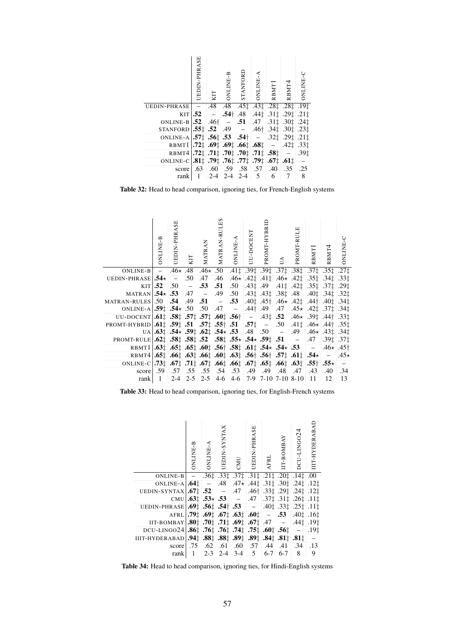|                                                                                                                                                                                                                                                                          | UEDIN-PHRASE | KIT | ONLINE-B | STANFORD      | <b>ONLINE-A</b> | RBMT1                                                                                                                                                                                                                                                        | RBMT4 | <b>DNLINE-C</b>  |
|--------------------------------------------------------------------------------------------------------------------------------------------------------------------------------------------------------------------------------------------------------------------------|--------------|-----|----------|---------------|-----------------|--------------------------------------------------------------------------------------------------------------------------------------------------------------------------------------------------------------------------------------------------------------|-------|------------------|
| <b>UEDIN-PHRASE</b>                                                                                                                                                                                                                                                      | Ξ,           |     |          |               |                 | $.48$ $.48$ $.45\pm 0.43\pm 0.28\pm 0.28\pm 0.19\pm 0.19\pm 0.19\pm 0.19\pm 0.19\pm 0.19\pm 0.19\pm 0.19\pm 0.19\pm 0.19\pm 0.19\pm 0.19\pm 0.19\pm 0.19\pm 0.19\pm 0.19\pm 0.19\pm 0.19\pm 0.19\pm 0.19\pm 0.19\pm 0.19\pm 0.19\pm 0.19\pm 0.19\pm 0.19\pm$ |       |                  |
|                                                                                                                                                                                                                                                                          | $KIT$ .52    |     |          |               |                 | $-$ .54 $\uparrow$ .48 .44 $\downarrow$ .31 $\uparrow$ .29 $\downarrow$ .21 $\downarrow$                                                                                                                                                                     |       |                  |
| ONLINE-B $.52$                                                                                                                                                                                                                                                           |              |     |          |               |                 | $.46^{\dagger}$ - .51 .47 .31 .30 .30 .24                                                                                                                                                                                                                    |       |                  |
| STANFORD $.551$ $.52$ $.49$ $ .46\uparrow$ $.34\downarrow$ $.30\downarrow$ $.23\downarrow$                                                                                                                                                                               |              |     |          |               |                 |                                                                                                                                                                                                                                                              |       |                  |
| ONLINE-A $ .57 \cdot 1.56 \cdot 1.53$ $.54 \cdot 1 - .32 \cdot 1.29 \cdot 1.21 \cdot 1.2$                                                                                                                                                                                |              |     |          |               |                 |                                                                                                                                                                                                                                                              |       |                  |
| RBMT1 .72 <sup><math>\uparrow</math></sup> .69 <sup><math>\uparrow</math></sup> .69 <sup><math>\uparrow</math></sup> .66 <sup><math>\uparrow</math></sup> .68 <sup><math>\uparrow</math></sup> .42 <sup><math>\uparrow</math></sup> .33 <sup><math>\uparrow</math></sup> |              |     |          |               |                 |                                                                                                                                                                                                                                                              |       |                  |
| $RBMT4$ , 72 <sup><math>\ddagger</math></sup> , 71 <sup><math>\ddagger</math></sup> , 70 <sup><math>\ddagger</math></sup> , 70 <sup><math>\ddagger</math></sup> , 71 <sup><math>\ddagger</math></sup> , 58 <sup><math>\ddagger</math></sup>                              |              |     |          |               |                 |                                                                                                                                                                                                                                                              |       | $.39+$           |
| 0NLINE-C $.81$ : 79: 76: 77: 77: 79: 61:                                                                                                                                                                                                                                 |              |     |          |               |                 |                                                                                                                                                                                                                                                              |       | $\equiv$         |
| score                                                                                                                                                                                                                                                                    | .63          |     |          |               |                 | .60 .59 .58 .57 .40                                                                                                                                                                                                                                          | .35   | $\overline{.25}$ |
| rank                                                                                                                                                                                                                                                                     | $\mathbf{1}$ |     |          | $2-4$ 2-4 2-4 | 5 <sup>5</sup>  | 6                                                                                                                                                                                                                                                            | 7     | 8                |

Table 32: Head to head comparison, ignoring ties, for French-English systems

|                                                                                                                                                            | <b>B-BNLINE</b> | <b>UEDIN-PHRASE</b> | KIT | MATRAN                   | S<br>Ë<br>MATRAN-RUI | ONLINE-                                                                                                       | UU-DOCENT | PROMT-HYBRIL | Ś | PROMT-RULE                                                                                   | RBMT <sup>1</sup> | RBMT4            | <b>PHILINE</b> |
|------------------------------------------------------------------------------------------------------------------------------------------------------------|-----------------|---------------------|-----|--------------------------|----------------------|---------------------------------------------------------------------------------------------------------------|-----------|--------------|---|----------------------------------------------------------------------------------------------|-------------------|------------------|----------------|
| ONLINE-B $-$ 46* 48 46* 50 41 <sup>+</sup> 39 <sup>+</sup> 39 <sup>+</sup> 37 <sup>+</sup> 38 <sup>+</sup> 37 <sup>+</sup> 37 <sup>+</sup> 35 <sup>+</sup> |                 |                     |     |                          |                      |                                                                                                               |           |              |   |                                                                                              |                   |                  | $.27+$         |
| UEDIN-PHRASE $.54 \times 10^{-15}$ - .50                                                                                                                   |                 |                     |     | .47                      | .46                  | $.46\star$ $.42\ddagger$ $.41\ddagger$ $.46\star$ $.42\ddagger$ $.35\ddagger$ $.34\ddagger$ $.33\ddagger$     |           |              |   |                                                                                              |                   |                  |                |
|                                                                                                                                                            |                 |                     |     | KIT $-.52$ $-.50$ $-.53$ | .51                  | .50                                                                                                           |           |              |   | $.43\ddagger$ .49 .41 $\ddagger$ .42 $\ddagger$ .35 $\ddagger$ .37 $\ddagger$ .29 $\ddagger$ |                   |                  |                |
| MATRAN $.54 \times .53$ .47 –                                                                                                                              |                 |                     |     |                          |                      | .49 .50                                                                                                       |           |              |   |                                                                                              |                   |                  |                |
| MATRAN-RULES 50 .54 .49 .51 - .53 .40 $\sharp$ .45 .46 .42 $\sharp$ .44 .40 $\sharp$ .40 $\sharp$ .34 $\sharp$                                             |                 |                     |     |                          |                      |                                                                                                               |           |              |   |                                                                                              |                   |                  |                |
| ONLINE-A $.59\pm 0.54 \times 0.50$ .47 - 44 44 .49 .47 .45 .42 .42 .37 .34 .34                                                                             |                 |                     |     |                          |                      |                                                                                                               |           |              |   |                                                                                              |                   |                  |                |
| UU-DOCENT 61: $58\frac{1}{4}$ 57: $57\frac{1}{4}$ 60: $56\frac{1}{4}$ - 43: 52 46* 39: 441 33:                                                             |                 |                     |     |                          |                      |                                                                                                               |           |              |   |                                                                                              |                   |                  |                |
| PROMT-HYBRID $ .61\pm .59\pm .51$ .57 $\pm .55\pm .51$ .57 $\pm .57\pm .57\pm .50$ .41 $\pm$ .46 $\star$ .44 $\pm$ .35 $\pm$                               |                 |                     |     |                          |                      |                                                                                                               |           |              |   |                                                                                              |                   |                  |                |
|                                                                                                                                                            |                 |                     |     |                          |                      | $U[A]$ , $63\pm 0.54$ , $59\pm 0.62\pm 0.54$ , $53$ $-0.48$ $-0.50$ $-0.49$ $-0.46$ , $-0.43\pm 0.34\pm 0.34$ |           |              |   |                                                                                              |                   |                  |                |
| PROMT-RULE $.62 \div .58 \div .58 \div .52$ $.58 \div .55 \times .54 \times .59 \div .51$ - .47                                                            |                 |                     |     |                          |                      |                                                                                                               |           |              |   |                                                                                              |                   | $-.391$ $.371$   |                |
|                                                                                                                                                            |                 |                     |     |                          |                      |                                                                                                               |           |              |   |                                                                                              |                   |                  |                |
| RBMT4 $.65\pm .66\pm .63\pm .66\pm .60\pm .63\pm .56\pm .56\pm .57\pm .61\pm .54\star = 1.45\star$                                                         |                 |                     |     |                          |                      |                                                                                                               |           |              |   |                                                                                              |                   |                  |                |
| ONLINE-C $.73\pm .67\pm .71\pm .67\pm .66\pm .66\pm .67\pm .65\pm .66\pm .63\pm .55\pm .55\pm .55\pm .5$                                                   |                 |                     |     |                          |                      |                                                                                                               |           |              |   |                                                                                              |                   |                  |                |
| score $.59$                                                                                                                                                |                 |                     |     |                          |                      | 48. 48. 49. 49. 49. 53. 54. 55. 55. 57.                                                                       |           |              |   |                                                                                              | .43               | .40 <sub>1</sub> | .34            |
| rank                                                                                                                                                       | $\mathbf{1}$    |                     |     |                          |                      | $2-4$ $2-5$ $2-5$ $4-6$ $4-6$ $7-9$ $7-10$ $7-10$ $8-10$                                                      |           |              |   |                                                                                              | - 11              | 12               | 13             |

Table 33: Head to head comparison, ignoring ties, for English-French systems

|                                                                                                                                                                                                                                                                                                                       | ONLINE-B | $\begin{array}{ll} & \text{ONLINE-A} \\ \end{array}$ | UEDIN-SYNTAX | CMU                                                                                                      | UEDIN-PHRASE | <b>AFRL</b> | IIT-BOMBAY | DCU-LINGO24                                                              | IIIT-HYDERABAD           |
|-----------------------------------------------------------------------------------------------------------------------------------------------------------------------------------------------------------------------------------------------------------------------------------------------------------------------|----------|------------------------------------------------------|--------------|----------------------------------------------------------------------------------------------------------|--------------|-------------|------------|--------------------------------------------------------------------------|--------------------------|
| ONLINE-B                                                                                                                                                                                                                                                                                                              |          |                                                      |              | $ .36\ddagger$ $.33\ddagger$ $.37\ddagger$ $.31\ddagger$ $.21\ddagger$ $.20\ddagger$ $.14\ddagger$ $.00$ |              |             |            |                                                                          |                          |
| ONLINE-A $\begin{bmatrix} .64 \end{bmatrix}$ = .48 .47 $\star$ .44\; .31\; .30\; .24\; .12\; .12\;                                                                                                                                                                                                                    |          |                                                      |              |                                                                                                          |              |             |            |                                                                          |                          |
| UEDIN-SYNTAX $.67 \pm .52$ - .47                                                                                                                                                                                                                                                                                      |          |                                                      |              |                                                                                                          |              |             |            | $.46\dagger$ .33 $\ddagger$ .29 $\ddagger$ .24 $\ddagger$ .12 $\ddagger$ |                          |
| CMU $.63\pm .53 \times .53 = .47 \times .37\pm .31\pm .26\pm .11\pm$                                                                                                                                                                                                                                                  |          |                                                      |              |                                                                                                          |              |             |            |                                                                          |                          |
| UEDIN-PHRASE .69 <sup><math>\pm</math></sup> .56 <sup><math>\pm</math></sup> .54 <sup><math>\pm</math></sup> .53 - .40 <sup><math>\pm</math></sup> .33 $\pm$ .25 $\pm$ .11 $\pm$                                                                                                                                      |          |                                                      |              |                                                                                                          |              |             |            |                                                                          |                          |
| AFRL $.79\pm .69\pm .67\pm .63\pm .60\pm$ $-$ .53 .40 $\pm$ .16 $\pm$                                                                                                                                                                                                                                                 |          |                                                      |              |                                                                                                          |              |             |            |                                                                          |                          |
| IIT-BOMBAY   .80 <sup><math>\uparrow</math></sup> 1.70 <sup><math>\uparrow</math></sup> 1.70 <sup><math>\uparrow</math></sup> 1.69 <sup><math>\uparrow</math></sup> 1.67 <sup><math>\uparrow</math></sup> 1.47 - 1.44 <sup><math>\uparrow</math></sup> 1.19 <sup><math>\uparrow</math></sup>                          |          |                                                      |              |                                                                                                          |              |             |            |                                                                          |                          |
| DCU-LING024 .86 <sup><math>\ddagger</math></sup> .76 <sup><math>\ddagger</math></sup> .76 <sup><math>\ddagger</math></sup> .74 <sup><math>\ddagger</math></sup> .75 <sup><math>\ddagger</math></sup> .60 <sup><math>\ddagger</math></sup> .56 <sup><math>\ddagger</math></sup> - .19 <sup><math>\ddagger</math></sup> |          |                                                      |              |                                                                                                          |              |             |            |                                                                          |                          |
| 11%. 11%. 14%. 19%. 189. 189. 189. 189. 194. 04. 11T-HYDERABAD                                                                                                                                                                                                                                                        |          |                                                      |              |                                                                                                          |              |             |            |                                                                          | $\overline{\phantom{a}}$ |
| score 75 .62 .61 .60 .57 .44 .41 .34                                                                                                                                                                                                                                                                                  |          |                                                      |              |                                                                                                          |              |             |            |                                                                          | .13                      |
|                                                                                                                                                                                                                                                                                                                       |          |                                                      |              | rank 1 2-3 2-4 3-4 5 6-7 6-7 8                                                                           |              |             |            |                                                                          | 9                        |

Table 34: Head to head comparison, ignoring ties, for Hindi-English systems